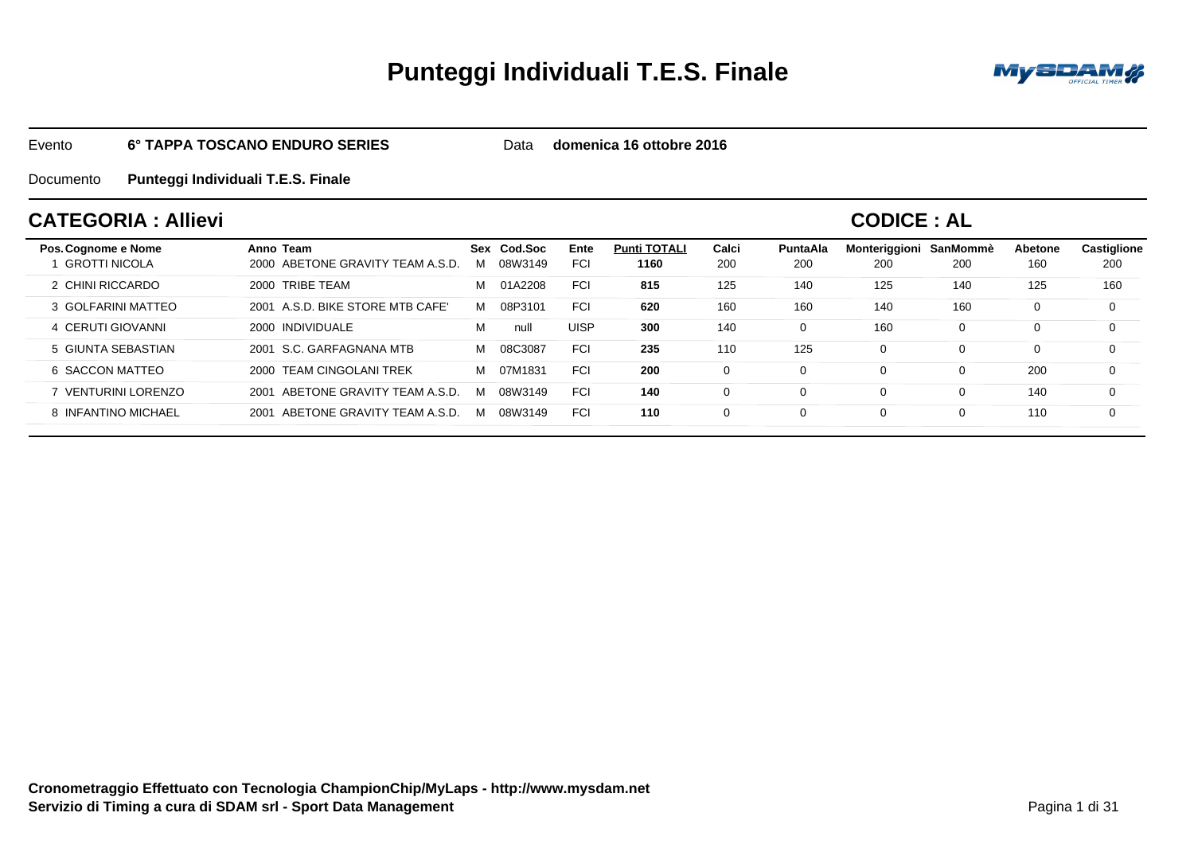# **Punteggi Individuali T.E.S. Finale**



#### Evento**6° TAPPA TOSCANO ENDURO SERIES**

Data **domenica 16 ottobre 2016**

#### Documento**Punteggi Individuali T.E.S. Finale**

### **CATEGORIA : Allievi**

### **CODICE : AL**

| Pos. Cognome e Nome<br><b>GROTTI NICOLA</b> | Anno Team<br>2000 ABETONE GRAVITY TEAM A.S.D. | Sex<br>м | Cod Soc<br>08W3149 | Ente<br><b>FCI</b> | <b>Punti TOTALI</b><br>1160 | Calci<br>200 | <b>PuntaAla</b><br>200 | Monteriggioni<br>200 | SanMommè<br>200 | Abetone<br>160 | Castiglione<br>200 |
|---------------------------------------------|-----------------------------------------------|----------|--------------------|--------------------|-----------------------------|--------------|------------------------|----------------------|-----------------|----------------|--------------------|
| 2 CHINI RICCARDO                            | 2000 TRIBE TEAM                               | м        | 01A2208            | <b>FCI</b>         | 815                         | 125          | 140                    | 125                  | 140             | 125            | 160                |
| 3 GOLFARINI MATTEO                          | 2001 A.S.D. BIKE STORE MTB CAFE'              | м        | 08P3101            | <b>FCI</b>         | 620                         | 160          | 160                    | 140                  | 160             | 0              | 0                  |
| 4 CERUTI GIOVANNI                           | 2000 INDIVIDUALE                              | M        | null               | <b>UISP</b>        | 300                         | 140          |                        | 160                  | 0               | 0              | 0                  |
| 5 GIUNTA SEBASTIAN                          | 2001 S.C. GARFAGNANA MTB                      | м        | 08C3087            | <b>FCI</b>         | 235                         | 110          | 125                    | $\Omega$             | 0               | 0              | $\Omega$           |
| 6 SACCON MATTEO                             | 2000 TEAM CINGOLANI TREK                      | м        | 07M1831            | <b>FCI</b>         | 200                         |              |                        | 0                    | O               | 200            | 0                  |
| 7 VENTURINI LORENZO                         | ABETONE GRAVITY TEAM A.S.D.<br>2001           | м        | 08W3149            | <b>FCI</b>         | 140                         |              |                        | 0                    | 0               | 140            | $\Omega$           |
| 8 INFANTINO MICHAEL                         | ABETONE GRAVITY TEAM A.S.D<br>2001            | м        | 08W3149            | <b>FCI</b>         | 110                         |              |                        | $\Omega$             |                 | 110            | $\Omega$           |
|                                             |                                               |          |                    |                    |                             |              |                        |                      |                 |                |                    |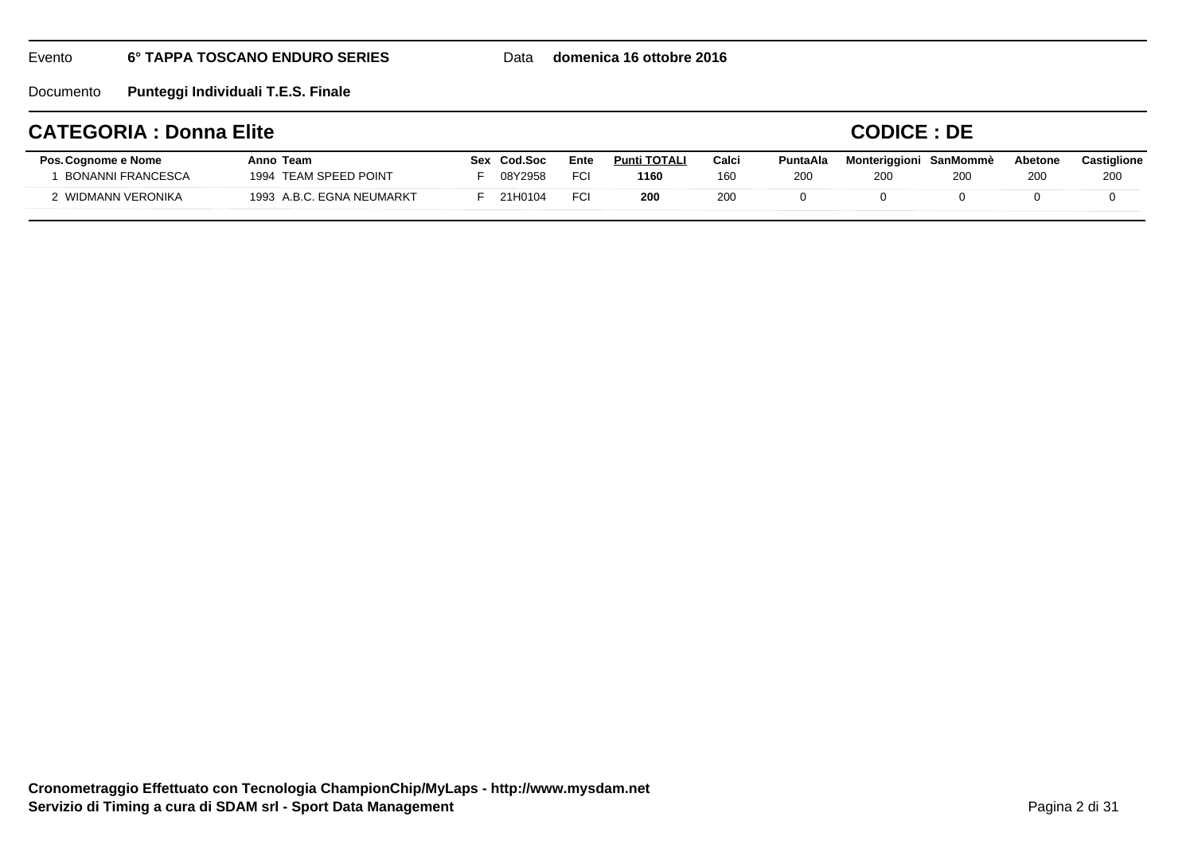Data **domenica 16 ottobre 2016**

Documento**Punteggi Individuali T.E.S. Finale**

#### **Pos.Cognome e Nome Anno TeamCATEGORIA : Donna EliteEnteSex**

### **CODICE : DE**

| Pos. Cognome e Nome | Anno Team                 | Cod Soc<br>Sex | Ente | <b>Punti TOTALI</b> | Calc       | <b>PuntaAla</b> | Monteriggioni SanMommè |     | Abetone | Castiglione |
|---------------------|---------------------------|----------------|------|---------------------|------------|-----------------|------------------------|-----|---------|-------------|
| BONANNI FRANCESCA   | 1994 TEAM SPEED POINT     | 08Y2958        | FC.  | 1160                | 160        | 200             |                        | 200 | 200     | 200         |
| WIDMANN VERONIKA    | 1993 A.B.C. EGNA NEUMARKT | 21H0104        | FCI  | 200                 | <b>200</b> |                 |                        |     |         |             |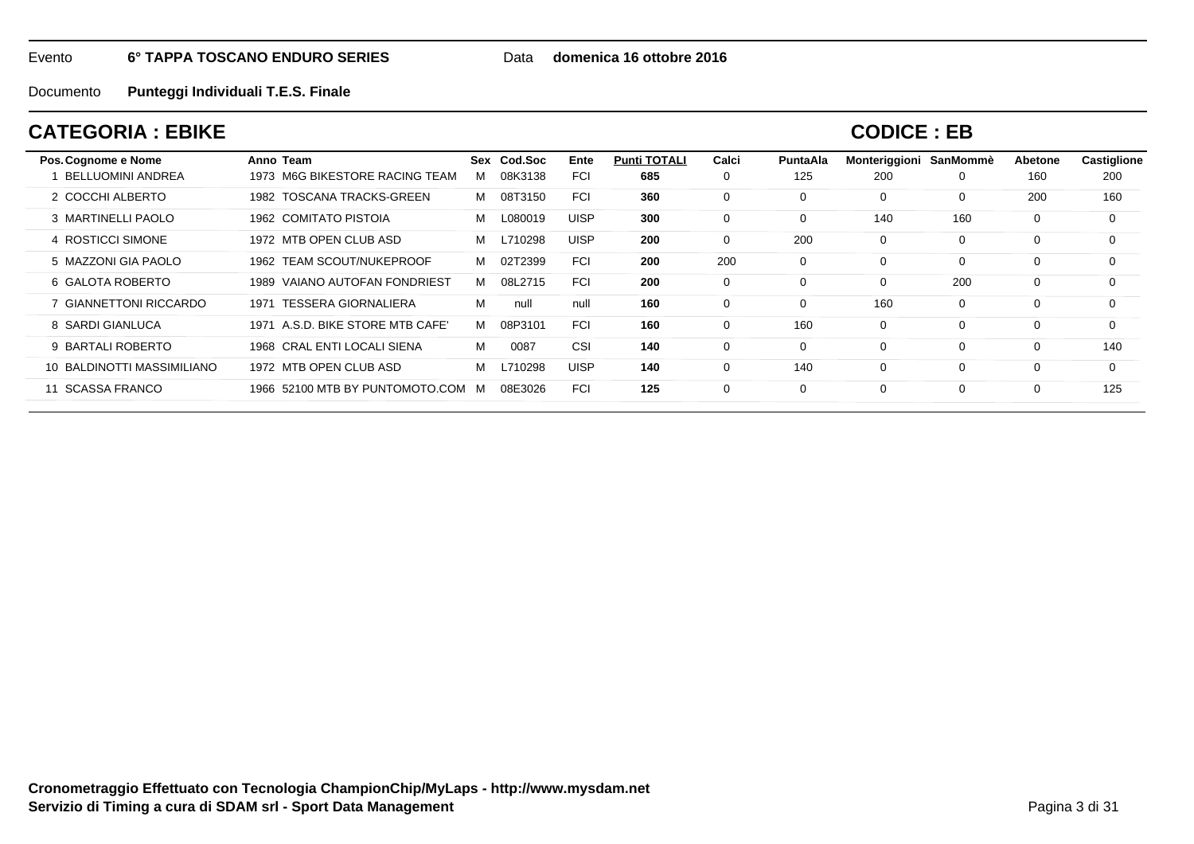Data **domenica 16 ottobre 2016**

Documento**Punteggi Individuali T.E.S. Finale**

## **CATEGORIA : EBIKE**

**CODICE : EB**

| Pos. Cognome e Nome        | Anno Team                         |   | Sex Cod.Soc | Ente        | <b>Punti TOTALI</b> | Calci       | <b>PuntaAla</b> | Monteriggioni | SanMommè | Abetone  | Castiglione |
|----------------------------|-----------------------------------|---|-------------|-------------|---------------------|-------------|-----------------|---------------|----------|----------|-------------|
| <b>BELLUOMINI ANDREA</b>   | 1973 M6G BIKESTORE RACING TEAM    | м | 08K3138     | <b>FCI</b>  | 685                 | 0           | 125             | 200           | 0        | 160      | 200         |
| 2 COCCHI ALBERTO           | 1982 TOSCANA TRACKS-GREEN         | M | 08T3150     | <b>FCI</b>  | 360                 | $\Omega$    |                 | 0             | 0        | 200      | 160         |
| 3 MARTINELLI PAOLO         | 1962 COMITATO PISTOIA             | м | L080019     | <b>UISP</b> | 300                 | 0           |                 | 140           | 160      | 0        | $\Omega$    |
| 4 ROSTICCI SIMONE          | 1972 MTB OPEN CLUB ASD            | M | L710298     | <b>UISP</b> | 200                 | $\Omega$    | 200             | 0             | 0        | 0        | $\Omega$    |
| 5 MAZZONI GIA PAOLO        | 1962 TEAM SCOUT/NUKEPROOF         | M | 02T2399     | <b>FCI</b>  | 200                 | 200         |                 | 0             | 0        | 0        | $\Omega$    |
| 6 GALOTA ROBERTO           | 1989 VAIANO AUTOFAN FONDRIEST     | M | 08L2715     | <b>FCI</b>  | 200                 | 0           |                 | 0             | 200      | 0        | $\Omega$    |
| GIANNETTONI RICCARDO       | 1971 TESSERA GIORNALIERA          | М | null        | null        | 160                 | 0           |                 | 160           | 0        | 0        | $\Omega$    |
| 8 SARDI GIANLUCA           | 1971 A.S.D. BIKE STORE MTB CAFE'  | м | 08P3101     | <b>FCI</b>  | 160                 | $\mathbf 0$ | 160             | 0             | 0        | $\Omega$ | $\Omega$    |
| 9 BARTALI ROBERTO          | 1968 CRAL ENTI LOCALI SIENA       | М | 0087        | CSI         | 140                 | $\Omega$    |                 | 0             | 0        | 0        | 140         |
| 10 BALDINOTTI MASSIMILIANO | 1972 MTB OPEN CLUB ASD            | м | L710298     | <b>UISP</b> | 140                 | $\Omega$    | 140             | 0             | 0        | 0        | $\Omega$    |
| <b>SCASSA FRANCO</b><br>11 | 1966 52100 MTB BY PUNTOMOTO.COM M |   | 08E3026     | <b>FCI</b>  | 125                 | 0           |                 | 0             | 0        | 0        | 125         |
|                            |                                   |   |             |             |                     |             |                 |               |          |          |             |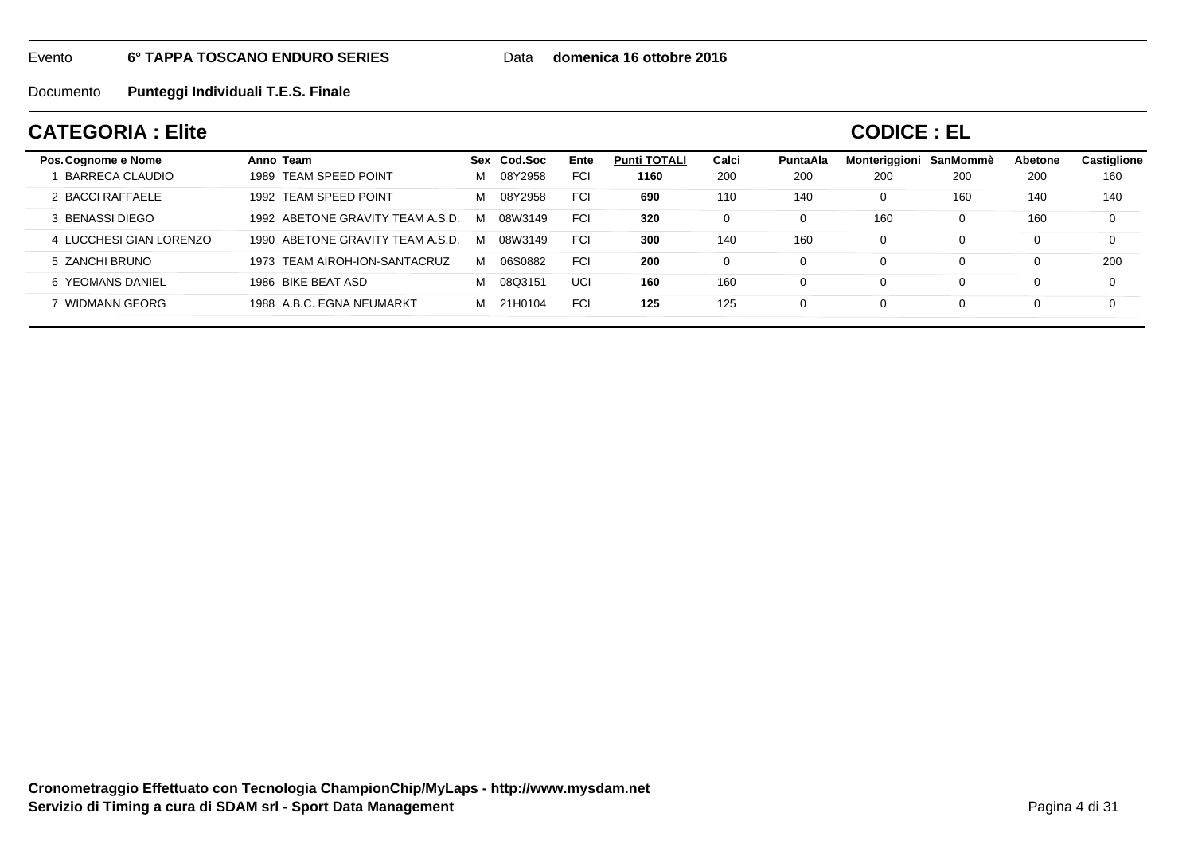Data **domenica 16 ottobre 2016**

Documento**Punteggi Individuali T.E.S. Finale**

## **CATEGORIA : Elite**

| Pos. Cognome e Nome     | Anno Team                        |   | Sex Cod.Soc | Ente       | <b>Punti TOTALI</b> | Calci    | PuntaAla | Monteriggioni | SanMommè | Abetone | <b>Castiglione</b> |
|-------------------------|----------------------------------|---|-------------|------------|---------------------|----------|----------|---------------|----------|---------|--------------------|
| BARRECA CLAUDIO         | TEAM SPEED POINT<br>1989         | м | 08Y2958     | <b>FCI</b> | 1160                | 200      | 200      | 200           | 200      | 200     | 160                |
| 2 BACCI RAFFAELE        | 1992 TEAM SPEED POINT            | м | 08Y2958     | <b>FCI</b> | 690                 | 110      | 140      | $\mathbf 0$   | 160      | 140     | 140                |
| 3 BENASSI DIEGO         | 1992 ABETONE GRAVITY TEAM A.S.D. | M | 08W3149     | <b>FCI</b> | 320                 | 0        |          | 160           |          | 160     | 0                  |
| 4 LUCCHESI GIAN LORENZO | 1990 ABETONE GRAVITY TEAM A.S.D. | M | 08W3149     | <b>FCI</b> | 300                 | 140      | 160      | $\Omega$      |          | 0       | 0                  |
| 5 ZANCHI BRUNO          | 1973 TEAM AIROH-ION-SANTACRUZ    | м | 06S0882     | <b>FCI</b> | 200                 | $\Omega$ |          | $\Omega$      |          | 0       | 200                |
| 6 YEOMANS DANIEL        | 1986 BIKE BEAT ASD               | м | 08Q3151     | UCI        | 160                 | 160      |          | $\Omega$      |          |         | 0                  |
| WIDMANN GEORG           | 1988 A.B.C. EGNA NEUMARKT        | м | 21H0104     | <b>FCI</b> | 125                 | 125      |          | $\Omega$      |          | 0       | 0                  |
|                         |                                  |   |             |            |                     |          |          |               |          |         |                    |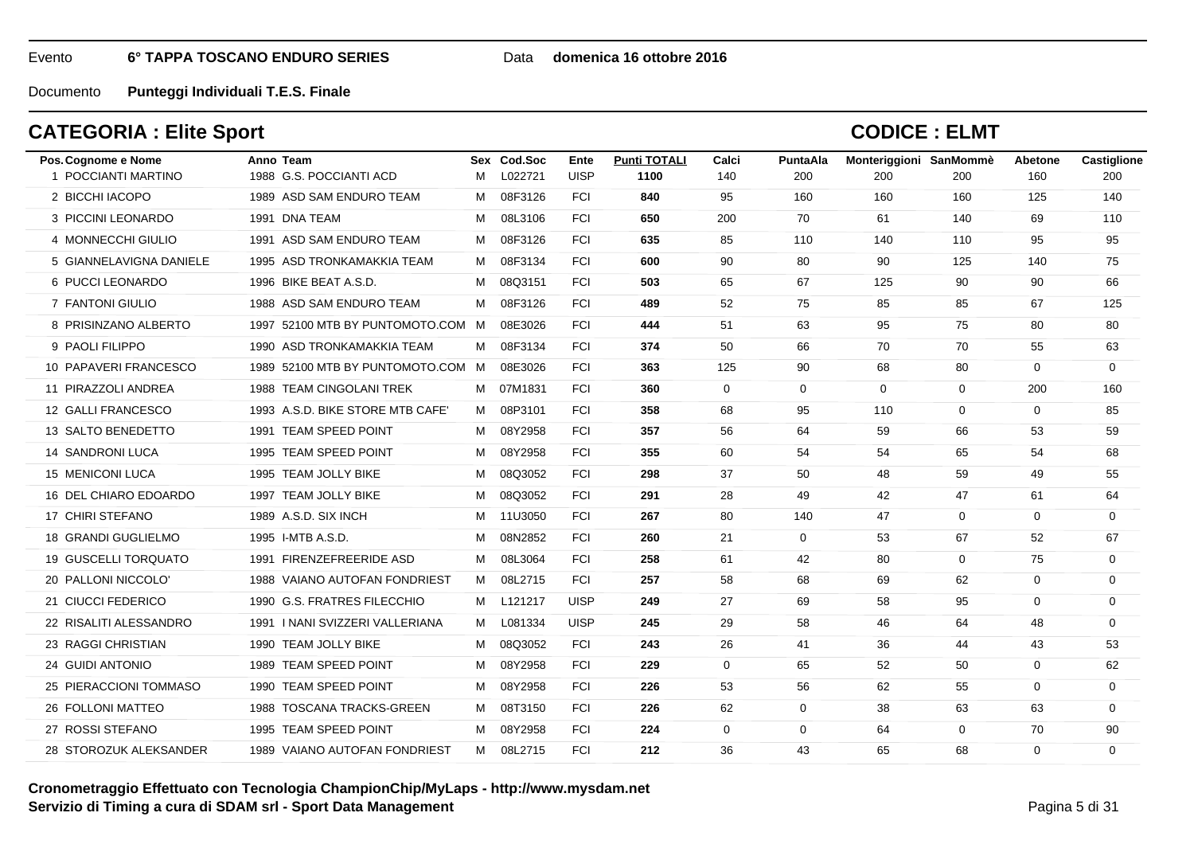### Data **domenica 16 ottobre 2016**

Documento**Punteggi Individuali T.E.S. Finale**

## **CATEGORIA : Elite Sport**

| 1 POCCIANTI MARTINO<br>1988 G.S. POCCIANTI ACD<br>L022721<br><b>UISP</b><br>1100<br>200<br>200<br>160<br>м<br>140<br>200<br>200<br>2 BICCHI IACOPO<br>1989 ASD SAM ENDURO TEAM<br>08F3126<br><b>FCI</b><br>840<br>95<br>160<br>160<br>125<br>м<br>160<br>140<br>3 PICCINI LEONARDO<br>1991 DNA TEAM<br><b>FCI</b><br>650<br>200<br>70<br>69<br>08L3106<br>61<br>140<br>110<br>м<br>95<br>4 MONNECCHI GIULIO<br>1991 ASD SAM ENDURO TEAM<br>08F3126<br><b>FCI</b><br>635<br>85<br>110<br>140<br>110<br>95<br>M<br>08F3134<br>5 GIANNELAVIGNA DANIELE<br>1995 ASD TRONKAMAKKIA TEAM<br><b>FCI</b><br>600<br>90<br>80<br>90<br>125<br>140<br>75<br>м<br>6 PUCCI LEONARDO<br>1996 BIKE BEAT A.S.D.<br>08Q3151<br><b>FCI</b><br>503<br>65<br>67<br>125<br>90<br>90<br>66<br>М<br>7 FANTONI GIULIO<br>1988 ASD SAM ENDURO TEAM<br>08F3126<br><b>FCI</b><br>489<br>52<br>75<br>85<br>67<br>м<br>85<br>125<br><b>FCI</b><br>80<br>8 PRISINZANO ALBERTO<br>1997 52100 MTB BY PUNTOMOTO.COM M<br>08E3026<br>444<br>51<br>63<br>95<br>75<br>80<br>9 PAOLI FILIPPO<br>08F3134<br><b>FCI</b><br>50<br>66<br>70<br>70<br>55<br>1990 ASD TRONKAMAKKIA TEAM<br>374<br>63<br>M<br>10 PAPAVERI FRANCESCO<br>1989 52100 MTB BY PUNTOMOTO.COM M<br>08E3026<br><b>FCI</b><br>363<br>125<br>90<br>68<br>80<br>$\mathbf 0$<br>$\mathbf 0$<br>$\mathbf{0}$<br>11 PIRAZZOLI ANDREA<br>1988 TEAM CINGOLANI TREK<br>07M1831<br><b>FCI</b><br>360<br>$\mathbf{0}$<br>$\overline{0}$<br>$\mathbf 0$<br>200<br>160<br>M<br>12 GALLI FRANCESCO<br>1993 A.S.D. BIKE STORE MTB CAFE'<br>08P3101<br><b>FCI</b><br>358<br>95<br>$\Omega$<br>м<br>68<br>110<br>$\mathbf 0$<br>85<br>13 SALTO BENEDETTO<br>1991 TEAM SPEED POINT<br><b>FCI</b><br>08Y2958<br>357<br>56<br>64<br>59<br>66<br>53<br>59<br>м<br><b>FCI</b><br>355<br>60<br>54<br>54<br>65<br>54<br>14 SANDRONI LUCA<br>1995 TEAM SPEED POINT<br>08Y2958<br>68<br>M<br><b>15 MENICONI LUCA</b><br>1995 TEAM JOLLY BIKE<br>08Q3052<br><b>FCI</b><br>298<br>37<br>50<br>59<br>49<br>55<br>м<br>48<br>16 DEL CHIARO EDOARDO<br>1997 TEAM JOLLY BIKE<br>08Q3052<br><b>FCI</b><br>291<br>28<br>49<br>42<br>47<br>61<br>64<br>М<br>17 CHIRI STEFANO<br>1989 A.S.D. SIX INCH<br><b>FCI</b><br>11U3050<br>267<br>80<br>140<br>47<br>$\mathbf 0$<br>$\Omega$<br>$\mathbf 0$<br>м<br>18 GRANDI GUGLIELMO<br>1995 I-MTB A.S.D.<br>08N2852<br><b>FCI</b><br>260<br>21<br>$\mathbf{0}$<br>67<br>52<br>67<br>м<br>53<br>19 GUSCELLI TORQUATO<br>1991 FIRENZEFREERIDE ASD<br><b>FCI</b><br>75<br>08L3064<br>258<br>61<br>42<br>80<br>$\mathbf 0$<br>0<br>м<br>20 PALLONI NICCOLO'<br>1988 VAIANO AUTOFAN FONDRIEST<br>08L2715<br><b>FCI</b><br>257<br>58<br>68<br>62<br>$\mathbf 0$<br>M<br>69<br>$\mathbf 0$<br>21 CIUCCI FEDERICO<br>1990 G.S. FRATRES FILECCHIO<br>L121217<br><b>UISP</b><br>249<br>27<br>69<br>58<br>95<br>$\mathbf 0$<br>$\mathbf 0$<br>M<br>22 RISALITI ALESSANDRO<br>1991   NANI SVIZZERI VALLERIANA<br>L081334<br><b>UISP</b><br>29<br>58<br>245<br>46<br>64<br>48<br>$\mathbf 0$<br>м<br>23 RAGGI CHRISTIAN<br>1990 TEAM JOLLY BIKE<br>08Q3052<br><b>FCI</b><br>243<br>26<br>36<br>43<br>53<br>41<br>44<br>M<br><b>FCI</b><br>24 GUIDI ANTONIO<br>1989 TEAM SPEED POINT<br>08Y2958<br>229<br>$\mathbf{0}$<br>65<br>52<br>50<br>$\mathbf 0$<br>62<br>м<br>25 PIERACCIONI TOMMASO<br>1990 TEAM SPEED POINT<br>08Y2958<br><b>FCI</b><br>226<br>53<br>56<br>62<br>55<br>$\Omega$<br>$\mathbf 0$<br>м<br>26 FOLLONI MATTEO<br>1988 TOSCANA TRACKS-GREEN<br>08T3150<br><b>FCI</b><br>226<br>62<br>$\mathbf{0}$<br>38<br>63<br>63<br>$\mathbf 0$<br>M<br>27 ROSSI STEFANO<br>1995 TEAM SPEED POINT<br>70<br>08Y2958<br><b>FCI</b><br>224<br>$\mathbf{0}$<br>$\mathbf 0$<br>64<br>$\mathbf 0$<br>90<br>м<br>M 08L2715<br><b>FCI</b><br>212<br>36<br>43<br>65<br>68<br>$\Omega$<br>$\Omega$<br>28 STOROZUK ALEKSANDER<br>1989 VAIANO AUTOFAN FONDRIEST | Pos. Cognome e Nome | Anno Team | Sex Cod.Soc | Ente | <b>Punti TOTALI</b> | Calci | <b>PuntaAla</b> | Monteriggioni SanMommè | Abetone | <b>Castiglione</b> |
|--------------------------------------------------------------------------------------------------------------------------------------------------------------------------------------------------------------------------------------------------------------------------------------------------------------------------------------------------------------------------------------------------------------------------------------------------------------------------------------------------------------------------------------------------------------------------------------------------------------------------------------------------------------------------------------------------------------------------------------------------------------------------------------------------------------------------------------------------------------------------------------------------------------------------------------------------------------------------------------------------------------------------------------------------------------------------------------------------------------------------------------------------------------------------------------------------------------------------------------------------------------------------------------------------------------------------------------------------------------------------------------------------------------------------------------------------------------------------------------------------------------------------------------------------------------------------------------------------------------------------------------------------------------------------------------------------------------------------------------------------------------------------------------------------------------------------------------------------------------------------------------------------------------------------------------------------------------------------------------------------------------------------------------------------------------------------------------------------------------------------------------------------------------------------------------------------------------------------------------------------------------------------------------------------------------------------------------------------------------------------------------------------------------------------------------------------------------------------------------------------------------------------------------------------------------------------------------------------------------------------------------------------------------------------------------------------------------------------------------------------------------------------------------------------------------------------------------------------------------------------------------------------------------------------------------------------------------------------------------------------------------------------------------------------------------------------------------------------------------------------------------------------------------------------------------------------------------------------------------------------------------------------------------------------------------------------------------------------------------------------------------------------------------------------------------------------------------------------------------------------------------------------------------------------------------------------------------------------------------------------------------------------------------------------------------------------------------------------------------------------------------------------------------------------------------------------------------------------------------------------------|---------------------|-----------|-------------|------|---------------------|-------|-----------------|------------------------|---------|--------------------|
|                                                                                                                                                                                                                                                                                                                                                                                                                                                                                                                                                                                                                                                                                                                                                                                                                                                                                                                                                                                                                                                                                                                                                                                                                                                                                                                                                                                                                                                                                                                                                                                                                                                                                                                                                                                                                                                                                                                                                                                                                                                                                                                                                                                                                                                                                                                                                                                                                                                                                                                                                                                                                                                                                                                                                                                                                                                                                                                                                                                                                                                                                                                                                                                                                                                                                                                                                                                                                                                                                                                                                                                                                                                                                                                                                                                                                                                                                |                     |           |             |      |                     |       |                 |                        |         |                    |
|                                                                                                                                                                                                                                                                                                                                                                                                                                                                                                                                                                                                                                                                                                                                                                                                                                                                                                                                                                                                                                                                                                                                                                                                                                                                                                                                                                                                                                                                                                                                                                                                                                                                                                                                                                                                                                                                                                                                                                                                                                                                                                                                                                                                                                                                                                                                                                                                                                                                                                                                                                                                                                                                                                                                                                                                                                                                                                                                                                                                                                                                                                                                                                                                                                                                                                                                                                                                                                                                                                                                                                                                                                                                                                                                                                                                                                                                                |                     |           |             |      |                     |       |                 |                        |         |                    |
|                                                                                                                                                                                                                                                                                                                                                                                                                                                                                                                                                                                                                                                                                                                                                                                                                                                                                                                                                                                                                                                                                                                                                                                                                                                                                                                                                                                                                                                                                                                                                                                                                                                                                                                                                                                                                                                                                                                                                                                                                                                                                                                                                                                                                                                                                                                                                                                                                                                                                                                                                                                                                                                                                                                                                                                                                                                                                                                                                                                                                                                                                                                                                                                                                                                                                                                                                                                                                                                                                                                                                                                                                                                                                                                                                                                                                                                                                |                     |           |             |      |                     |       |                 |                        |         |                    |
|                                                                                                                                                                                                                                                                                                                                                                                                                                                                                                                                                                                                                                                                                                                                                                                                                                                                                                                                                                                                                                                                                                                                                                                                                                                                                                                                                                                                                                                                                                                                                                                                                                                                                                                                                                                                                                                                                                                                                                                                                                                                                                                                                                                                                                                                                                                                                                                                                                                                                                                                                                                                                                                                                                                                                                                                                                                                                                                                                                                                                                                                                                                                                                                                                                                                                                                                                                                                                                                                                                                                                                                                                                                                                                                                                                                                                                                                                |                     |           |             |      |                     |       |                 |                        |         |                    |
|                                                                                                                                                                                                                                                                                                                                                                                                                                                                                                                                                                                                                                                                                                                                                                                                                                                                                                                                                                                                                                                                                                                                                                                                                                                                                                                                                                                                                                                                                                                                                                                                                                                                                                                                                                                                                                                                                                                                                                                                                                                                                                                                                                                                                                                                                                                                                                                                                                                                                                                                                                                                                                                                                                                                                                                                                                                                                                                                                                                                                                                                                                                                                                                                                                                                                                                                                                                                                                                                                                                                                                                                                                                                                                                                                                                                                                                                                |                     |           |             |      |                     |       |                 |                        |         |                    |
|                                                                                                                                                                                                                                                                                                                                                                                                                                                                                                                                                                                                                                                                                                                                                                                                                                                                                                                                                                                                                                                                                                                                                                                                                                                                                                                                                                                                                                                                                                                                                                                                                                                                                                                                                                                                                                                                                                                                                                                                                                                                                                                                                                                                                                                                                                                                                                                                                                                                                                                                                                                                                                                                                                                                                                                                                                                                                                                                                                                                                                                                                                                                                                                                                                                                                                                                                                                                                                                                                                                                                                                                                                                                                                                                                                                                                                                                                |                     |           |             |      |                     |       |                 |                        |         |                    |
|                                                                                                                                                                                                                                                                                                                                                                                                                                                                                                                                                                                                                                                                                                                                                                                                                                                                                                                                                                                                                                                                                                                                                                                                                                                                                                                                                                                                                                                                                                                                                                                                                                                                                                                                                                                                                                                                                                                                                                                                                                                                                                                                                                                                                                                                                                                                                                                                                                                                                                                                                                                                                                                                                                                                                                                                                                                                                                                                                                                                                                                                                                                                                                                                                                                                                                                                                                                                                                                                                                                                                                                                                                                                                                                                                                                                                                                                                |                     |           |             |      |                     |       |                 |                        |         |                    |
|                                                                                                                                                                                                                                                                                                                                                                                                                                                                                                                                                                                                                                                                                                                                                                                                                                                                                                                                                                                                                                                                                                                                                                                                                                                                                                                                                                                                                                                                                                                                                                                                                                                                                                                                                                                                                                                                                                                                                                                                                                                                                                                                                                                                                                                                                                                                                                                                                                                                                                                                                                                                                                                                                                                                                                                                                                                                                                                                                                                                                                                                                                                                                                                                                                                                                                                                                                                                                                                                                                                                                                                                                                                                                                                                                                                                                                                                                |                     |           |             |      |                     |       |                 |                        |         |                    |
|                                                                                                                                                                                                                                                                                                                                                                                                                                                                                                                                                                                                                                                                                                                                                                                                                                                                                                                                                                                                                                                                                                                                                                                                                                                                                                                                                                                                                                                                                                                                                                                                                                                                                                                                                                                                                                                                                                                                                                                                                                                                                                                                                                                                                                                                                                                                                                                                                                                                                                                                                                                                                                                                                                                                                                                                                                                                                                                                                                                                                                                                                                                                                                                                                                                                                                                                                                                                                                                                                                                                                                                                                                                                                                                                                                                                                                                                                |                     |           |             |      |                     |       |                 |                        |         |                    |
|                                                                                                                                                                                                                                                                                                                                                                                                                                                                                                                                                                                                                                                                                                                                                                                                                                                                                                                                                                                                                                                                                                                                                                                                                                                                                                                                                                                                                                                                                                                                                                                                                                                                                                                                                                                                                                                                                                                                                                                                                                                                                                                                                                                                                                                                                                                                                                                                                                                                                                                                                                                                                                                                                                                                                                                                                                                                                                                                                                                                                                                                                                                                                                                                                                                                                                                                                                                                                                                                                                                                                                                                                                                                                                                                                                                                                                                                                |                     |           |             |      |                     |       |                 |                        |         |                    |
|                                                                                                                                                                                                                                                                                                                                                                                                                                                                                                                                                                                                                                                                                                                                                                                                                                                                                                                                                                                                                                                                                                                                                                                                                                                                                                                                                                                                                                                                                                                                                                                                                                                                                                                                                                                                                                                                                                                                                                                                                                                                                                                                                                                                                                                                                                                                                                                                                                                                                                                                                                                                                                                                                                                                                                                                                                                                                                                                                                                                                                                                                                                                                                                                                                                                                                                                                                                                                                                                                                                                                                                                                                                                                                                                                                                                                                                                                |                     |           |             |      |                     |       |                 |                        |         |                    |
|                                                                                                                                                                                                                                                                                                                                                                                                                                                                                                                                                                                                                                                                                                                                                                                                                                                                                                                                                                                                                                                                                                                                                                                                                                                                                                                                                                                                                                                                                                                                                                                                                                                                                                                                                                                                                                                                                                                                                                                                                                                                                                                                                                                                                                                                                                                                                                                                                                                                                                                                                                                                                                                                                                                                                                                                                                                                                                                                                                                                                                                                                                                                                                                                                                                                                                                                                                                                                                                                                                                                                                                                                                                                                                                                                                                                                                                                                |                     |           |             |      |                     |       |                 |                        |         |                    |
|                                                                                                                                                                                                                                                                                                                                                                                                                                                                                                                                                                                                                                                                                                                                                                                                                                                                                                                                                                                                                                                                                                                                                                                                                                                                                                                                                                                                                                                                                                                                                                                                                                                                                                                                                                                                                                                                                                                                                                                                                                                                                                                                                                                                                                                                                                                                                                                                                                                                                                                                                                                                                                                                                                                                                                                                                                                                                                                                                                                                                                                                                                                                                                                                                                                                                                                                                                                                                                                                                                                                                                                                                                                                                                                                                                                                                                                                                |                     |           |             |      |                     |       |                 |                        |         |                    |
|                                                                                                                                                                                                                                                                                                                                                                                                                                                                                                                                                                                                                                                                                                                                                                                                                                                                                                                                                                                                                                                                                                                                                                                                                                                                                                                                                                                                                                                                                                                                                                                                                                                                                                                                                                                                                                                                                                                                                                                                                                                                                                                                                                                                                                                                                                                                                                                                                                                                                                                                                                                                                                                                                                                                                                                                                                                                                                                                                                                                                                                                                                                                                                                                                                                                                                                                                                                                                                                                                                                                                                                                                                                                                                                                                                                                                                                                                |                     |           |             |      |                     |       |                 |                        |         |                    |
|                                                                                                                                                                                                                                                                                                                                                                                                                                                                                                                                                                                                                                                                                                                                                                                                                                                                                                                                                                                                                                                                                                                                                                                                                                                                                                                                                                                                                                                                                                                                                                                                                                                                                                                                                                                                                                                                                                                                                                                                                                                                                                                                                                                                                                                                                                                                                                                                                                                                                                                                                                                                                                                                                                                                                                                                                                                                                                                                                                                                                                                                                                                                                                                                                                                                                                                                                                                                                                                                                                                                                                                                                                                                                                                                                                                                                                                                                |                     |           |             |      |                     |       |                 |                        |         |                    |
|                                                                                                                                                                                                                                                                                                                                                                                                                                                                                                                                                                                                                                                                                                                                                                                                                                                                                                                                                                                                                                                                                                                                                                                                                                                                                                                                                                                                                                                                                                                                                                                                                                                                                                                                                                                                                                                                                                                                                                                                                                                                                                                                                                                                                                                                                                                                                                                                                                                                                                                                                                                                                                                                                                                                                                                                                                                                                                                                                                                                                                                                                                                                                                                                                                                                                                                                                                                                                                                                                                                                                                                                                                                                                                                                                                                                                                                                                |                     |           |             |      |                     |       |                 |                        |         |                    |
|                                                                                                                                                                                                                                                                                                                                                                                                                                                                                                                                                                                                                                                                                                                                                                                                                                                                                                                                                                                                                                                                                                                                                                                                                                                                                                                                                                                                                                                                                                                                                                                                                                                                                                                                                                                                                                                                                                                                                                                                                                                                                                                                                                                                                                                                                                                                                                                                                                                                                                                                                                                                                                                                                                                                                                                                                                                                                                                                                                                                                                                                                                                                                                                                                                                                                                                                                                                                                                                                                                                                                                                                                                                                                                                                                                                                                                                                                |                     |           |             |      |                     |       |                 |                        |         |                    |
|                                                                                                                                                                                                                                                                                                                                                                                                                                                                                                                                                                                                                                                                                                                                                                                                                                                                                                                                                                                                                                                                                                                                                                                                                                                                                                                                                                                                                                                                                                                                                                                                                                                                                                                                                                                                                                                                                                                                                                                                                                                                                                                                                                                                                                                                                                                                                                                                                                                                                                                                                                                                                                                                                                                                                                                                                                                                                                                                                                                                                                                                                                                                                                                                                                                                                                                                                                                                                                                                                                                                                                                                                                                                                                                                                                                                                                                                                |                     |           |             |      |                     |       |                 |                        |         |                    |
|                                                                                                                                                                                                                                                                                                                                                                                                                                                                                                                                                                                                                                                                                                                                                                                                                                                                                                                                                                                                                                                                                                                                                                                                                                                                                                                                                                                                                                                                                                                                                                                                                                                                                                                                                                                                                                                                                                                                                                                                                                                                                                                                                                                                                                                                                                                                                                                                                                                                                                                                                                                                                                                                                                                                                                                                                                                                                                                                                                                                                                                                                                                                                                                                                                                                                                                                                                                                                                                                                                                                                                                                                                                                                                                                                                                                                                                                                |                     |           |             |      |                     |       |                 |                        |         |                    |
|                                                                                                                                                                                                                                                                                                                                                                                                                                                                                                                                                                                                                                                                                                                                                                                                                                                                                                                                                                                                                                                                                                                                                                                                                                                                                                                                                                                                                                                                                                                                                                                                                                                                                                                                                                                                                                                                                                                                                                                                                                                                                                                                                                                                                                                                                                                                                                                                                                                                                                                                                                                                                                                                                                                                                                                                                                                                                                                                                                                                                                                                                                                                                                                                                                                                                                                                                                                                                                                                                                                                                                                                                                                                                                                                                                                                                                                                                |                     |           |             |      |                     |       |                 |                        |         |                    |
|                                                                                                                                                                                                                                                                                                                                                                                                                                                                                                                                                                                                                                                                                                                                                                                                                                                                                                                                                                                                                                                                                                                                                                                                                                                                                                                                                                                                                                                                                                                                                                                                                                                                                                                                                                                                                                                                                                                                                                                                                                                                                                                                                                                                                                                                                                                                                                                                                                                                                                                                                                                                                                                                                                                                                                                                                                                                                                                                                                                                                                                                                                                                                                                                                                                                                                                                                                                                                                                                                                                                                                                                                                                                                                                                                                                                                                                                                |                     |           |             |      |                     |       |                 |                        |         |                    |
|                                                                                                                                                                                                                                                                                                                                                                                                                                                                                                                                                                                                                                                                                                                                                                                                                                                                                                                                                                                                                                                                                                                                                                                                                                                                                                                                                                                                                                                                                                                                                                                                                                                                                                                                                                                                                                                                                                                                                                                                                                                                                                                                                                                                                                                                                                                                                                                                                                                                                                                                                                                                                                                                                                                                                                                                                                                                                                                                                                                                                                                                                                                                                                                                                                                                                                                                                                                                                                                                                                                                                                                                                                                                                                                                                                                                                                                                                |                     |           |             |      |                     |       |                 |                        |         |                    |
|                                                                                                                                                                                                                                                                                                                                                                                                                                                                                                                                                                                                                                                                                                                                                                                                                                                                                                                                                                                                                                                                                                                                                                                                                                                                                                                                                                                                                                                                                                                                                                                                                                                                                                                                                                                                                                                                                                                                                                                                                                                                                                                                                                                                                                                                                                                                                                                                                                                                                                                                                                                                                                                                                                                                                                                                                                                                                                                                                                                                                                                                                                                                                                                                                                                                                                                                                                                                                                                                                                                                                                                                                                                                                                                                                                                                                                                                                |                     |           |             |      |                     |       |                 |                        |         |                    |
|                                                                                                                                                                                                                                                                                                                                                                                                                                                                                                                                                                                                                                                                                                                                                                                                                                                                                                                                                                                                                                                                                                                                                                                                                                                                                                                                                                                                                                                                                                                                                                                                                                                                                                                                                                                                                                                                                                                                                                                                                                                                                                                                                                                                                                                                                                                                                                                                                                                                                                                                                                                                                                                                                                                                                                                                                                                                                                                                                                                                                                                                                                                                                                                                                                                                                                                                                                                                                                                                                                                                                                                                                                                                                                                                                                                                                                                                                |                     |           |             |      |                     |       |                 |                        |         |                    |
|                                                                                                                                                                                                                                                                                                                                                                                                                                                                                                                                                                                                                                                                                                                                                                                                                                                                                                                                                                                                                                                                                                                                                                                                                                                                                                                                                                                                                                                                                                                                                                                                                                                                                                                                                                                                                                                                                                                                                                                                                                                                                                                                                                                                                                                                                                                                                                                                                                                                                                                                                                                                                                                                                                                                                                                                                                                                                                                                                                                                                                                                                                                                                                                                                                                                                                                                                                                                                                                                                                                                                                                                                                                                                                                                                                                                                                                                                |                     |           |             |      |                     |       |                 |                        |         |                    |
|                                                                                                                                                                                                                                                                                                                                                                                                                                                                                                                                                                                                                                                                                                                                                                                                                                                                                                                                                                                                                                                                                                                                                                                                                                                                                                                                                                                                                                                                                                                                                                                                                                                                                                                                                                                                                                                                                                                                                                                                                                                                                                                                                                                                                                                                                                                                                                                                                                                                                                                                                                                                                                                                                                                                                                                                                                                                                                                                                                                                                                                                                                                                                                                                                                                                                                                                                                                                                                                                                                                                                                                                                                                                                                                                                                                                                                                                                |                     |           |             |      |                     |       |                 |                        |         |                    |
|                                                                                                                                                                                                                                                                                                                                                                                                                                                                                                                                                                                                                                                                                                                                                                                                                                                                                                                                                                                                                                                                                                                                                                                                                                                                                                                                                                                                                                                                                                                                                                                                                                                                                                                                                                                                                                                                                                                                                                                                                                                                                                                                                                                                                                                                                                                                                                                                                                                                                                                                                                                                                                                                                                                                                                                                                                                                                                                                                                                                                                                                                                                                                                                                                                                                                                                                                                                                                                                                                                                                                                                                                                                                                                                                                                                                                                                                                |                     |           |             |      |                     |       |                 |                        |         |                    |
|                                                                                                                                                                                                                                                                                                                                                                                                                                                                                                                                                                                                                                                                                                                                                                                                                                                                                                                                                                                                                                                                                                                                                                                                                                                                                                                                                                                                                                                                                                                                                                                                                                                                                                                                                                                                                                                                                                                                                                                                                                                                                                                                                                                                                                                                                                                                                                                                                                                                                                                                                                                                                                                                                                                                                                                                                                                                                                                                                                                                                                                                                                                                                                                                                                                                                                                                                                                                                                                                                                                                                                                                                                                                                                                                                                                                                                                                                |                     |           |             |      |                     |       |                 |                        |         |                    |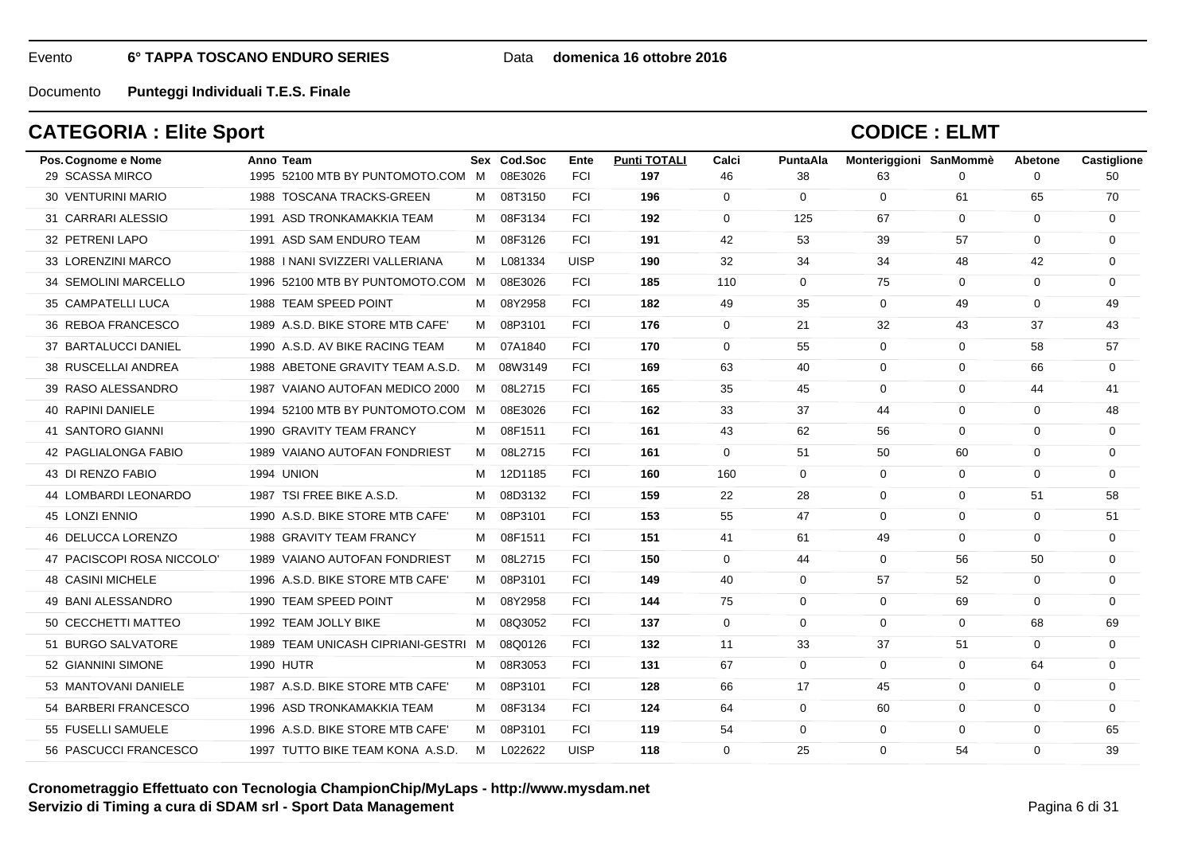#### Data **domenica 16 ottobre 2016**

Documento**Punteggi Individuali T.E.S. Finale**

## **CATEGORIA : Elite Sport**

| Pos. Cognome e Nome        | Anno Team                           |   | Sex Cod.Soc | Ente        | <b>Punti TOTALI</b> | Calci       | PuntaAla     | Monteriggioni SanMommè |             | Abetone     | Castiglione |
|----------------------------|-------------------------------------|---|-------------|-------------|---------------------|-------------|--------------|------------------------|-------------|-------------|-------------|
| 29 SCASSA MIRCO            | 1995 52100 MTB BY PUNTOMOTO.COM M   |   | 08E3026     | <b>FCI</b>  | 197                 | 46          | 38           | 63                     | $\Omega$    | $\Omega$    | 50          |
| 30 VENTURINI MARIO         | 1988 TOSCANA TRACKS-GREEN           | M | 08T3150     | <b>FCI</b>  | 196                 | $\mathbf 0$ | $\mathbf 0$  | $\mathbf 0$            | 61          | 65          | 70          |
| 31 CARRARI ALESSIO         | 1991 ASD TRONKAMAKKIA TEAM          | M | 08F3134     | <b>FCI</b>  | 192                 | $\mathbf 0$ | 125          | 67                     | $\mathbf 0$ | 0           | $\mathbf 0$ |
| 32 PETRENI LAPO            | 1991 ASD SAM ENDURO TEAM            | M | 08F3126     | <b>FCI</b>  | 191                 | 42          | 53           | 39                     | 57          | $\Omega$    | $\Omega$    |
| 33 LORENZINI MARCO         | 1988   NANI SVIZZERI VALLERIANA     | M | L081334     | <b>UISP</b> | 190                 | 32          | 34           | 34                     | 48          | 42          | $\mathbf 0$ |
| 34 SEMOLINI MARCELLO       | 1996 52100 MTB BY PUNTOMOTO.COM     | M | 08E3026     | <b>FCI</b>  | 185                 | 110         | $\mathbf{0}$ | 75                     | $\mathbf 0$ | $\mathbf 0$ | $\mathbf 0$ |
| 35 CAMPATELLI LUCA         | 1988 TEAM SPEED POINT               | м | 08Y2958     | <b>FCI</b>  | 182                 | 49          | 35           | $\mathbf 0$            | 49          | $\mathbf 0$ | 49          |
| 36 REBOA FRANCESCO         | 1989 A.S.D. BIKE STORE MTB CAFE'    | M | 08P3101     | <b>FCI</b>  | 176                 | $\Omega$    | 21           | 32                     | 43          | 37          | 43          |
| 37 BARTALUCCI DANIEL       | 1990 A.S.D. AV BIKE RACING TEAM     | M | 07A1840     | <b>FCI</b>  | 170                 | $\mathbf 0$ | 55           | $\mathbf 0$            | $\mathbf 0$ | 58          | 57          |
| 38 RUSCELLAI ANDREA        | 1988 ABETONE GRAVITY TEAM A.S.D.    | M | 08W3149     | <b>FCI</b>  | 169                 | 63          | 40           | $\mathbf 0$            | 0           | 66          | 0           |
| 39 RASO ALESSANDRO         | 1987 VAIANO AUTOFAN MEDICO 2000     | M | 08L2715     | <b>FCI</b>  | 165                 | 35          | 45           | $\Omega$               | $\mathbf 0$ | 44          | 41          |
| <b>40 RAPINI DANIELE</b>   | 1994 52100 MTB BY PUNTOMOTO.COM M   |   | 08E3026     | <b>FCI</b>  | 162                 | 33          | 37           | 44                     | $\mathbf 0$ | $\mathbf 0$ | 48          |
| 41 SANTORO GIANNI          | 1990 GRAVITY TEAM FRANCY            | M | 08F1511     | <b>FCI</b>  | 161                 | 43          | 62           | 56                     | $\mathbf 0$ | $\Omega$    | $\mathbf 0$ |
| 42 PAGLIALONGA FABIO       | 1989 VAIANO AUTOFAN FONDRIEST       | M | 08L2715     | <b>FCI</b>  | 161                 | $\mathbf 0$ | 51           | 50                     | 60          | $\mathbf 0$ | $\mathbf 0$ |
| 43 DI RENZO FABIO          | 1994 UNION                          | M | 12D1185     | <b>FCI</b>  | 160                 | 160         | $\mathbf{0}$ | $\mathbf 0$            | 0           | 0           | 0           |
| 44 LOMBARDI LEONARDO       | 1987 TSI FREE BIKE A.S.D.           | M | 08D3132     | <b>FCI</b>  | 159                 | 22          | 28           | $\mathbf 0$            | $\mathbf 0$ | 51          | 58          |
| 45 LONZI ENNIO             | 1990 A.S.D. BIKE STORE MTB CAFE'    | м | 08P3101     | <b>FCI</b>  | 153                 | 55          | 47           | $\mathbf 0$            | $\mathbf 0$ | $\mathbf 0$ | 51          |
| 46 DELUCCA LORENZO         | 1988 GRAVITY TEAM FRANCY            | M | 08F1511     | <b>FCI</b>  | 151                 | 41          | 61           | 49                     | $\mathbf 0$ | $\Omega$    | $\mathbf 0$ |
| 47 PACISCOPI ROSA NICCOLO' | 1989 VAIANO AUTOFAN FONDRIEST       | M | 08L2715     | <b>FCI</b>  | 150                 | $\mathbf 0$ | 44           | $\mathbf 0$            | 56          | 50          | 0           |
| <b>48 CASINI MICHELE</b>   | 1996 A.S.D. BIKE STORE MTB CAFE'    | M | 08P3101     | <b>FCI</b>  | 149                 | 40          | 0            | 57                     | 52          | 0           | 0           |
| 49 BANI ALESSANDRO         | 1990 TEAM SPEED POINT               | M | 08Y2958     | <b>FCI</b>  | 144                 | 75          | $\Omega$     | $\Omega$               | 69          | $\Omega$    | $\Omega$    |
| 50 CECCHETTI MATTEO        | 1992 TEAM JOLLY BIKE                | М | 08Q3052     | <b>FCI</b>  | 137                 | $\mathbf 0$ | $\mathbf 0$  | $\mathbf 0$            | $\mathbf 0$ | 68          | 69          |
| 51 BURGO SALVATORE         | 1989 TEAM UNICASH CIPRIANI-GESTRI M |   | 08Q0126     | <b>FCI</b>  | 132                 | 11          | 33           | 37                     | 51          | $\Omega$    | $\mathbf 0$ |
| 52 GIANNINI SIMONE         | <b>1990 HUTR</b>                    | M | 08R3053     | <b>FCI</b>  | 131                 | 67          | $\mathbf{0}$ | $\mathbf 0$            | $\mathbf 0$ | 64          | $\mathbf 0$ |
| 53 MANTOVANI DANIELE       | 1987 A.S.D. BIKE STORE MTB CAFE'    | M | 08P3101     | <b>FCI</b>  | 128                 | 66          | 17           | 45                     | 0           | 0           | 0           |
| 54 BARBERI FRANCESCO       | 1996 ASD TRONKAMAKKIA TEAM          | M | 08F3134     | <b>FCI</b>  | 124                 | 64          | $\mathbf{0}$ | 60                     | $\mathbf 0$ | $\mathbf 0$ | $\Omega$    |
| 55 FUSELLI SAMUELE         | 1996 A.S.D. BIKE STORE MTB CAFE'    | м | 08P3101     | <b>FCI</b>  | 119                 | 54          | $\mathbf 0$  | $\mathbf 0$            | $\mathbf 0$ | $\mathbf 0$ | 65          |
| 56 PASCUCCI FRANCESCO      | 1997 TUTTO BIKE TEAM KONA A.S.D.    | M | L022622     | <b>UISP</b> | 118                 | $\Omega$    | 25           | $\Omega$               | 54          | $\Omega$    | 39          |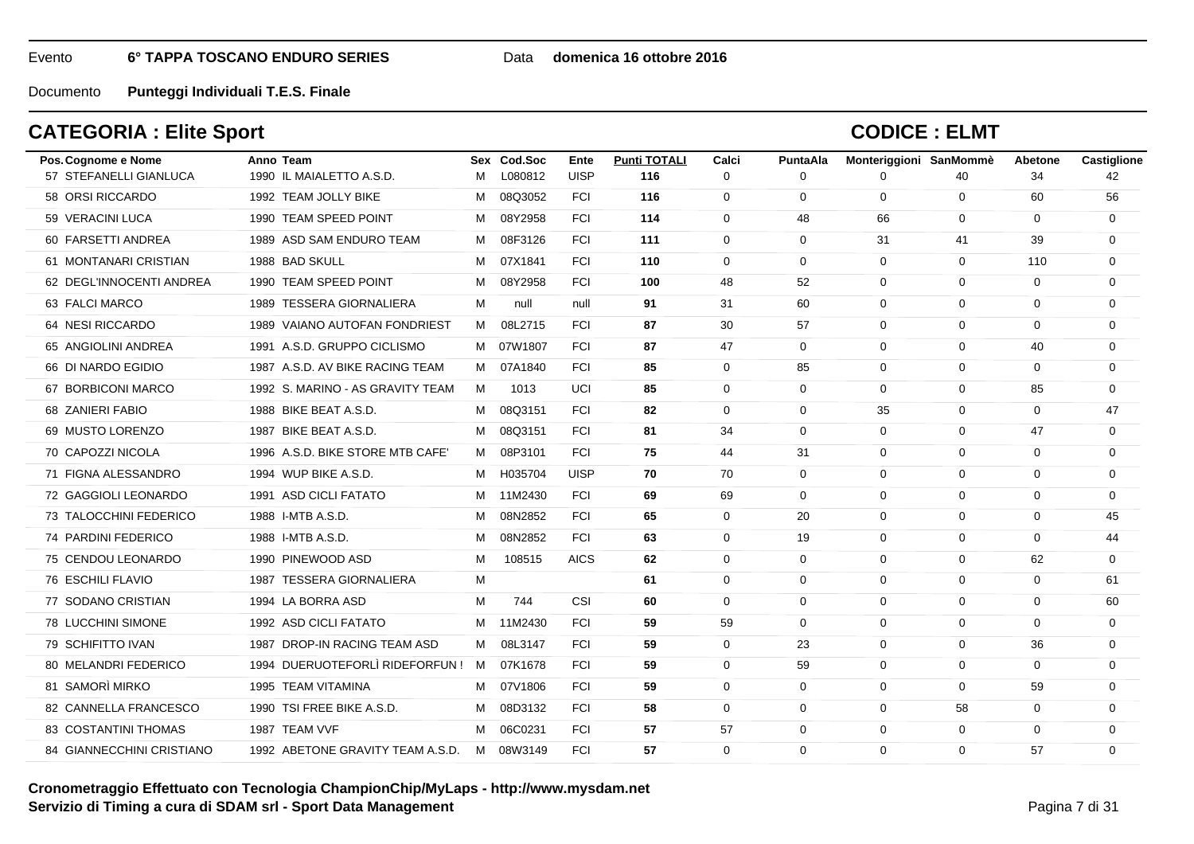### Data **domenica 16 ottobre 2016**

Documento**Punteggi Individuali T.E.S. Finale**

## **CATEGORIA : Elite Sport**

| Pos. Cognome e Nome       | Anno Team                        |   | Sex Cod.Soc | Ente        | <b>Punti TOTALI</b> | Calci          | PuntaAla     | Monteriggioni SanMommè |             | Abetone     | Castiglione |
|---------------------------|----------------------------------|---|-------------|-------------|---------------------|----------------|--------------|------------------------|-------------|-------------|-------------|
| 57 STEFANELLI GIANLUCA    | 1990 IL MAIALETTO A.S.D.         | м | L080812     | <b>UISP</b> | 116                 | $\Omega$       | $\Omega$     | 0                      | 40          | 34          | 42          |
| 58 ORSI RICCARDO          | 1992 TEAM JOLLY BIKE             | M | 08Q3052     | <b>FCI</b>  | 116                 | $\mathbf{0}$   | 0            | $\mathbf 0$            | $\mathbf 0$ | 60          | 56          |
| 59 VERACINI LUCA          | 1990 TEAM SPEED POINT            | M | 08Y2958     | <b>FCI</b>  | 114                 | $\mathbf 0$    | 48           | 66                     | $\mathbf 0$ | 0           | $\mathbf 0$ |
| 60 FARSETTI ANDREA        | 1989 ASD SAM ENDURO TEAM         | M | 08F3126     | <b>FCI</b>  | 111                 | $\Omega$       | $\Omega$     | 31                     | 41          | 39          | $\Omega$    |
| 61 MONTANARI CRISTIAN     | 1988 BAD SKULL                   | M | 07X1841     | <b>FCI</b>  | 110                 | $\mathbf 0$    | $\mathbf 0$  | $\mathbf 0$            | $\mathbf 0$ | 110         | $\Omega$    |
| 62 DEGL'INNOCENTI ANDREA  | 1990 TEAM SPEED POINT            | M | 08Y2958     | <b>FCI</b>  | 100                 | 48             | 52           | $\mathbf 0$            | $\mathbf 0$ | 0           | $\mathbf 0$ |
| 63 FALCI MARCO            | 1989 TESSERA GIORNALIERA         | м | null        | null        | 91                  | 31             | 60           | 0                      | $\mathbf 0$ | $\Omega$    | $\Omega$    |
| 64 NESI RICCARDO          | 1989 VAIANO AUTOFAN FONDRIEST    | M | 08L2715     | <b>FCI</b>  | 87                  | 30             | 57           | $\mathbf 0$            | $\mathbf 0$ | $\mathbf 0$ | $\mathbf 0$ |
| 65 ANGIOLINI ANDREA       | 1991 A.S.D. GRUPPO CICLISMO      |   | M 07W1807   | <b>FCI</b>  | 87                  | 47             | $\mathbf 0$  | $\mathbf 0$            | $\mathbf 0$ | 40          | 0           |
| 66 DI NARDO EGIDIO        | 1987 A.S.D. AV BIKE RACING TEAM  | M | 07A1840     | <b>FCI</b>  | 85                  | $\mathbf 0$    | 85           | $\mathbf 0$            | $\mathbf 0$ | $\Omega$    | 0           |
| 67 BORBICONI MARCO        | 1992 S. MARINO - AS GRAVITY TEAM | M | 1013        | UCI         | 85                  | $\mathbf 0$    | $\mathbf{0}$ | $\mathbf 0$            | $\mathbf 0$ | 85          | $\mathbf 0$ |
| 68 ZANIERI FABIO          | 1988 BIKE BEAT A.S.D.            | M | 08Q3151     | <b>FCI</b>  | 82                  | $\Omega$       | $\mathbf 0$  | 35                     | $\mathbf 0$ | $\Omega$    | 47          |
| 69 MUSTO LORENZO          | 1987 BIKE BEAT A.S.D.            | м | 08Q3151     | <b>FCI</b>  | 81                  | 34             | $\mathbf 0$  | $\mathbf 0$            | $\mathbf 0$ | 47          | 0           |
| 70 CAPOZZI NICOLA         | 1996 A.S.D. BIKE STORE MTB CAFE' | M | 08P3101     | <b>FCI</b>  | 75                  | 44             | 31           | $\mathbf 0$            | $\mathbf 0$ | $\mathbf 0$ | $\mathbf 0$ |
| 71 FIGNA ALESSANDRO       | 1994 WUP BIKE A.S.D.             | M | H035704     | <b>UISP</b> | 70                  | 70             | $\mathbf 0$  | $\mathbf 0$            | $\mathbf 0$ | $\Omega$    | $\Omega$    |
| 72 GAGGIOLI LEONARDO      | 1991 ASD CICLI FATATO            | M | 11M2430     | <b>FCI</b>  | 69                  | 69             | 0            | $\mathbf 0$            | $\mathbf 0$ | 0           | $\mathbf 0$ |
| 73 TALOCCHINI FEDERICO    | 1988 I-MTB A.S.D.                | м | 08N2852     | <b>FCI</b>  | 65                  | $\mathbf 0$    | 20           | $\mathbf 0$            | $\mathbf 0$ | 0           | 45          |
| 74 PARDINI FEDERICO       | 1988 I-MTB A.S.D.                | M | 08N2852     | <b>FCI</b>  | 63                  | $\mathbf 0$    | 19           | $\mathbf 0$            | $\mathbf 0$ | $\Omega$    | 44          |
| 75 CENDOU LEONARDO        | 1990 PINEWOOD ASD                | м | 108515      | <b>AICS</b> | 62                  | $\Omega$       | $\Omega$     | $\Omega$               | $\Omega$    | 62          | $\Omega$    |
| 76 ESCHILI FLAVIO         | 1987 TESSERA GIORNALIERA         | м |             |             | 61                  | $\mathbf 0$    | $\mathbf 0$  | 0                      | 0           | $\mathbf 0$ | 61          |
| 77 SODANO CRISTIAN        | 1994 LA BORRA ASD                | м | 744         | <b>CSI</b>  | 60                  | $\Omega$       | 0            | $\Omega$               | $\mathbf 0$ | 0           | 60          |
| 78 LUCCHINI SIMONE        | 1992 ASD CICLI FATATO            | м | 11M2430     | <b>FCI</b>  | 59                  | 59             | 0            | $\Omega$               | $\Omega$    | $\Omega$    | $\mathbf 0$ |
| 79 SCHIFITTO IVAN         | 1987 DROP-IN RACING TEAM ASD     | M | 08L3147     | <b>FCI</b>  | 59                  | $\mathbf 0$    | 23           | $\mathbf 0$            | $\mathbf 0$ | 36          | $\mathbf 0$ |
| 80 MELANDRI FEDERICO      | 1994 DUERUOTEFORLÌ RIDEFORFUN!   | M | 07K1678     | <b>FCI</b>  | 59                  | $\Omega$       | 59           | $\mathbf 0$            | $\mathbf 0$ | $\Omega$    | $\Omega$    |
| 81 SAMORÌ MIRKO           | 1995 TEAM VITAMINA               | M | 07V1806     | <b>FCI</b>  | 59                  | $\Omega$       | $\Omega$     | $\Omega$               | $\Omega$    | 59          | 0           |
| 82 CANNELLA FRANCESCO     | 1990 TSI FREE BIKE A.S.D.        | м | 08D3132     | <b>FCI</b>  | 58                  | $\overline{0}$ | $\mathbf 0$  | $\mathbf 0$            | 58          | 0           | $\mathbf 0$ |
| 83 COSTANTINI THOMAS      | 1987 TEAM VVF                    | M | 06C0231     | <b>FCI</b>  | 57                  | 57             | 0            | $\mathbf 0$            | $\mathbf 0$ | 0           | 0           |
| 84 GIANNECCHINI CRISTIANO | 1992 ABETONE GRAVITY TEAM A.S.D. |   | M 08W3149   | <b>FCI</b>  | 57                  | $\Omega$       | $\Omega$     | $\Omega$               | $\Omega$    | 57          | $\Omega$    |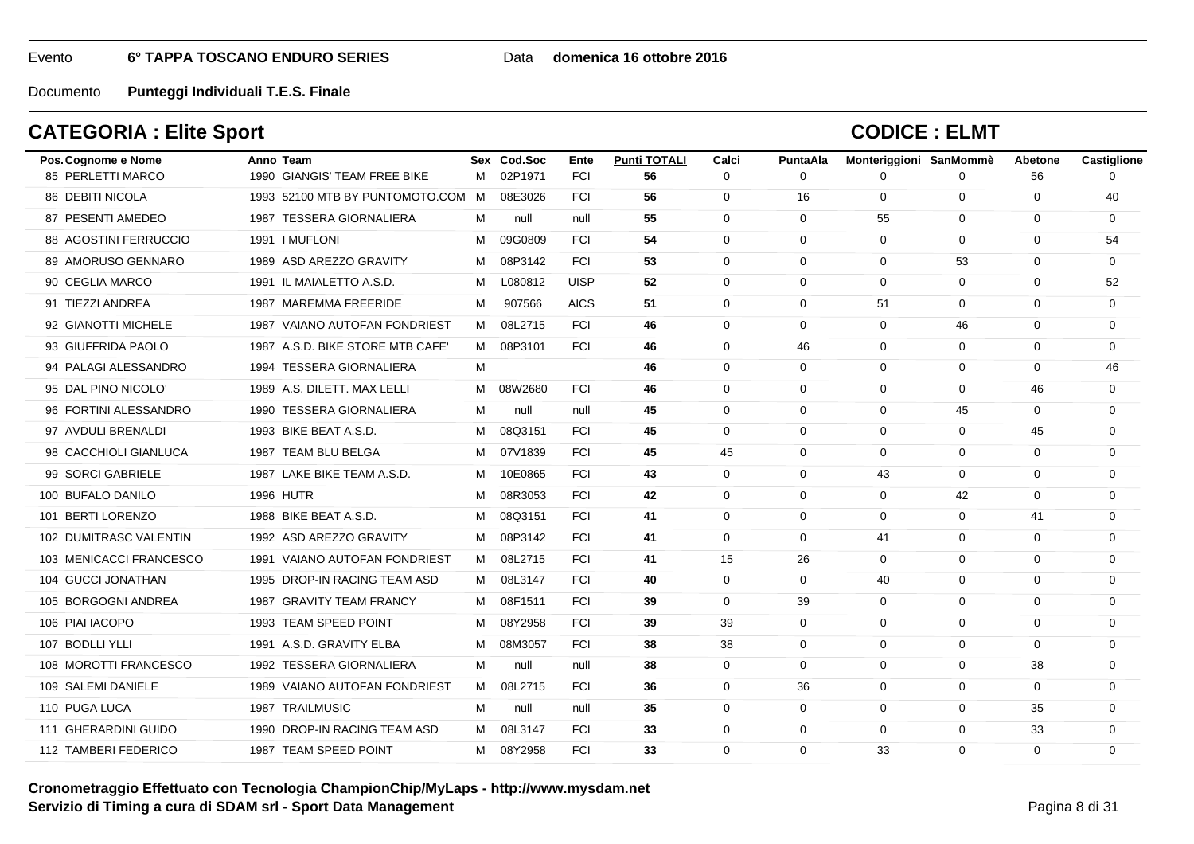#### Data **domenica 16 ottobre 2016**

Documento**Punteggi Individuali T.E.S. Finale**

## **CATEGORIA : Elite Sport**

| Pos. Cognome e Nome     | Anno Team                         |   | Sex Cod.Soc | Ente        | <b>Punti TOTALI</b> | Calci       | PuntaAla     | Monteriggioni SanMommè |             | Abetone     | Castiglione |
|-------------------------|-----------------------------------|---|-------------|-------------|---------------------|-------------|--------------|------------------------|-------------|-------------|-------------|
| 85 PERLETTI MARCO       | 1990 GIANGIS' TEAM FREE BIKE      | M | 02P1971     | <b>FCI</b>  | 56                  | $\Omega$    | $\Omega$     | 0                      | $\Omega$    | 56          | $\Omega$    |
| 86 DEBITI NICOLA        | 1993 52100 MTB BY PUNTOMOTO.COM M |   | 08E3026     | <b>FCI</b>  | 56                  | 0           | 16           | $\mathbf 0$            | $\mathbf 0$ | 0           | 40          |
| 87 PESENTI AMEDEO       | 1987 TESSERA GIORNALIERA          | м | null        | null        | 55                  | $\Omega$    | $\mathbf{0}$ | 55                     | $\mathbf 0$ | 0           | $\mathbf 0$ |
| 88 AGOSTINI FERRUCCIO   | 1991   MUFLONI                    | м | 09G0809     | <b>FCI</b>  | 54                  | $\Omega$    | $\mathbf 0$  | $\mathbf 0$            | $\Omega$    | $\Omega$    | 54          |
| 89 AMORUSO GENNARO      | 1989 ASD AREZZO GRAVITY           | M | 08P3142     | <b>FCI</b>  | 53                  | $\Omega$    | $\Omega$     | $\Omega$               | 53          | $\Omega$    | $\Omega$    |
| 90 CEGLIA MARCO         | 1991 IL MAIALETTO A.S.D.          | M | L080812     | <b>UISP</b> | 52                  | $\mathbf 0$ | $\mathbf{0}$ | $\mathbf 0$            | $\mathbf 0$ | $\mathbf 0$ | 52          |
| 91 TIEZZI ANDREA        | 1987 MAREMMA FREERIDE             | M | 907566      | <b>AICS</b> | 51                  | 0           | $\mathbf 0$  | 51                     | 0           | $\Omega$    | 0           |
| 92 GIANOTTI MICHELE     | 1987 VAIANO AUTOFAN FONDRIEST     | M | 08L2715     | <b>FCI</b>  | 46                  | $\Omega$    | $\mathbf{0}$ | $\mathbf 0$            | 46          | $\Omega$    | $\Omega$    |
| 93 GIUFFRIDA PAOLO      | 1987 A.S.D. BIKE STORE MTB CAFE'  | M | 08P3101     | <b>FCI</b>  | 46                  | $\mathbf 0$ | 46           | $\mathbf 0$            | $\mathbf 0$ | $\mathbf 0$ | 0           |
| 94 PALAGI ALESSANDRO    | 1994 TESSERA GIORNALIERA          | м |             |             | 46                  | $\Omega$    | $\mathbf 0$  | 0                      | $\mathbf 0$ | $\Omega$    | 46          |
| 95 DAL PINO NICOLO'     | 1989 A.S. DILETT, MAX LELLI       | M | 08W2680     | <b>FCI</b>  | 46                  | $\Omega$    | $\mathbf{0}$ | $\mathbf 0$            | $\Omega$    | 46          | $\Omega$    |
| 96 FORTINI ALESSANDRO   | 1990 TESSERA GIORNALIERA          | м | null        | null        | 45                  | $\Omega$    | 0            | $\mathbf 0$            | 45          | $\mathbf 0$ | $\mathbf 0$ |
| 97 AVDULI BRENALDI      | 1993 BIKE BEAT A.S.D.             | м | 08Q3151     | <b>FCI</b>  | 45                  | $\mathbf 0$ | $\mathbf 0$  | $\mathbf 0$            | $\mathbf 0$ | 45          | $\mathbf 0$ |
| 98 CACCHIOLI GIANLUCA   | 1987 TEAM BLU BELGA               | м | 07V1839     | <b>FCI</b>  | 45                  | 45          | $\mathbf 0$  | $\Omega$               | $\Omega$    | $\Omega$    | $\Omega$    |
| 99 SORCI GABRIELE       | 1987 LAKE BIKE TEAM A.S.D.        | M | 10E0865     | <b>FCI</b>  | 43                  | $\Omega$    | $\Omega$     | 43                     | $\Omega$    | $\Omega$    | $\Omega$    |
| 100 BUFALO DANILO       | 1996 HUTR                         | M | 08R3053     | <b>FCI</b>  | 42                  | $\mathbf 0$ | $\mathbf 0$  | $\mathbf 0$            | 42          | $\mathbf 0$ | $\mathbf 0$ |
| 101 BERTI LORENZO       | 1988 BIKE BEAT A.S.D.             | м | 08Q3151     | <b>FCI</b>  | 41                  | $\Omega$    | $\mathbf 0$  | $\mathbf 0$            | $\mathbf 0$ | 41          | $\Omega$    |
| 102 DUMITRASC VALENTIN  | 1992 ASD AREZZO GRAVITY           | м | 08P3142     | <b>FCI</b>  | 41                  | $\Omega$    | $\mathbf 0$  | 41                     | $\Omega$    | $\Omega$    | $\Omega$    |
| 103 MENICACCI FRANCESCO | 1991 VAIANO AUTOFAN FONDRIEST     | M | 08L2715     | <b>FCI</b>  | 41                  | 15          | 26           | $\mathbf 0$            | $\mathbf 0$ | $\mathbf 0$ | 0           |
| 104 GUCCI JONATHAN      | 1995 DROP-IN RACING TEAM ASD      | M | 08L3147     | <b>FCI</b>  | 40                  | $\mathbf 0$ | $\mathbf 0$  | 40                     | 0           | $\Omega$    | $\Omega$    |
| 105 BORGOGNI ANDREA     | 1987 GRAVITY TEAM FRANCY          | M | 08F1511     | <b>FCI</b>  | 39                  | $\Omega$    | 39           | $\mathbf 0$            | $\Omega$    | $\Omega$    | $\Omega$    |
| 106 PIAI IACOPO         | 1993 TEAM SPEED POINT             | м | 08Y2958     | <b>FCI</b>  | 39                  | 39          | $\mathbf 0$  | $\Omega$               | $\Omega$    | $\Omega$    | $\Omega$    |
| 107 BODLLI YLLI         | 1991 A.S.D. GRAVITY ELBA          | м | 08M3057     | <b>FCI</b>  | 38                  | 38          | $\mathbf 0$  | $\mathbf 0$            | $\mathbf 0$ | $\mathbf 0$ | $\mathbf 0$ |
| 108 MOROTTI FRANCESCO   | 1992 TESSERA GIORNALIERA          | м | null        | null        | 38                  | $\Omega$    | $\Omega$     | $\mathbf 0$            | $\Omega$    | 38          | $\Omega$    |
| 109 SALEMI DANIELE      | 1989 VAIANO AUTOFAN FONDRIEST     | M | 08L2715     | <b>FCI</b>  | 36                  | $\Omega$    | 36           | $\Omega$               | $\Omega$    | $\Omega$    | $\Omega$    |
| 110 PUGA LUCA           | 1987 TRAILMUSIC                   | м | null        | null        | 35                  | $\mathbf 0$ | $\mathbf 0$  | $\mathbf 0$            | $\mathbf 0$ | 35          | $\mathbf 0$ |
| 111 GHERARDINI GUIDO    | 1990 DROP-IN RACING TEAM ASD      | M | 08L3147     | <b>FCI</b>  | 33                  | 0           | $\mathbf 0$  | $\mathbf 0$            | $\mathbf 0$ | 33          | $\mathbf 0$ |
| 112 TAMBERI FEDERICO    | 1987 TEAM SPEED POINT             |   | M 08Y2958   | <b>FCI</b>  | 33                  | $\Omega$    | $\Omega$     | 33                     | $\Omega$    | $\Omega$    | $\Omega$    |
|                         |                                   |   |             |             |                     |             |              |                        |             |             |             |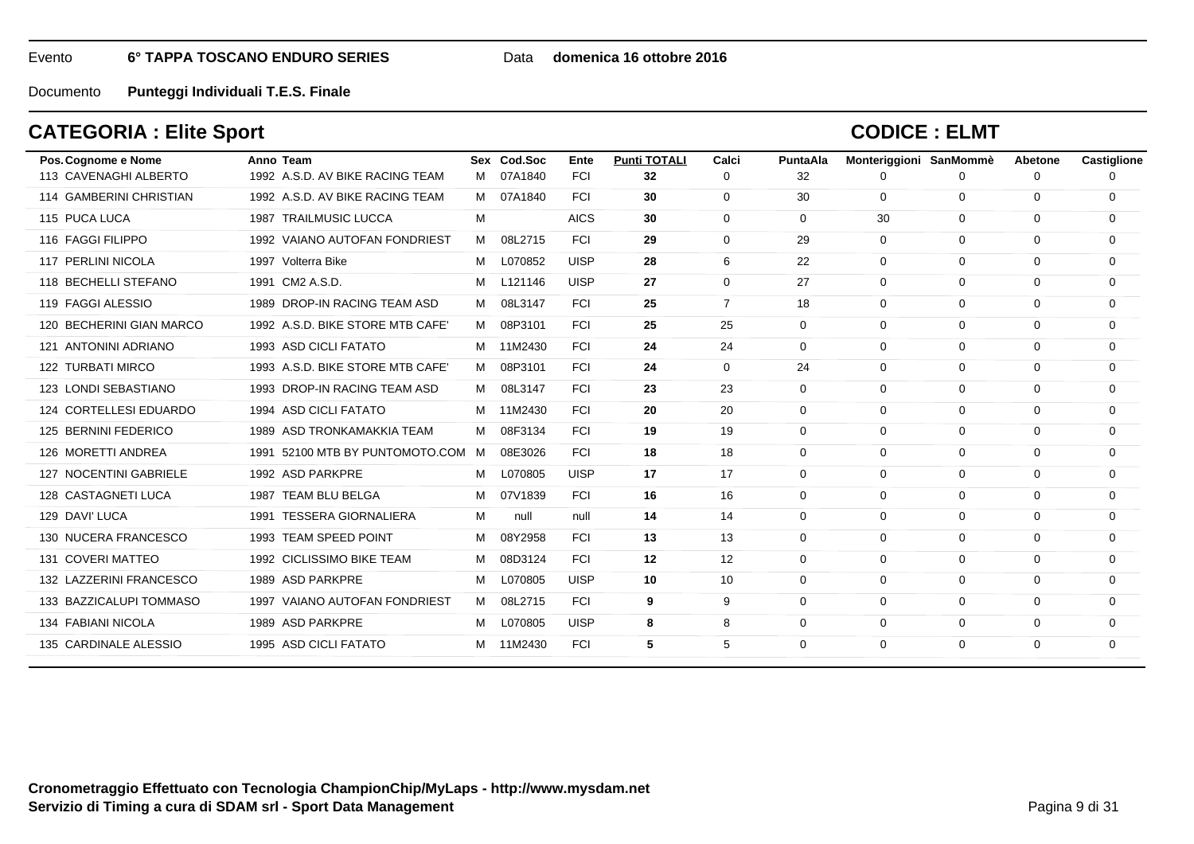#### Data **domenica 16 ottobre 2016**

Documento**Punteggi Individuali T.E.S. Finale**

## **CATEGORIA : Elite Sport**

| Pos. Cognome e Nome      | Anno Team                        |   | Sex Cod.Soc | Ente        | <b>Punti TOTALI</b> | Calci       | PuntaAla | Monteriggioni SanMommè |              | Abetone  | Castiglione |
|--------------------------|----------------------------------|---|-------------|-------------|---------------------|-------------|----------|------------------------|--------------|----------|-------------|
| 113 CAVENAGHI ALBERTO    | 1992 A.S.D. AV BIKE RACING TEAM  | м | 07A1840     | <b>FCI</b>  | 32                  | 0           | 32       | 0                      | 0            | 0        |             |
| 114 GAMBERINI CHRISTIAN  | 1992 A.S.D. AV BIKE RACING TEAM  | M | 07A1840     | <b>FCI</b>  | 30                  | $\mathbf 0$ | 30       | $\mathbf 0$            | 0            | $\Omega$ | $\Omega$    |
| 115 PUCA LUCA            | 1987 TRAILMUSIC LUCCA            | м |             | <b>AICS</b> | 30                  | $\mathbf 0$ | 0        | 30                     | 0            | $\Omega$ | 0           |
| 116 FAGGI FILIPPO        | 1992 VAIANO AUTOFAN FONDRIEST    | M | 08L2715     | <b>FCI</b>  | 29                  | $\mathbf 0$ | 29       | $\mathbf{0}$           | $\mathbf 0$  | $\Omega$ | $\Omega$    |
| 117 PERLINI NICOLA       | 1997 Volterra Bike               | м | L070852     | <b>UISP</b> | 28                  | 6           | 22       | $\Omega$               | $\Omega$     | $\Omega$ | $\Omega$    |
| 118 BECHELLI STEFANO     | 1991 CM2 A.S.D.                  | M | L121146     | <b>UISP</b> | 27                  | $\Omega$    | 27       | $\mathbf 0$            | $\mathbf 0$  | $\Omega$ | $\Omega$    |
| 119 FAGGI ALESSIO        | 1989 DROP-IN RACING TEAM ASD     | M | 08L3147     | <b>FCI</b>  | 25                  | 7           | 18       | $\mathbf 0$            | $\mathbf 0$  | $\Omega$ | $\Omega$    |
| 120 BECHERINI GIAN MARCO | 1992 A.S.D. BIKE STORE MTB CAFE' | м | 08P3101     | <b>FCI</b>  | 25                  | 25          | $\Omega$ | $\Omega$               | $\mathbf 0$  | $\Omega$ | $\Omega$    |
| 121 ANTONINI ADRIANO     | 1993 ASD CICLI FATATO            | м | 11M2430     | <b>FCI</b>  | 24                  | 24          | $\Omega$ | $\Omega$               | $\mathbf 0$  | $\Omega$ | $\Omega$    |
| <b>122 TURBATI MIRCO</b> | 1993 A.S.D. BIKE STORE MTB CAFE' | м | 08P3101     | <b>FCI</b>  | 24                  | $\Omega$    | 24       | $\Omega$               | $\mathbf 0$  | $\Omega$ | $\Omega$    |
| 123 LONDI SEBASTIANO     | 1993 DROP-IN RACING TEAM ASD     | M | 08L3147     | <b>FCI</b>  | 23                  | 23          | 0        | $\mathbf 0$            | $\mathbf 0$  | $\Omega$ | 0           |
| 124 CORTELLESI EDUARDO   | 1994 ASD CICLI FATATO            | м | 11M2430     | <b>FCI</b>  | 20                  | 20          | 0        | 0                      | 0            | $\Omega$ | 0           |
| 125 BERNINI FEDERICO     | 1989 ASD TRONKAMAKKIA TEAM       | M | 08F3134     | <b>FCI</b>  | 19                  | 19          | $\Omega$ | $\Omega$               | $\mathbf 0$  | $\Omega$ | $\Omega$    |
| 126 MORETTI ANDREA       | 1991 52100 MTB BY PUNTOMOTO.COM  | M | 08E3026     | <b>FCI</b>  | 18                  | 18          | $\Omega$ | $\Omega$               | $\mathbf 0$  | $\Omega$ | $\Omega$    |
| 127 NOCENTINI GABRIELE   | 1992 ASD PARKPRE                 | м | L070805     | <b>UISP</b> | 17                  | 17          | $\Omega$ | $\Omega$               | $\mathbf{0}$ | $\Omega$ | $\Omega$    |
| 128 CASTAGNETI LUCA      | 1987 TEAM BLU BELGA              | м | 07V1839     | <b>FCI</b>  | 16                  | 16          | $\Omega$ | $\mathbf 0$            | $\mathbf 0$  | $\Omega$ | 0           |
| 129 DAVI' LUCA           | 1991 TESSERA GIORNALIERA         | м | null        | null        | 14                  | 14          | 0        | $\mathbf 0$            | $\mathbf 0$  | $\Omega$ | 0           |
| 130 NUCERA FRANCESCO     | 1993 TEAM SPEED POINT            | м | 08Y2958     | <b>FCI</b>  | 13                  | 13          | $\Omega$ | $\Omega$               | $\mathbf 0$  | $\Omega$ | $\Omega$    |
| 131 COVERI MATTEO        | 1992 CICLISSIMO BIKE TEAM        | м | 08D3124     | <b>FCI</b>  | 12                  | 12          | $\Omega$ | $\Omega$               | $\mathbf 0$  | $\Omega$ | $\Omega$    |
| 132 LAZZERINI FRANCESCO  | 1989 ASD PARKPRE                 | м | L070805     | <b>UISP</b> | 10                  | 10          | $\Omega$ | $\Omega$               | $\mathbf 0$  | $\Omega$ | $\Omega$    |
| 133 BAZZICALUPI TOMMASO  | 1997 VAIANO AUTOFAN FONDRIEST    | м | 08L2715     | <b>FCI</b>  | 9                   | 9           | 0        | $\mathbf 0$            | $\mathbf 0$  | $\Omega$ | 0           |
| 134 FABIANI NICOLA       | 1989 ASD PARKPRE                 | м | L070805     | <b>UISP</b> | 8                   | 8           | 0        | 0                      | $\mathbf{0}$ | 0        | $\Omega$    |
| 135 CARDINALE ALESSIO    | 1995 ASD CICLI FATATO            | M | 11M2430     | <b>FCI</b>  | 5                   | 5           | $\Omega$ | $\Omega$               | $\Omega$     | $\Omega$ | $\Omega$    |
|                          |                                  |   |             |             |                     |             |          |                        |              |          |             |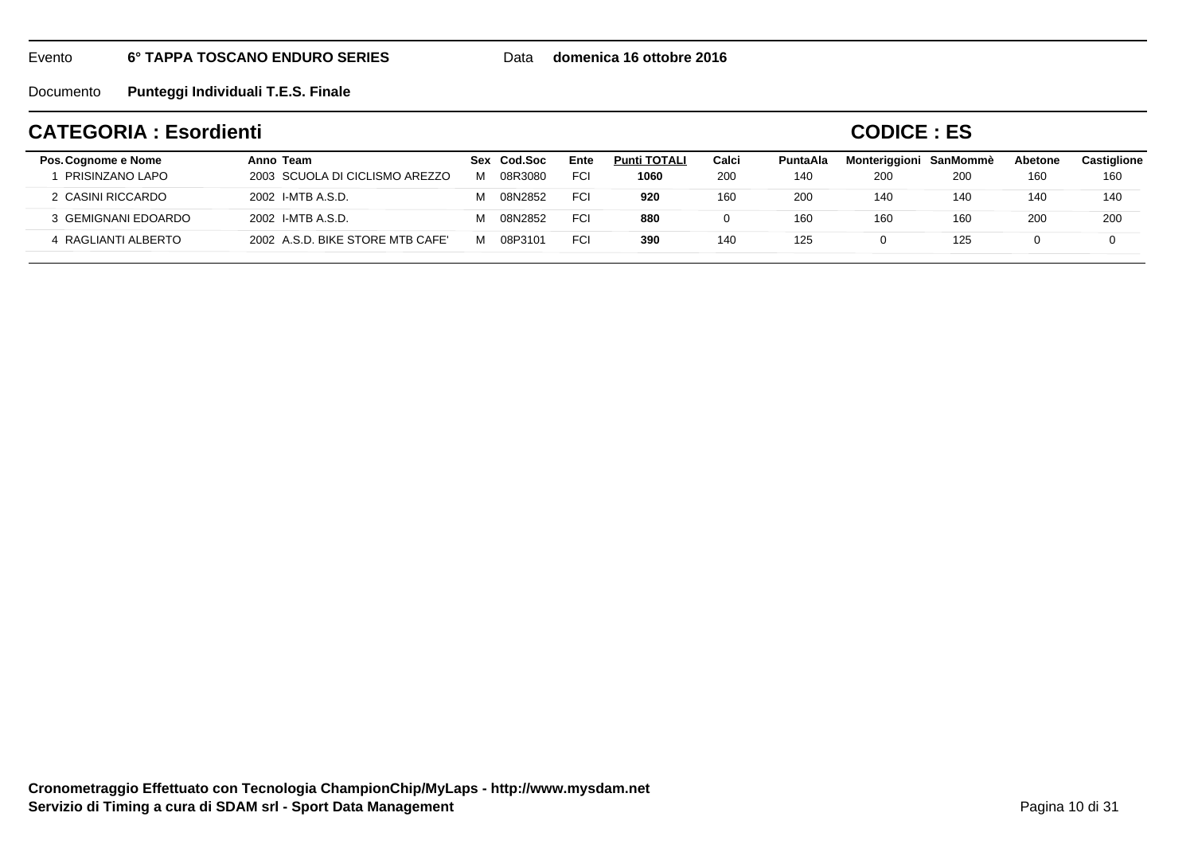Data **domenica 16 ottobre 2016**

Documento**Punteggi Individuali T.E.S. Finale**

## **CATEGORIA : Esordienti**

**CODICE : ES**

| Pos. Cognome e Nome | Anno Team                        | Sex Cod.Soc | Ente       | <b>Punti TOTALI</b> | Calci | PuntaAla | Monteriggioni SanMommè |            | Abetone | Castiglione |
|---------------------|----------------------------------|-------------|------------|---------------------|-------|----------|------------------------|------------|---------|-------------|
| PRISINZANO LAPO     | 2003 SCUOLA DI CICLISMO AREZZO   | 08R3080     | <b>FCI</b> | 1060                | 200   | 140      | 200                    | <b>200</b> | 160     | 160         |
| 2 CASINI RICCARDO   | 2002 I-MTB A.S.D.                | 08N2852     | FCI        | 920                 | 160   | 200      | 140                    | 140        | 140     | 140         |
| 3 GEMIGNANI EDOARDO | 2002 I-MTB A.S.D.                | 08N2852     | <b>FCI</b> | 880                 | 0     | 160      | 160                    | 160        | 200     | 200         |
| 4 RAGLIANTI ALBERTO | 2002 A.S.D. BIKE STORE MTB CAFE' | 08P3101     | <b>FCI</b> | 390                 | 140   | 125      |                        | 125        |         | 0           |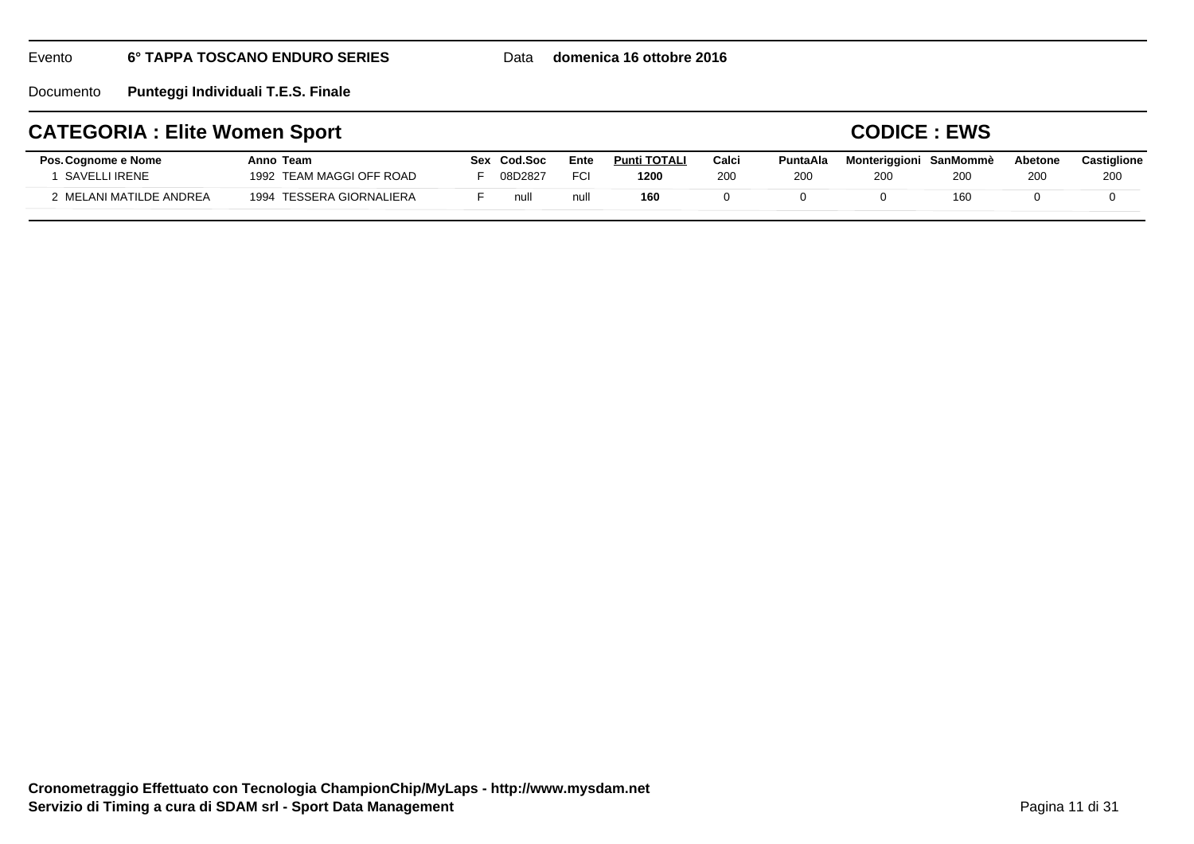Documento**Punteggi Individuali T.E.S. Finale**

## **CATEGORIA : Elite Women Sport**

### **CODICE : EWS**

| Pos. Cognome e Nome<br>SAVELLI IRENE | Anno Team<br>1992 TEAM MAGGI OFF ROAD | Sex | Cod Soc<br>08D2827 | Ente<br>FCI | <b>Punti TOTALI</b><br>1200 | Calci<br>200 | PuntaAla<br>200 | Monteriggioni SanMommè<br><b>200</b> | 200 | <b>Abetone</b><br>200 | Castiglione<br>200 |
|--------------------------------------|---------------------------------------|-----|--------------------|-------------|-----------------------------|--------------|-----------------|--------------------------------------|-----|-----------------------|--------------------|
| ! MELANI MATILDE ANDREA              | 1994 TESSERA GIORNALIERA              |     | null               | null        | 160                         |              |                 |                                      | 160 |                       |                    |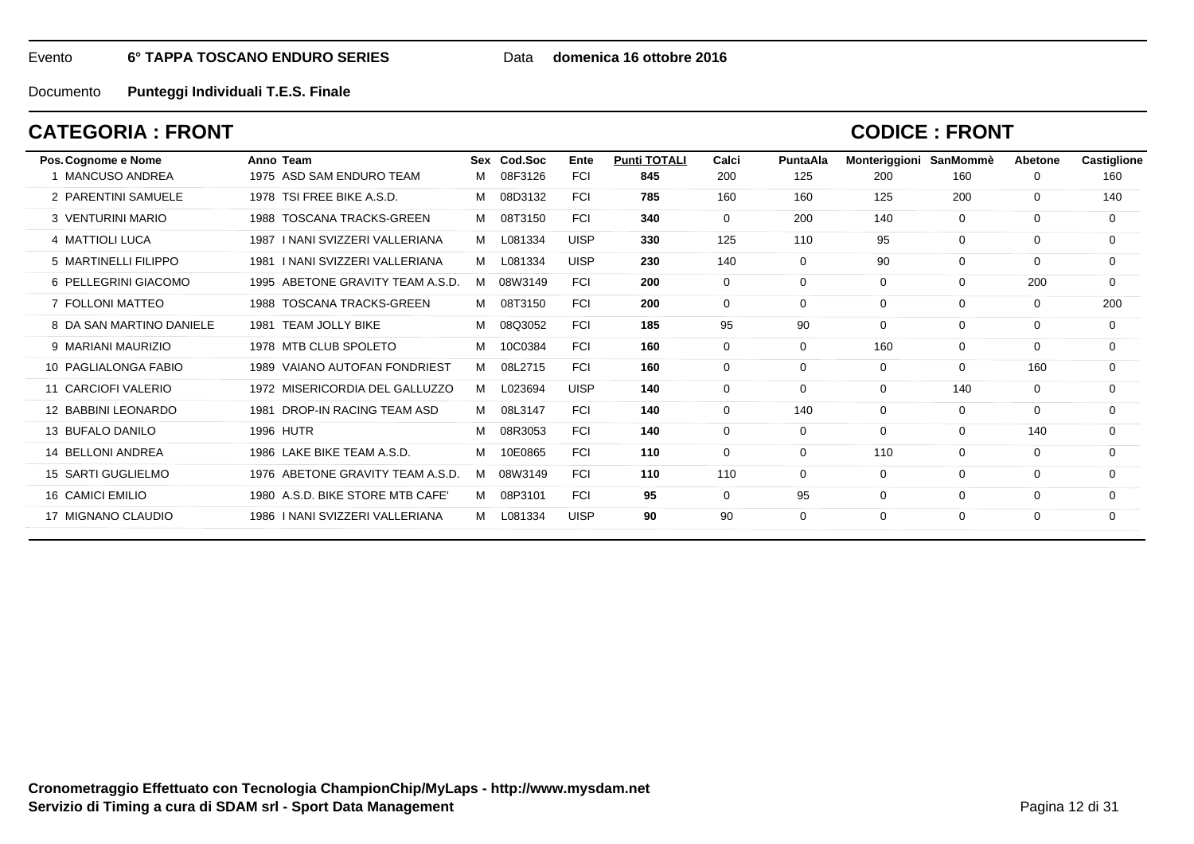#### Data **domenica 16 ottobre 2016**

Documento**Punteggi Individuali T.E.S. Finale**

## **CATEGORIA : FRONT**

### **CODICE : FRONT**

| Pos. Cognome e Nome       | Anno Team                           |   | Sex Cod.Soc | Ente        | <b>Punti TOTALI</b> | Calci       | <b>PuntaAla</b> | Monteriggioni | SanMommè    | Abetone  | Castiglione |
|---------------------------|-------------------------------------|---|-------------|-------------|---------------------|-------------|-----------------|---------------|-------------|----------|-------------|
| 1 MANCUSO ANDREA          | 1975 ASD SAM ENDURO TEAM            | м | 08F3126     | <b>FCI</b>  | 845                 | 200         | 125             | 200           | 160         | 0        | 160         |
| 2 PARENTINI SAMUELE       | 1978 TSI FREE BIKE A.S.D.           | м | 08D3132     | <b>FCI</b>  | 785                 | 160         | 160             | 125           | 200         | $\Omega$ | 140         |
| 3 VENTURINI MARIO         | <b>TOSCANA TRACKS-GREEN</b><br>1988 | M | 08T3150     | <b>FCI</b>  | 340                 | $\mathbf 0$ | 200             | 140           | $\mathbf 0$ | $\Omega$ | 0           |
| 4 MATTIOLI LUCA           | 1987   NANI SVIZZERI VALLERIANA     | M | L081334     | <b>UISP</b> | 330                 | 125         | 110             | 95            | 0           | 0        | 0           |
| 5 MARTINELLI FILIPPO      | I NANI SVIZZERI VALLERIANA<br>1981  | м | L081334     | <b>UISP</b> | 230                 | 140         | 0               | 90            | 0           | $\Omega$ | $\mathbf 0$ |
| 6 PELLEGRINI GIACOMO      | ABETONE GRAVITY TEAM A.S.D.<br>1995 | м | 08W3149     | <b>FCI</b>  | 200                 | $\mathbf 0$ | $\Omega$        | $\mathbf 0$   | $\mathbf 0$ | 200      | $\mathbf 0$ |
| 7 FOLLONI MATTEO          | <b>TOSCANA TRACKS-GREEN</b><br>1988 | M | 08T3150     | <b>FCI</b>  | 200                 | $\mathbf 0$ | $\Omega$        | $\mathbf 0$   | $\mathbf 0$ | $\Omega$ | 200         |
| 8 DA SAN MARTINO DANIELE  | <b>TEAM JOLLY BIKE</b><br>1981      | м | 08Q3052     | <b>FCI</b>  | 185                 | 95          | 90              | 0             | $\mathbf 0$ | $\Omega$ | 0           |
| 9 MARIANI MAURIZIO        | 1978 MTB CLUB SPOLETO               | м | 10C0384     | <b>FCI</b>  | 160                 | 0           | $\Omega$        | 160           | $\mathbf 0$ | $\Omega$ | $\Omega$    |
| 10 PAGLIALONGA FABIO      | 1989 VAIANO AUTOFAN FONDRIEST       | м | 08L2715     | <b>FCI</b>  | 160                 | $\mathbf 0$ | $\Omega$        | 0             | $\Omega$    | 160      | $\Omega$    |
| 11 CARCIOFI VALERIO       | 1972 MISERICORDIA DEL GALLUZZO      | м | L023694     | <b>UISP</b> | 140                 | 0           | $\Omega$        | 0             | 140         | $\Omega$ | $\Omega$    |
| 12 BABBINI LEONARDO       | DROP-IN RACING TEAM ASD<br>1981     | м | 08L3147     | <b>FCI</b>  | 140                 | $\mathbf 0$ | 140             | 0             | $\mathbf 0$ | $\Omega$ | $\Omega$    |
| 13 BUFALO DANILO          | <b>1996 HUTR</b>                    | м | 08R3053     | <b>FCI</b>  | 140                 | 0           | $\Omega$        | 0             | 0           | 140      | $\mathbf 0$ |
| 14 BELLONI ANDREA         | 1986 LAKE BIKE TEAM A.S.D.          | м | 10E0865     | <b>FCI</b>  | 110                 | 0           | $\Omega$        | 110           | 0           | $\Omega$ | 0           |
| <b>15 SARTI GUGLIELMO</b> | 1976 ABETONE GRAVITY TEAM A.S.D.    | м | 08W3149     | <b>FCI</b>  | 110                 | 110         | $\Omega$        | 0             | $\Omega$    | $\Omega$ | $\Omega$    |
| <b>16 CAMICI EMILIO</b>   | 1980 A.S.D. BIKE STORE MTB CAFE'    | M | 08P3101     | <b>FCI</b>  | 95                  | $\mathbf 0$ | 95              | 0             | $\Omega$    | $\Omega$ | $\Omega$    |
| 17 MIGNANO CLAUDIO        | 1986   NANI SVIZZERI VALLERIANA     | м | L081334     | <b>UISP</b> | 90                  | 90          | $\Omega$        | 0             | 0           | $\Omega$ | 0           |
|                           |                                     |   |             |             |                     |             |                 |               |             |          |             |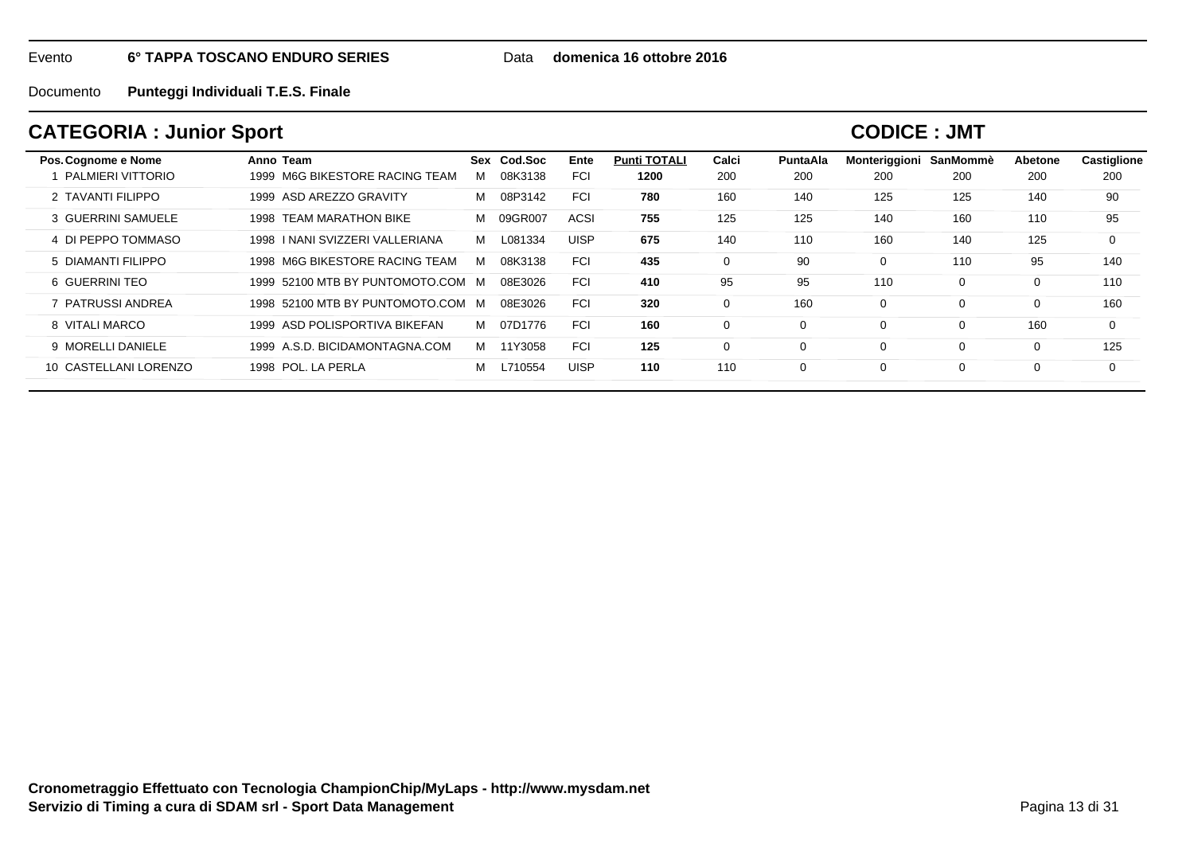Data **domenica 16 ottobre 2016**

Documento**Punteggi Individuali T.E.S. Finale**

## **CATEGORIA : Junior Sport**

| Pos. Cognome e Nome   | Anno Team                         |   | Sex Cod.Soc | Ente        | <b>Punti TOTALI</b> | Calci    | PuntaAla | Monteriggioni | SanMommè | Abetone | <b>Castiglione</b> |
|-----------------------|-----------------------------------|---|-------------|-------------|---------------------|----------|----------|---------------|----------|---------|--------------------|
| PALMIERI VITTORIO     | M6G BIKESTORE RACING TEAM<br>1999 | м | 08K3138     | <b>FCI</b>  | 1200                | 200      | 200      | 200           | 200      | 200     | 200                |
| 2 TAVANTI FILIPPO     | 1999 ASD AREZZO GRAVITY           | м | 08P3142     | <b>FCI</b>  | 780                 | 160      | 140      | 125           | 125      | 140     | 90                 |
| 3 GUERRINI SAMUELE    | 1998 TEAM MARATHON BIKE           | м | 09GR007     | <b>ACSI</b> | 755                 | 125      | 125      | 140           | 160      | 110     | 95                 |
| 4 DI PEPPO TOMMASO    | 1998   NANI SVIZZERI VALLERIANA   | M | L081334     | <b>UISP</b> | 675                 | 140      | 110      | 160           | 140      | 125     | $\mathbf 0$        |
| 5 DIAMANTI FILIPPO    | 1998 M6G BIKESTORE RACING TEAM    | м | 08K3138     | <b>FCI</b>  | 435                 | 0        | -90      | 0             | 110      | 95      | 140                |
| 6 GUERRINI TEO        | 1999 52100 MTB BY PUNTOMOTO.COM M |   | 08E3026     | <b>FCI</b>  | 410                 | 95       | 95       | 110           | 0        | 0       | 110                |
| 7 PATRUSSI ANDREA     | 1998 52100 MTB BY PUNTOMOTO.COM M |   | 08E3026     | <b>FCI</b>  | 320                 | $\Omega$ | 160      | 0             | 0        | 0       | 160                |
| 8 VITALI MARCO        | 1999 ASD POLISPORTIVA BIKEFAN     | M | 07D1776     | <b>FCI</b>  | 160                 | $\Omega$ |          | 0             | 0        | 160     | $\Omega$           |
| 9 MORELLI DANIELE     | 1999 A.S.D. BICIDAMONTAGNA.COM    | M | 11Y3058     | <b>FCI</b>  | 125                 | 0        |          | 0             | 0        | 0       | 125                |
| 10 CASTELLANI LORENZO | 1998 POL, LA PERLA                | м | L710554     | <b>UISP</b> | 110                 | 110      |          | 0             | 0        | 0       | $\Omega$           |
|                       |                                   |   |             |             |                     |          |          |               |          |         |                    |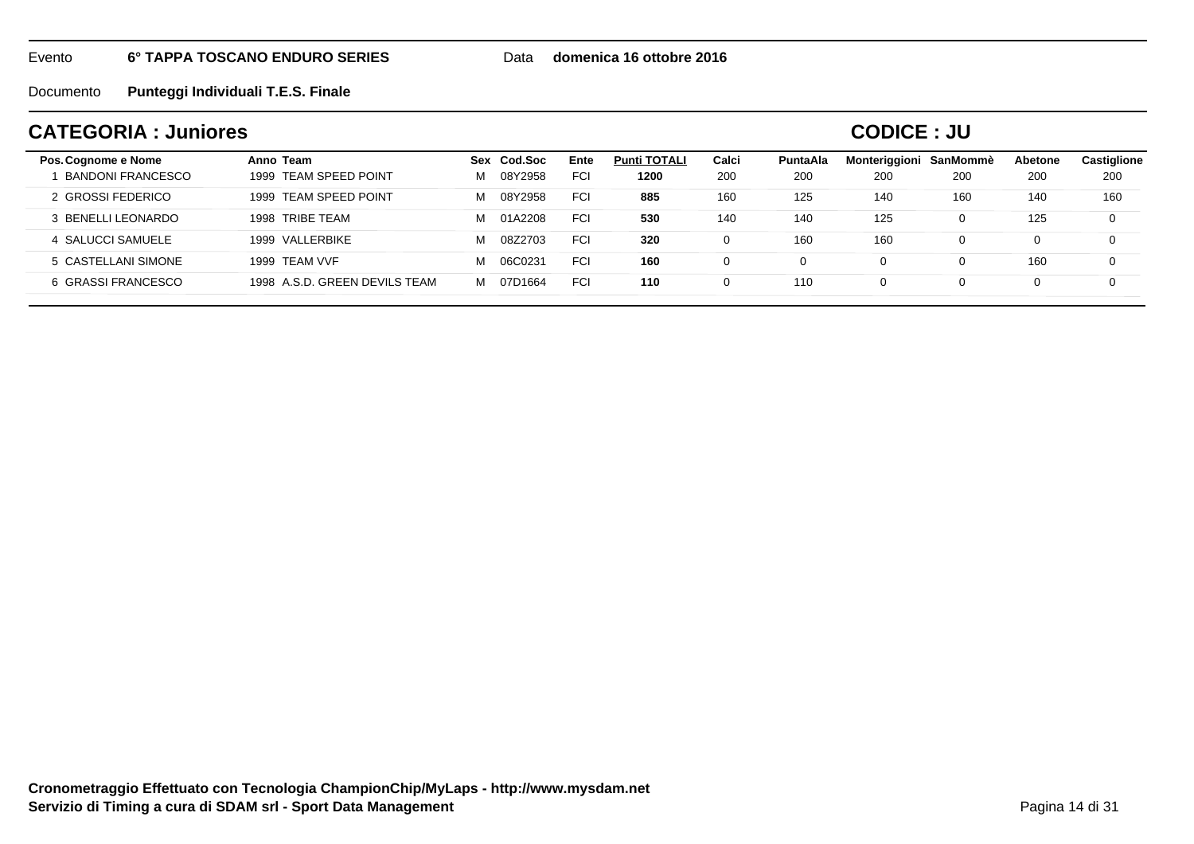Data **domenica 16 ottobre 2016**

Documento**Punteggi Individuali T.E.S. Finale**

## **CATEGORIA : Juniores**

**CODICE : JU**

| Pos. Cognome e Nome      | Anno Team                     | Cod.Soc<br><b>Sex</b> | Ente       | <b>Punti TOTALI</b> | Calci | <b>PuntaAla</b> | Monteriggioni | SanMommè | Abetone | <b>Castiglione</b> |
|--------------------------|-------------------------------|-----------------------|------------|---------------------|-------|-----------------|---------------|----------|---------|--------------------|
| <b>BANDONI FRANCESCO</b> | 1999 TEAM SPEED POINT         | 08Y2958<br>М          | <b>FCI</b> | 1200                | 200   | 200             | 200           | 200      | 200     | 200                |
| 2 GROSSI FEDERICO        | 1999 TEAM SPEED POINT         | 08Y2958<br>М          | <b>FCI</b> | 885                 | 160   | 125             | 140           | 160      | 140     | 160                |
| 3 BENELLI LEONARDO       | 1998 TRIBE TEAM               | М<br>01A2208          | <b>FCI</b> | 530                 | 140   | 140             | 125           |          | 125     | 0                  |
| 4 SALUCCI SAMUELE        | 1999 VALLERBIKE               | М<br>08Z2703          | <b>FCI</b> | 320                 |       | 160             | 160           |          | 0       | 0                  |
| 5 CASTELLANI SIMONE      | 1999 TEAM VVF                 | М<br>06C0231          | <b>FCI</b> | 160                 |       |                 |               |          | 160     | 0                  |
| 6 GRASSI FRANCESCO       | 1998 A.S.D. GREEN DEVILS TEAM | м<br>07D1664          | <b>FCI</b> | 110                 |       | 110             | 0             |          | 0       | $\Omega$           |
|                          |                               |                       |            |                     |       |                 |               |          |         |                    |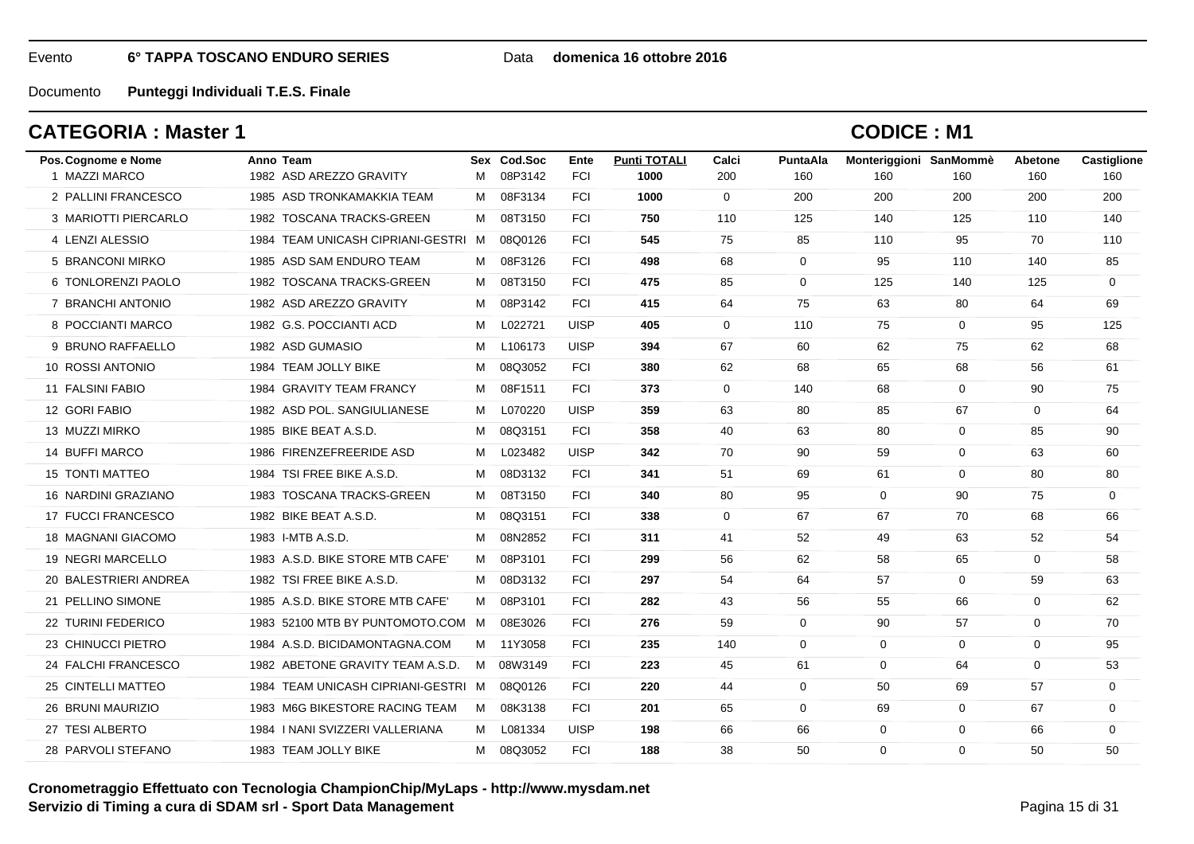#### Data **domenica 16 ottobre 2016**

Documento**Punteggi Individuali T.E.S. Finale**

## **CATEGORIA : Master 1**

| Pos. Cognome e Nome    | Anno Team                           |   | Sex Cod.Soc | Ente        | <b>Punti TOTALI</b> | Calci        | PuntaAla     | Monteriggioni SanMommè |             | <b>Abetone</b> | Castiglione |
|------------------------|-------------------------------------|---|-------------|-------------|---------------------|--------------|--------------|------------------------|-------------|----------------|-------------|
| 1 MAZZI MARCO          | 1982 ASD AREZZO GRAVITY             | M | 08P3142     | <b>FCI</b>  | 1000                | 200          | 160          | 160                    | 160         | 160            | 160         |
| 2 PALLINI FRANCESCO    | 1985 ASD TRONKAMAKKIA TEAM          | M | 08F3134     | <b>FCI</b>  | 1000                | $\mathbf{0}$ | 200          | 200                    | 200         | 200            | 200         |
| 3 MARIOTTI PIERCARLO   | 1982 TOSCANA TRACKS-GREEN           | M | 08T3150     | <b>FCI</b>  | 750                 | 110          | 125          | 140                    | 125         | 110            | 140         |
| 4 LENZI ALESSIO        | 1984 TEAM UNICASH CIPRIANI-GESTRI M |   | 08Q0126     | <b>FCI</b>  | 545                 | 75           | 85           | 110                    | 95          | 70             | 110         |
| 5 BRANCONI MIRKO       | 1985 ASD SAM ENDURO TEAM            |   | M 08F3126   | <b>FCI</b>  | 498                 | 68           | $\mathbf{0}$ | 95                     | 110         | 140            | 85          |
| 6 TONLORENZI PAOLO     | 1982 TOSCANA TRACKS-GREEN           | M | 08T3150     | <b>FCI</b>  | 475                 | 85           | $\mathbf 0$  | 125                    | 140         | 125            | $\mathbf 0$ |
| 7 BRANCHI ANTONIO      | 1982 ASD AREZZO GRAVITY             | M | 08P3142     | <b>FCI</b>  | 415                 | 64           | 75           | 63                     | 80          | 64             | 69          |
| 8 POCCIANTI MARCO      | 1982 G.S. POCCIANTI ACD             | M | L022721     | <b>UISP</b> | 405                 | $\mathbf 0$  | 110          | 75                     | $\mathbf 0$ | 95             | 125         |
| 9 BRUNO RAFFAELLO      | 1982 ASD GUMASIO                    | м | L106173     | <b>UISP</b> | 394                 | 67           | 60           | 62                     | 75          | 62             | 68          |
| 10 ROSSI ANTONIO       | 1984 TEAM JOLLY BIKE                | м | 08Q3052     | <b>FCI</b>  | 380                 | 62           | 68           | 65                     | 68          | 56             | 61          |
| 11 FALSINI FABIO       | 1984 GRAVITY TEAM FRANCY            | M | 08F1511     | <b>FCI</b>  | 373                 | $\mathbf 0$  | 140          | 68                     | $\mathbf 0$ | 90             | 75          |
| 12 GORI FABIO          | 1982 ASD POL. SANGIULIANESE         | M | L070220     | <b>UISP</b> | 359                 | 63           | 80           | 85                     | 67          | 0              | 64          |
| 13 MUZZI MIRKO         | 1985 BIKE BEAT A.S.D.               | M | 08Q3151     | <b>FCI</b>  | 358                 | 40           | 63           | 80                     | 0           | 85             | 90          |
| 14 BUFFI MARCO         | 1986 FIRENZEFREERIDE ASD            | м | L023482     | <b>UISP</b> | 342                 | 70           | 90           | 59                     | $\mathbf 0$ | 63             | 60          |
| <b>15 TONTI MATTEO</b> | 1984 TSI FREE BIKE A.S.D.           | M | 08D3132     | <b>FCI</b>  | 341                 | 51           | 69           | 61                     | $\mathbf 0$ | 80             | 80          |
| 16 NARDINI GRAZIANO    | 1983 TOSCANA TRACKS-GREEN           | M | 08T3150     | <b>FCI</b>  | 340                 | 80           | 95           | $\mathbf 0$            | 90          | 75             | $\mathbf 0$ |
| 17 FUCCI FRANCESCO     | 1982 BIKE BEAT A.S.D.               | м | 08Q3151     | <b>FCI</b>  | 338                 | $\Omega$     | 67           | 67                     | 70          | 68             | 66          |
| 18 MAGNANI GIACOMO     | 1983 I-MTB A.S.D.                   | М | 08N2852     | <b>FCI</b>  | 311                 | 41           | 52           | 49                     | 63          | 52             | 54          |
| 19 NEGRI MARCELLO      | 1983 A.S.D. BIKE STORE MTB CAFE'    | M | 08P3101     | <b>FCI</b>  | 299                 | 56           | 62           | 58                     | 65          | 0              | 58          |
| 20 BALESTRIERI ANDREA  | 1982 TSI FREE BIKE A.S.D.           | M | 08D3132     | <b>FCI</b>  | 297                 | 54           | 64           | 57                     | $\mathbf 0$ | 59             | 63          |
| 21 PELLINO SIMONE      | 1985 A.S.D. BIKE STORE MTB CAFE'    | M | 08P3101     | <b>FCI</b>  | 282                 | 43           | 56           | 55                     | 66          | $\Omega$       | 62          |
| 22 TURINI FEDERICO     | 1983 52100 MTB BY PUNTOMOTO.COM M   |   | 08E3026     | <b>FCI</b>  | 276                 | 59           | $\mathbf{0}$ | 90                     | 57          | $\mathbf 0$    | 70          |
| 23 CHINUCCI PIETRO     | 1984 A.S.D. BICIDAMONTAGNA.COM      |   | M 11Y3058   | <b>FCI</b>  | 235                 | 140          | $\mathbf 0$  | $\mathbf 0$            | $\mathbf 0$ | $\mathbf 0$    | 95          |
| 24 FALCHI FRANCESCO    | 1982 ABETONE GRAVITY TEAM A.S.D.    | M | 08W3149     | <b>FCI</b>  | 223                 | 45           | 61           | $\Omega$               | 64          | $\Omega$       | 53          |
| 25 CINTELLI MATTEO     | 1984 TEAM UNICASH CIPRIANI-GESTRI M |   | 08Q0126     | <b>FCI</b>  | 220                 | 44           | $\mathbf{0}$ | 50                     | 69          | 57             | $\mathbf 0$ |
| 26 BRUNI MAURIZIO      | 1983 M6G BIKESTORE RACING TEAM      | M | 08K3138     | <b>FCI</b>  | 201                 | 65           | $\mathbf 0$  | 69                     | 0           | 67             | $\mathbf 0$ |
| 27 TESI ALBERTO        | 1984   NANI SVIZZERI VALLERIANA     | M | L081334     | <b>UISP</b> | 198                 | 66           | 66           | $\mathbf 0$            | 0           | 66             | $\mathbf 0$ |
| 28 PARVOLI STEFANO     | 1983 TEAM JOLLY BIKE                |   | M 08Q3052   | <b>FCI</b>  | 188                 | 38           | 50           | $\Omega$               | $\Omega$    | 50             | 50          |
|                        |                                     |   |             |             |                     |              |              |                        |             |                |             |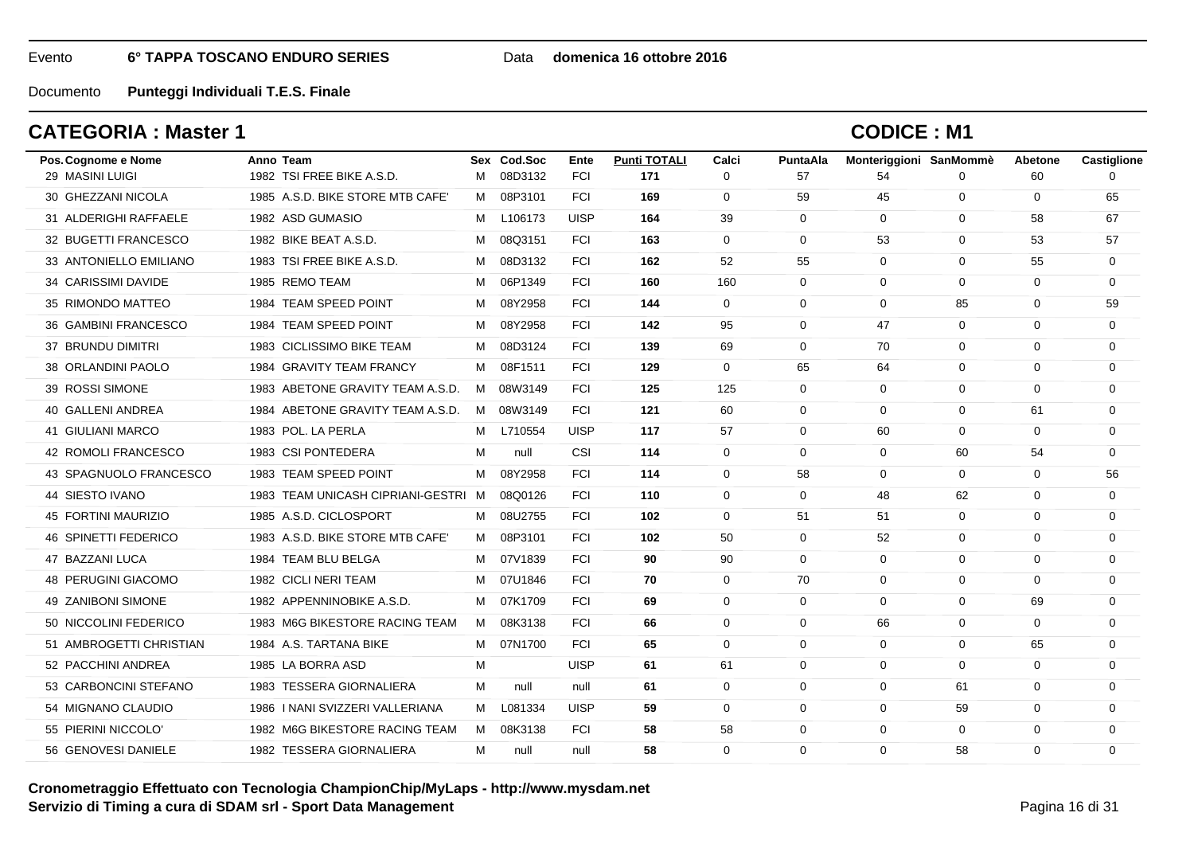#### Data **domenica 16 ottobre 2016**

Documento**Punteggi Individuali T.E.S. Finale**

## **CATEGORIA : Master 1**

| Pos. Cognome e Nome        | Anno Team                           |   | Sex Cod.Soc | Ente        | <b>Punti TOTALI</b> | Calci       | PuntaAla     | Monteriggioni SanMommè |              | Abetone     | Castiglione |
|----------------------------|-------------------------------------|---|-------------|-------------|---------------------|-------------|--------------|------------------------|--------------|-------------|-------------|
| 29 MASINI LUIGI            | 1982 TSI FREE BIKE A.S.D.           | м | 08D3132     | <b>FCI</b>  | 171                 | $\Omega$    | 57           | 54                     | $\Omega$     | 60          | $\Omega$    |
| 30 GHEZZANI NICOLA         | 1985 A.S.D. BIKE STORE MTB CAFE'    | M | 08P3101     | <b>FCI</b>  | 169                 | 0           | 59           | 45                     | $\mathbf 0$  | 0           | 65          |
| 31 ALDERIGHI RAFFAELE      | 1982 ASD GUMASIO                    | M | L106173     | <b>UISP</b> | 164                 | 39          | $\mathbf{0}$ | $\mathbf 0$            | $\mathbf 0$  | 58          | 67          |
| 32 BUGETTI FRANCESCO       | 1982 BIKE BEAT A.S.D.               | м | 08Q3151     | <b>FCI</b>  | 163                 | $\mathbf 0$ | 0            | 53                     | $\mathbf 0$  | 53          | 57          |
| 33 ANTONIELLO EMILIANO     | 1983 TSI FREE BIKE A.S.D.           | м | 08D3132     | <b>FCI</b>  | 162                 | 52          | 55           | $\Omega$               | $\mathbf 0$  | 55          | $\Omega$    |
| 34 CARISSIMI DAVIDE        | 1985 REMO TEAM                      | м | 06P1349     | <b>FCI</b>  | 160                 | 160         | $\mathbf 0$  | $\mathbf 0$            | $\mathbf 0$  | $\mathbf 0$ | 0           |
| 35 RIMONDO MATTEO          | 1984 TEAM SPEED POINT               | м | 08Y2958     | <b>FCI</b>  | 144                 | $\mathbf 0$ | 0            | $\mathbf 0$            | 85           | 0           | 59          |
| 36 GAMBINI FRANCESCO       | 1984 TEAM SPEED POINT               | м | 08Y2958     | <b>FCI</b>  | 142                 | 95          | $\Omega$     | 47                     | $\mathbf 0$  | $\Omega$    | $\Omega$    |
| 37 BRUNDU DIMITRI          | 1983 CICLISSIMO BIKE TEAM           | м | 08D3124     | <b>FCI</b>  | 139                 | 69          | $\Omega$     | 70                     | $\mathbf 0$  | $\Omega$    | $\Omega$    |
| 38 ORLANDINI PAOLO         | 1984 GRAVITY TEAM FRANCY            | M | 08F1511     | <b>FCI</b>  | 129                 | $\mathbf 0$ | 65           | 64                     | 0            | $\Omega$    | 0           |
| 39 ROSSI SIMONE            | 1983 ABETONE GRAVITY TEAM A.S.D.    | M | 08W3149     | <b>FCI</b>  | 125                 | 125         | 0            | $\mathbf 0$            | $\mathbf 0$  | $\Omega$    | 0           |
| 40 GALLENI ANDREA          | 1984 ABETONE GRAVITY TEAM A.S.D.    | M | 08W3149     | <b>FCI</b>  | 121                 | 60          | $\Omega$     | $\Omega$               | 0            | 61          | $\Omega$    |
| <b>41 GIULIANI MARCO</b>   | 1983 POL. LA PERLA                  | M | L710554     | <b>UISP</b> | 117                 | 57          | $\mathbf 0$  | 60                     | $\mathbf 0$  | $\mathbf 0$ | 0           |
| 42 ROMOLI FRANCESCO        | 1983 CSI PONTEDERA                  | м | null        | CSI         | 114                 | $\mathbf 0$ | $\mathbf 0$  | $\mathbf 0$            | 60           | 54          | $\Omega$    |
| 43 SPAGNUOLO FRANCESCO     | 1983 TEAM SPEED POINT               | M | 08Y2958     | <b>FCI</b>  | 114                 | $\mathbf 0$ | 58           | $\mathbf 0$            | $\mathbf 0$  | 0           | 56          |
| 44 SIESTO IVANO            | 1983 TEAM UNICASH CIPRIANI-GESTRI M |   | 08Q0126     | <b>FCI</b>  | 110                 | $\mathbf 0$ | $\mathbf{0}$ | 48                     | 62           | 0           | $\mathbf 0$ |
| 45 FORTINI MAURIZIO        | 1985 A.S.D. CICLOSPORT              | м | 08U2755     | <b>FCI</b>  | 102                 | $\Omega$    | 51           | 51                     | $\mathbf 0$  | $\Omega$    | $\Omega$    |
| 46 SPINETTI FEDERICO       | 1983 A.S.D. BIKE STORE MTB CAFE'    | M | 08P3101     | <b>FCI</b>  | 102                 | 50          | $\mathbf 0$  | 52                     | $\mathbf 0$  | $\mathbf 0$ | $\mathbf 0$ |
| 47 BAZZANI LUCA            | 1984 TEAM BLU BELGA                 | м | 07V1839     | <b>FCI</b>  | 90                  | 90          | $\Omega$     | $\mathbf 0$            | $\mathbf 0$  | $\Omega$    | 0           |
| <b>48 PERUGINI GIACOMO</b> | 1982 CICLI NERI TEAM                | M | 07U1846     | <b>FCI</b>  | 70                  | $\mathbf 0$ | 70           | $\mathbf 0$            | $\mathbf 0$  | $\Omega$    | $\Omega$    |
| 49 ZANIBONI SIMONE         | 1982 APPENNINOBIKE A.S.D.           | м | 07K1709     | <b>FCI</b>  | 69                  | $\Omega$    | $\Omega$     | $\Omega$               | $\Omega$     | 69          | $\Omega$    |
| 50 NICCOLINI FEDERICO      | 1983 M6G BIKESTORE RACING TEAM      | M | 08K3138     | <b>FCI</b>  | 66                  | 0           | $\mathbf 0$  | 66                     | $\mathbf 0$  | $\mathbf 0$ | 0           |
| 51 AMBROGETTI CHRISTIAN    | 1984 A.S. TARTANA BIKE              | M | 07N1700     | <b>FCI</b>  | 65                  | $\mathbf 0$ | 0            | $\mathbf 0$            | $\mathbf{0}$ | 65          | 0           |
| 52 PACCHINI ANDREA         | 1985 LA BORRA ASD                   | м |             | <b>UISP</b> | 61                  | 61          | $\Omega$     | $\Omega$               | $\Omega$     | $\Omega$    | $\Omega$    |
| 53 CARBONCINI STEFANO      | 1983 TESSERA GIORNALIERA            | м | null        | null        | 61                  | $\mathbf 0$ | $\mathbf 0$  | $\mathbf 0$            | 61           | 0           | 0           |
| 54 MIGNANO CLAUDIO         | 1986   NANI SVIZZERI VALLERIANA     | M | L081334     | <b>UISP</b> | 59                  | $\mathbf 0$ | $\mathbf 0$  | $\mathbf 0$            | 59           | $\mathbf 0$ | $\mathbf 0$ |
| 55 PIERINI NICCOLO'        | 1982 M6G BIKESTORE RACING TEAM      | M | 08K3138     | <b>FCI</b>  | 58                  | 58          | 0            | $\mathbf 0$            | $\mathbf 0$  | 0           | $\Omega$    |
| 56 GENOVESI DANIELE        | 1982 TESSERA GIORNALIERA            | м | null        | null        | 58                  | $\Omega$    | $\Omega$     | $\Omega$               | 58           | $\Omega$    | $\Omega$    |
|                            |                                     |   |             |             |                     |             |              |                        |              |             |             |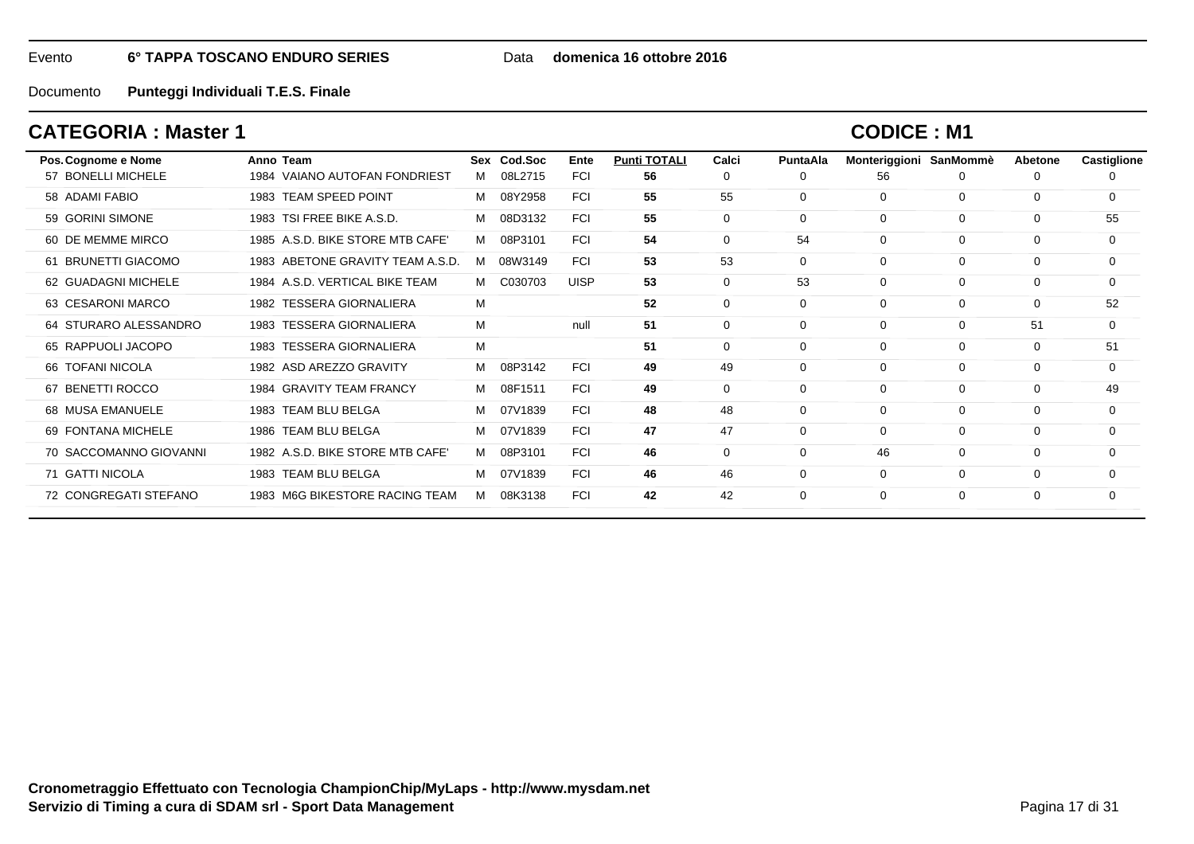Data **domenica 16 ottobre 2016**

Documento**Punteggi Individuali T.E.S. Finale**

## **CATEGORIA : Master 1**

| Pos. Cognome e Nome    | Anno Team                          |   | Sex Cod.Soc | Ente        | <b>Punti TOTALI</b> | Calci       | PuntaAla    | Monteriggioni | SanMommè    | Abetone  | Castiglione |
|------------------------|------------------------------------|---|-------------|-------------|---------------------|-------------|-------------|---------------|-------------|----------|-------------|
| 57 BONELLI MICHELE     | VAIANO AUTOFAN FONDRIEST<br>1984   | м | 08L2715     | <b>FCI</b>  | 56                  | 0           | $\Omega$    | 56            | 0           | 0        | 0           |
| 58 ADAMI FABIO         | 1983 TEAM SPEED POINT              | м | 08Y2958     | <b>FCI</b>  | 55                  | 55          | $\mathbf 0$ | $\mathbf{0}$  | $\mathbf 0$ | 0        | $\Omega$    |
| 59 GORINI SIMONE       | TSI FREE BIKE A.S.D.<br>1983       | м | 08D3132     | <b>FCI</b>  | 55                  | 0           | 0           | $\mathbf 0$   | $\mathbf 0$ | 0        | 55          |
| 60 DE MEMME MIRCO      | 1985 A.S.D. BIKE STORE MTB CAFE'   | м | 08P3101     | <b>FCI</b>  | 54                  | $\mathbf 0$ | 54          | $\mathbf 0$   | $\mathbf 0$ | 0        | 0           |
| 61 BRUNETTI GIACOMO    | 1983 ABETONE GRAVITY TEAM A.S.D.   | м | 08W3149     | <b>FCI</b>  | 53                  | 53          | 0           | $\mathbf 0$   | $\Omega$    | 0        | 0           |
| 62 GUADAGNI MICHELE    | 1984 A.S.D. VERTICAL BIKE TEAM     | м | C030703     | <b>UISP</b> | 53                  | $\mathbf 0$ | 53          | $\mathbf 0$   | $\mathbf 0$ | 0        | 0           |
| 63 CESARONI MARCO      | 1982 TESSERA GIORNALIERA           | M |             |             | 52                  | $\mathbf 0$ | $\Omega$    | $\mathbf 0$   | $\mathbf 0$ | $\Omega$ | 52          |
| 64 STURARO ALESSANDRO  | 1983 TESSERA GIORNALIERA           | М |             | null        | 51                  | $\Omega$    | $\Omega$    | $\Omega$      | $\Omega$    | 51       | $\Omega$    |
| 65 RAPPUOLI JACOPO     | <b>TESSERA GIORNALIERA</b><br>1983 | М |             |             | 51                  | $\mathbf 0$ | 0           | $\mathbf 0$   | $\mathbf 0$ | 0        | 51          |
| 66 TOFANI NICOLA       | 1982 ASD AREZZO GRAVITY            | м | 08P3142     | <b>FCI</b>  | 49                  | 49          | 0           | $\mathbf 0$   | $\mathbf 0$ | 0        | 0           |
| 67 BENETTI ROCCO       | 1984 GRAVITY TEAM FRANCY           | м | 08F1511     | <b>FCI</b>  | 49                  | $\mathbf 0$ | $\Omega$    | $\mathbf 0$   | $\mathbf 0$ | 0        | 49          |
| 68 MUSA EMANUELE       | 1983 TEAM BLU BELGA                | м | 07V1839     | <b>FCI</b>  | 48                  | 48          | $\Omega$    | $\mathbf 0$   | $\mathbf 0$ | 0        | 0           |
| 69 FONTANA MICHELE     | 1986 TEAM BLU BELGA                | м | 07V1839     | <b>FCI</b>  | 47                  | 47          | $\Omega$    | $\Omega$      | $\Omega$    | $\Omega$ | $\Omega$    |
| 70 SACCOMANNO GIOVANNI | 1982 A.S.D. BIKE STORE MTB CAFE'   | м | 08P3101     | <b>FCI</b>  | 46                  | $\mathbf 0$ | $\Omega$    | 46            | $\mathbf 0$ | 0        | 0           |
| 71 GATTI NICOLA        | 1983 TEAM BLU BELGA                | м | 07V1839     | <b>FCI</b>  | 46                  | 46          | $\Omega$    | $\mathbf 0$   | $\mathbf 0$ | 0        | $\Omega$    |
| 72 CONGREGATI STEFANO  | 1983 M6G BIKESTORE RACING TEAM     | м | 08K3138     | <b>FCI</b>  | 42                  | 42          | $\Omega$    | $\Omega$      | $\Omega$    | 0        | $\Omega$    |
|                        |                                    |   |             |             |                     |             |             |               |             |          |             |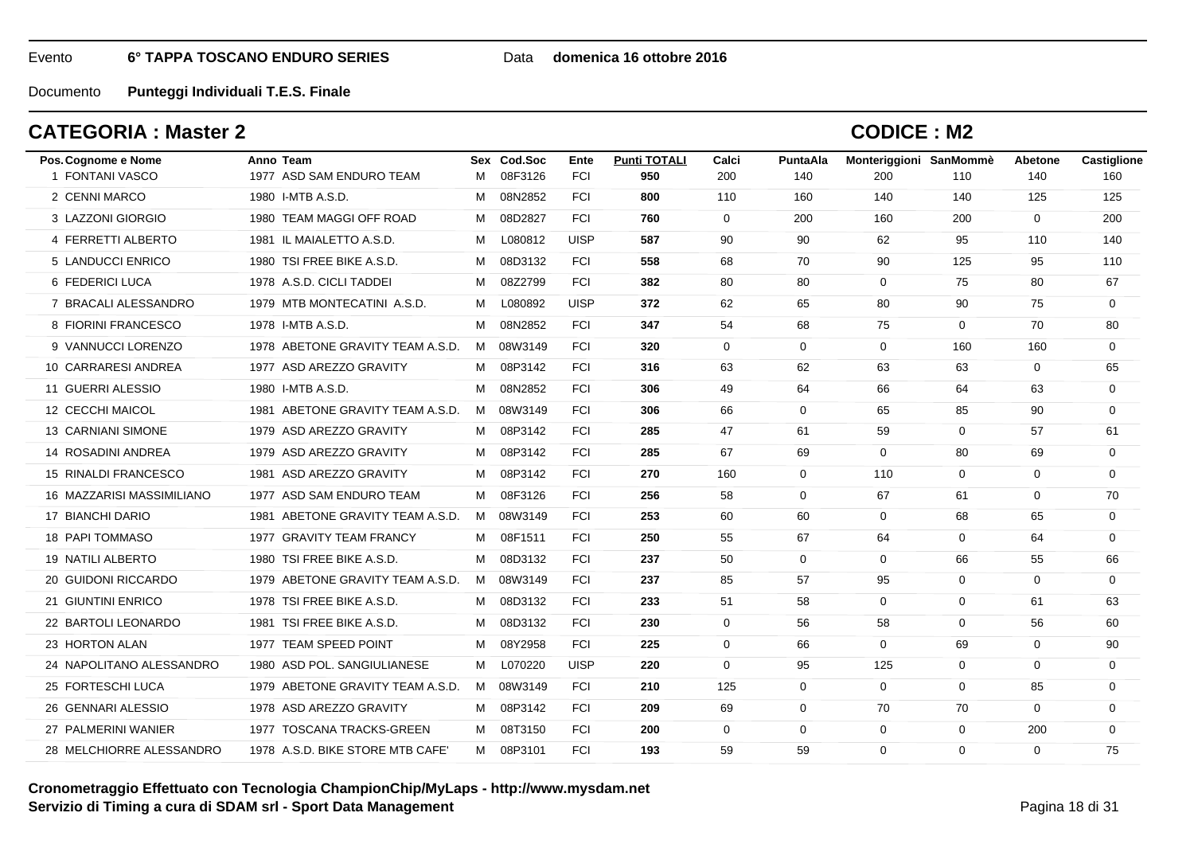#### Data **domenica 16 ottobre 2016**

Documento**Punteggi Individuali T.E.S. Finale**

## **CATEGORIA : Master 2**

| Pos. Cognome e Nome       | Anno Team                        |   | Sex Cod.Soc | Ente        | <b>Punti TOTALI</b> | Calci       | PuntaAla     | Monteriggioni SanMommè |                | <b>Abetone</b> | Castiglione |
|---------------------------|----------------------------------|---|-------------|-------------|---------------------|-------------|--------------|------------------------|----------------|----------------|-------------|
| 1 FONTANI VASCO           | 1977 ASD SAM ENDURO TEAM         | м | 08F3126     | <b>FCI</b>  | 950                 | 200         | 140          | 200                    | 110            | 140            | 160         |
| 2 CENNI MARCO             | 1980 I-MTB A.S.D.                | м | 08N2852     | <b>FCI</b>  | 800                 | 110         | 160          | 140                    | 140            | 125            | 125         |
| 3 LAZZONI GIORGIO         | 1980 TEAM MAGGI OFF ROAD         | M | 08D2827     | <b>FCI</b>  | 760                 | $\mathbf 0$ | 200          | 160                    | 200            | $\mathbf 0$    | 200         |
| 4 FERRETTI ALBERTO        | 1981 IL MAIALETTO A.S.D.         | М | L080812     | <b>UISP</b> | 587                 | 90          | 90           | 62                     | 95             | 110            | 140         |
| 5 LANDUCCI ENRICO         | 1980 TSI FREE BIKE A.S.D.        | M | 08D3132     | <b>FCI</b>  | 558                 | 68          | 70           | 90                     | 125            | 95             | 110         |
| 6 FEDERICI LUCA           | 1978 A.S.D. CICLI TADDEI         | M | 08Z2799     | <b>FCI</b>  | 382                 | 80          | 80           | $\mathbf 0$            | 75             | 80             | 67          |
| 7 BRACALI ALESSANDRO      | 1979 MTB MONTECATINI A.S.D.      | M | L080892     | <b>UISP</b> | 372                 | 62          | 65           | 80                     | 90             | 75             | $\mathbf 0$ |
| 8 FIORINI FRANCESCO       | 1978 I-MTB A.S.D.                | M | 08N2852     | <b>FCI</b>  | 347                 | 54          | 68           | 75                     | $\mathbf 0$    | 70             | 80          |
| 9 VANNUCCI LORENZO        | 1978 ABETONE GRAVITY TEAM A.S.D. | M | 08W3149     | <b>FCI</b>  | 320                 | $\Omega$    | $\mathbf 0$  | $\mathbf 0$            | 160            | 160            | $\mathbf 0$ |
| 10 CARRARESI ANDREA       | 1977 ASD AREZZO GRAVITY          | M | 08P3142     | <b>FCI</b>  | 316                 | 63          | 62           | 63                     | 63             | 0              | 65          |
| 11 GUERRI ALESSIO         | 1980 I-MTB A.S.D.                | M | 08N2852     | <b>FCI</b>  | 306                 | 49          | 64           | 66                     | 64             | 63             | $\mathbf 0$ |
| 12 CECCHI MAICOL          | 1981 ABETONE GRAVITY TEAM A.S.D. |   | M 08W3149   | <b>FCI</b>  | 306                 | 66          | $\Omega$     | 65                     | 85             | 90             | $\mathbf 0$ |
| <b>13 CARNIANI SIMONE</b> | 1979 ASD AREZZO GRAVITY          | M | 08P3142     | <b>FCI</b>  | 285                 | 47          | 61           | 59                     | $\mathbf{0}$   | 57             | 61          |
| 14 ROSADINI ANDREA        | 1979 ASD AREZZO GRAVITY          | М | 08P3142     | <b>FCI</b>  | 285                 | 67          | 69           | $\mathbf 0$            | 80             | 69             | $\mathbf 0$ |
| 15 RINALDI FRANCESCO      | 1981 ASD AREZZO GRAVITY          |   | M 08P3142   | <b>FCI</b>  | 270                 | 160         | 0            | 110                    | $\overline{0}$ | 0              | $\mathbf 0$ |
| 16 MAZZARISI MASSIMILIANO | 1977 ASD SAM ENDURO TEAM         | M | 08F3126     | <b>FCI</b>  | 256                 | 58          | 0            | 67                     | 61             | 0              | 70          |
| 17 BIANCHI DARIO          | 1981 ABETONE GRAVITY TEAM A.S.D. | M | 08W3149     | <b>FCI</b>  | 253                 | 60          | 60           | $\overline{0}$         | 68             | 65             | $\mathbf 0$ |
| 18 PAPI TOMMASO           | 1977 GRAVITY TEAM FRANCY         | М | 08F1511     | <b>FCI</b>  | 250                 | 55          | 67           | 64                     | $\mathbf 0$    | 64             | $\mathbf 0$ |
| 19 NATILI ALBERTO         | 1980 TSI FREE BIKE A.S.D.        | м | 08D3132     | <b>FCI</b>  | 237                 | 50          | $\mathbf 0$  | $\mathbf 0$            | 66             | 55             | 66          |
| 20 GUIDONI RICCARDO       | 1979 ABETONE GRAVITY TEAM A.S.D. |   | M 08W3149   | <b>FCI</b>  | 237                 | 85          | 57           | 95                     | $\mathbf 0$    | 0              | 0           |
| 21 GIUNTINI ENRICO        | 1978 TSI FREE BIKE A.S.D.        | M | 08D3132     | <b>FCI</b>  | 233                 | 51          | 58           | $\overline{0}$         | $\mathbf{0}$   | 61             | 63          |
| 22 BARTOLI LEONARDO       | 1981 TSI FREE BIKE A.S.D.        | м | 08D3132     | <b>FCI</b>  | 230                 | $\Omega$    | 56           | 58                     | $\mathbf 0$    | 56             | 60          |
| 23 HORTON ALAN            | 1977 TEAM SPEED POINT            | М | 08Y2958     | <b>FCI</b>  | 225                 | $\mathbf 0$ | 66           | $\mathbf 0$            | 69             | $\mathbf 0$    | 90          |
| 24 NAPOLITANO ALESSANDRO  | 1980 ASD POL, SANGIULIANESE      | M | L070220     | <b>UISP</b> | 220                 | $\mathbf 0$ | 95           | 125                    | $\mathbf 0$    | $\mathbf 0$    | $\mathbf 0$ |
| 25 FORTESCHI LUCA         | 1979 ABETONE GRAVITY TEAM A.S.D. |   | M 08W3149   | <b>FCI</b>  | 210                 | 125         | $\mathbf 0$  | $\mathbf 0$            | $\mathbf 0$    | 85             | 0           |
| 26 GENNARI ALESSIO        | 1978 ASD AREZZO GRAVITY          | M | 08P3142     | <b>FCI</b>  | 209                 | 69          | $\mathbf{0}$ | 70                     | 70             | 0              | 0           |
| 27 PALMERINI WANIER       | 1977 TOSCANA TRACKS-GREEN        | M | 08T3150     | <b>FCI</b>  | 200                 | $\mathbf 0$ | 0            | $\mathbf 0$            | 0              | 200            | $\mathbf 0$ |
| 28 MELCHIORRE ALESSANDRO  | 1978 A.S.D. BIKE STORE MTB CAFE' |   | M 08P3101   | <b>FCI</b>  | 193                 | 59          | 59           | $\mathbf{0}$           | $\Omega$       | $\Omega$       | 75          |
|                           |                                  |   |             |             |                     |             |              |                        |                |                |             |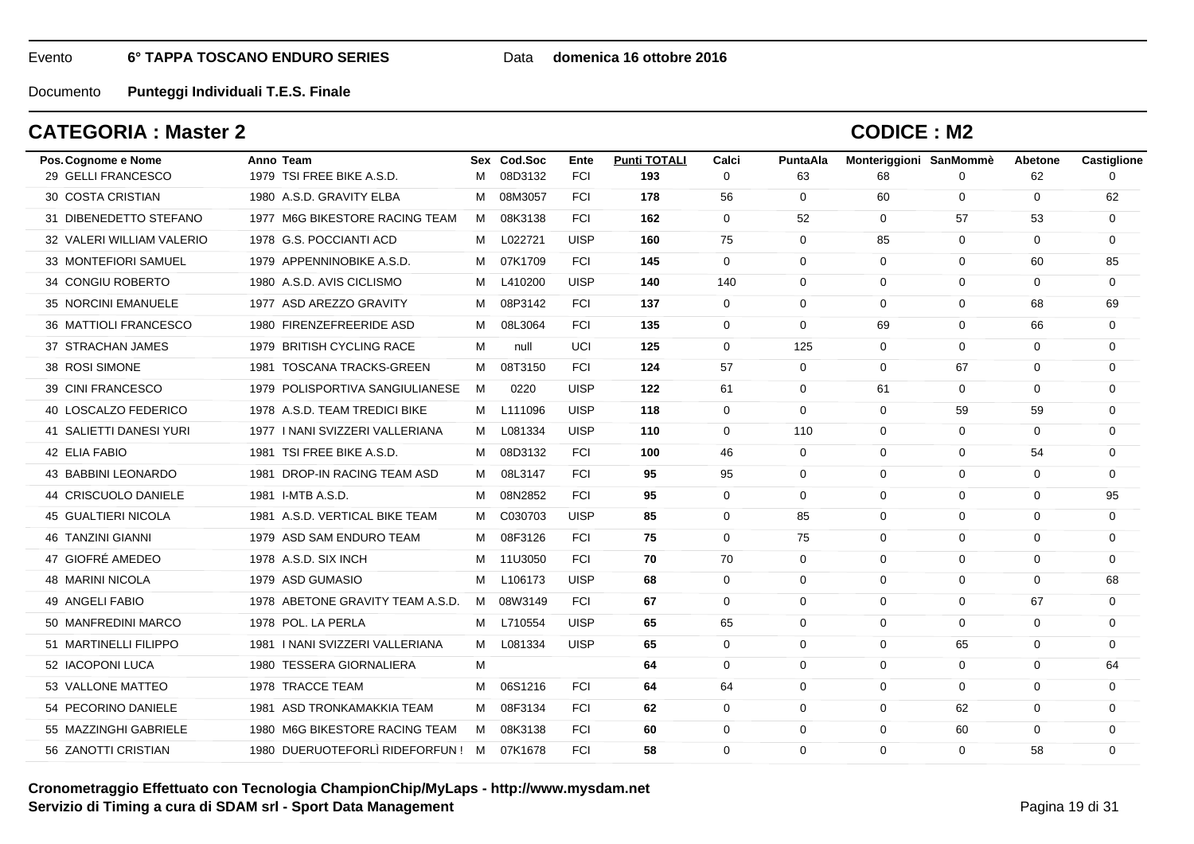#### Data **domenica 16 ottobre 2016**

Documento**Punteggi Individuali T.E.S. Finale**

## **CATEGORIA : Master 2**

| Pos. Cognome e Nome       | Anno Team                         |   | Sex Cod.Soc | Ente        | <b>Punti TOTALI</b> | Calci        | <b>PuntaAla</b> | Monteriggioni SanMommè |              | Abetone     | Castiglione |
|---------------------------|-----------------------------------|---|-------------|-------------|---------------------|--------------|-----------------|------------------------|--------------|-------------|-------------|
| 29 GELLI FRANCESCO        | 1979 TSI FREE BIKE A.S.D.         | м | 08D3132     | <b>FCI</b>  | 193                 | $\Omega$     | 63              | 68                     | $\Omega$     | 62          | $\Omega$    |
| <b>30 COSTA CRISTIAN</b>  | 1980 A.S.D. GRAVITY ELBA          | м | 08M3057     | <b>FCI</b>  | 178                 | 56           | $\mathbf{0}$    | 60                     | $\mathbf 0$  | 0           | 62          |
| 31 DIBENEDETTO STEFANO    | 1977 M6G BIKESTORE RACING TEAM    | M | 08K3138     | <b>FCI</b>  | 162                 | $\mathbf{0}$ | 52              | $\mathbf 0$            | 57           | 53          | $\mathbf 0$ |
| 32 VALERI WILLIAM VALERIO | 1978 G.S. POCCIANTI ACD           | м | L022721     | <b>UISP</b> | 160                 | 75           | $\Omega$        | 85                     | $\mathbf{0}$ | $\Omega$    | $\Omega$    |
| 33 MONTEFIORI SAMUEL      | 1979 APPENNINOBIKE A.S.D.         | м | 07K1709     | <b>FCI</b>  | 145                 | $\mathbf 0$  | $\Omega$        | $\mathbf 0$            | $\mathbf 0$  | 60          | 85          |
| 34 CONGIU ROBERTO         | 1980 A.S.D. AVIS CICLISMO         | м | L410200     | <b>UISP</b> | 140                 | 140          | $\mathbf{0}$    | $\Omega$               | $\mathbf{0}$ | 0           | $\mathbf 0$ |
| 35 NORCINI EMANUELE       | 1977 ASD AREZZO GRAVITY           | м | 08P3142     | <b>FCI</b>  | 137                 | $\Omega$     | $\Omega$        | $\Omega$               | $\mathbf 0$  | 68          | 69          |
| 36 MATTIOLI FRANCESCO     | 1980 FIRENZEFREERIDE ASD          | м | 08L3064     | <b>FCI</b>  | 135                 | $\mathbf 0$  | $\mathbf 0$     | 69                     | $\mathbf 0$  | 66          | $\mathbf 0$ |
| 37 STRACHAN JAMES         | 1979 BRITISH CYCLING RACE         | м | null        | UCI         | 125                 | $\mathbf 0$  | 125             | $\Omega$               | $\mathbf 0$  | $\mathbf 0$ | 0           |
| 38 ROSI SIMONE            | 1981 TOSCANA TRACKS-GREEN         | м | 08T3150     | <b>FCI</b>  | 124                 | 57           | $\mathbf 0$     | $\mathbf 0$            | 67           | 0           | 0           |
| 39 CINI FRANCESCO         | 1979 POLISPORTIVA SANGIULIANESE   | M | 0220        | <b>UISP</b> | 122                 | 61           | $\mathbf{0}$    | 61                     | $\mathbf 0$  | $\Omega$    | $\mathbf 0$ |
| 40 LOSCALZO FEDERICO      | 1978 A.S.D. TEAM TREDICI BIKE     | м | L111096     | <b>UISP</b> | 118                 | $\Omega$     | $\Omega$        | $\Omega$               | 59           | 59          | $\Omega$    |
| 41 SALIETTI DANESI YURI   | 1977   NANI SVIZZERI VALLERIANA   | м | L081334     | <b>UISP</b> | 110                 | $\mathbf 0$  | 110             | $\mathbf 0$            | $\mathbf 0$  | $\mathbf 0$ | $\mathbf 0$ |
| 42 ELIA FABIO             | 1981 TSI FREE BIKE A.S.D.         | м | 08D3132     | <b>FCI</b>  | 100                 | 46           | $\Omega$        | $\Omega$               | $\mathbf 0$  | 54          | $\Omega$    |
| 43 BABBINI LEONARDO       | 1981 DROP-IN RACING TEAM ASD      | м | 08L3147     | <b>FCI</b>  | 95                  | 95           | $\Omega$        | $\Omega$               | $\mathbf 0$  | $\Omega$    | $\Omega$    |
| 44 CRISCUOLO DANIELE      | 1981 I-MTB A.S.D.                 | м | 08N2852     | <b>FCI</b>  | 95                  | $\mathbf 0$  | $\mathbf 0$     | $\mathbf 0$            | 0            | $\mathbf 0$ | 95          |
| 45 GUALTIERI NICOLA       | 1981 A.S.D. VERTICAL BIKE TEAM    | м | C030703     | <b>UISP</b> | 85                  | $\mathbf 0$  | 85              | $\mathbf 0$            | $\mathbf 0$  | $\Omega$    | 0           |
| <b>46 TANZINI GIANNI</b>  | 1979 ASD SAM ENDURO TEAM          | м | 08F3126     | <b>FCI</b>  | 75                  | $\mathbf 0$  | 75              | $\mathbf 0$            | $\mathbf 0$  | $\mathbf 0$ | $\mathbf 0$ |
| 47 GIOFRÉ AMEDEO          | 1978 A.S.D. SIX INCH              | м | 11U3050     | <b>FCI</b>  | 70                  | 70           | $\mathbf 0$     | $\mathbf 0$            | $\mathbf 0$  | $\mathbf 0$ | $\Omega$    |
| <b>48 MARINI NICOLA</b>   | 1979 ASD GUMASIO                  | м | L106173     | <b>UISP</b> | 68                  | $\mathbf 0$  | $\Omega$        | $\Omega$               | $\mathbf 0$  | $\Omega$    | 68          |
| 49 ANGELI FABIO           | 1978 ABETONE GRAVITY TEAM A.S.D.  | M | 08W3149     | <b>FCI</b>  | 67                  | $\mathbf 0$  | $\mathbf 0$     | $\mathbf 0$            | $\mathbf 0$  | 67          | $\mathbf 0$ |
| 50 MANFREDINI MARCO       | 1978 POL. LA PERLA                | м | L710554     | <b>UISP</b> | 65                  | 65           | 0               | $\mathbf 0$            | $\mathbf 0$  | 0           | 0           |
| 51 MARTINELLI FILIPPO     | 1981   NANI SVIZZERI VALLERIANA   | м | L081334     | <b>UISP</b> | 65                  | $\mathbf 0$  | $\mathbf 0$     | $\Omega$               | 65           | $\mathbf 0$ | $\Omega$    |
| 52 IACOPONI LUCA          | 1980 TESSERA GIORNALIERA          | M |             |             | 64                  | $\mathbf 0$  | $\mathbf 0$     | $\Omega$               | $\mathbf 0$  | $\mathbf 0$ | 64          |
| 53 VALLONE MATTEO         | 1978 TRACCE TEAM                  | м | 06S1216     | <b>FCI</b>  | 64                  | 64           | 0               | $\Omega$               | 0            | $\Omega$    | $\mathbf 0$ |
| 54 PECORINO DANIELE       | 1981 ASD TRONKAMAKKIA TEAM        | м | 08F3134     | <b>FCI</b>  | 62                  | $\mathbf{0}$ | $\Omega$        | $\Omega$               | 62           | $\mathbf 0$ | $\mathbf 0$ |
| 55 MAZZINGHI GABRIELE     | 1980 M6G BIKESTORE RACING TEAM    | м | 08K3138     | <b>FCI</b>  | 60                  | $\mathbf 0$  | $\mathbf{0}$    | $\mathbf 0$            | 60           | 0           | 0           |
| 56 ZANOTTI CRISTIAN       | 1980 DUERUOTEFORLÌ RIDEFORFUN ! M |   | 07K1678     | <b>FCI</b>  | 58                  | $\Omega$     | $\Omega$        | $\Omega$               | $\Omega$     | 58          | $\Omega$    |
|                           |                                   |   |             |             |                     |              |                 |                        |              |             |             |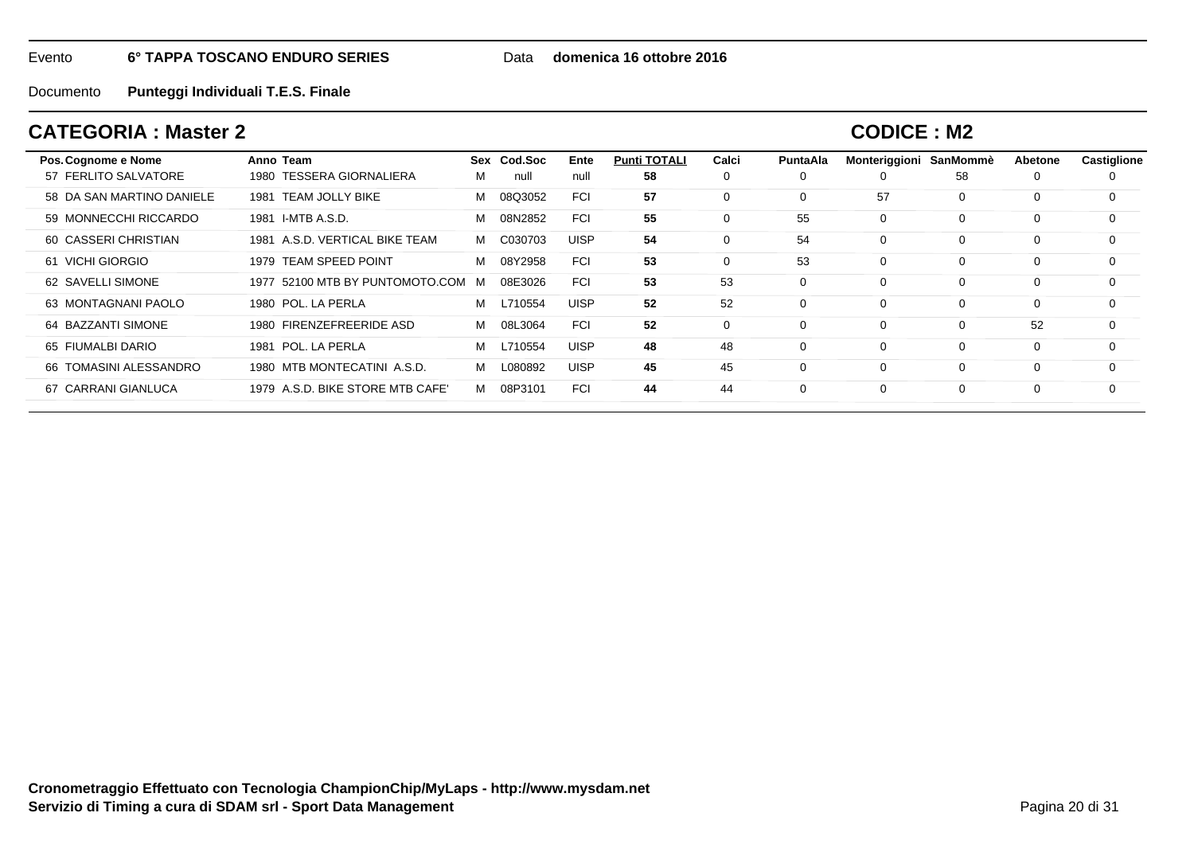Data **domenica 16 ottobre 2016**

Documento**Punteggi Individuali T.E.S. Finale**

## **CATEGORIA : Master 2**

| Pos. Cognome e Nome       | Anno Team                          | Sex | Cod.Soc | Ente        | <b>Punti TOTALI</b> | Calci       | PuntaAla | Monteriggioni SanMommè |             | Abetone | <b>Castiglione</b> |
|---------------------------|------------------------------------|-----|---------|-------------|---------------------|-------------|----------|------------------------|-------------|---------|--------------------|
| 57 FERLITO SALVATORE      | <b>TESSERA GIORNALIERA</b><br>1980 | м   | null    | null        | 58                  | 0           | $\Omega$ | 0                      | 58          | 0       | 0                  |
| 58 DA SAN MARTINO DANIELE | TEAM JOLLY BIKE<br>1981            | м   | 08Q3052 | <b>FCI</b>  | 57                  | $\mathbf 0$ | $\Omega$ | 57                     | 0           | 0       | 0                  |
| 59 MONNECCHI RICCARDO     | I-MTB A.S.D.<br>1981               | м   | 08N2852 | <b>FCI</b>  | 55                  | $\Omega$    | 55       | $\mathbf 0$            | 0           | 0       | $\Omega$           |
| 60 CASSERI CHRISTIAN      | 1981 A.S.D. VERTICAL BIKE TEAM     | м   | C030703 | <b>UISP</b> | 54                  | $\mathbf 0$ | 54       | $\mathbf 0$            | $\Omega$    | 0       | $\Omega$           |
| 61 VICHI GIORGIO          | <b>TEAM SPEED POINT</b><br>1979    | м   | 08Y2958 | <b>FCI</b>  | 53                  | $\mathbf 0$ | 53       | $\mathbf 0$            | 0           | 0       | 0                  |
| 62 SAVELLI SIMONE         | 1977 52100 MTB BY PUNTOMOTO.COM    | M   | 08E3026 | <b>FCI</b>  | 53                  | 53          | 0        | $\mathbf 0$            | $\mathbf 0$ | 0       | 0                  |
| 63 MONTAGNANI PAOLO       | 1980 POL. LA PERLA                 | м   | L710554 | <b>UISP</b> | 52                  | 52          | $\Omega$ | $\mathbf 0$            | $\Omega$    | 0       | $\Omega$           |
| 64 BAZZANTI SIMONE        | <b>FIRENZEFREERIDE ASD</b><br>1980 | м   | 08L3064 | <b>FCI</b>  | 52                  | $\mathbf 0$ | $\Omega$ | $\Omega$               | 0           | 52      | $\Omega$           |
| 65 FIUMALBI DARIO         | POL. LA PERLA<br>1981              | м   | L710554 | <b>UISP</b> | 48                  | 48          | $\Omega$ | $\mathbf 0$            | $\Omega$    | 0       | $\Omega$           |
| 66 TOMASINI ALESSANDRO    | 1980 MTB MONTECATINI A.S.D.        | м   | L080892 | <b>UISP</b> | 45                  | 45          | $\Omega$ | $\mathbf 0$            | $\Omega$    | 0       | $\Omega$           |
| 67 CARRANI GIANLUCA       | 1979 A.S.D. BIKE STORE MTB CAFE'   | м   | 08P3101 | <b>FCI</b>  | 44                  | 44          | $\Omega$ | $\mathbf 0$            | $\Omega$    | 0       | $\Omega$           |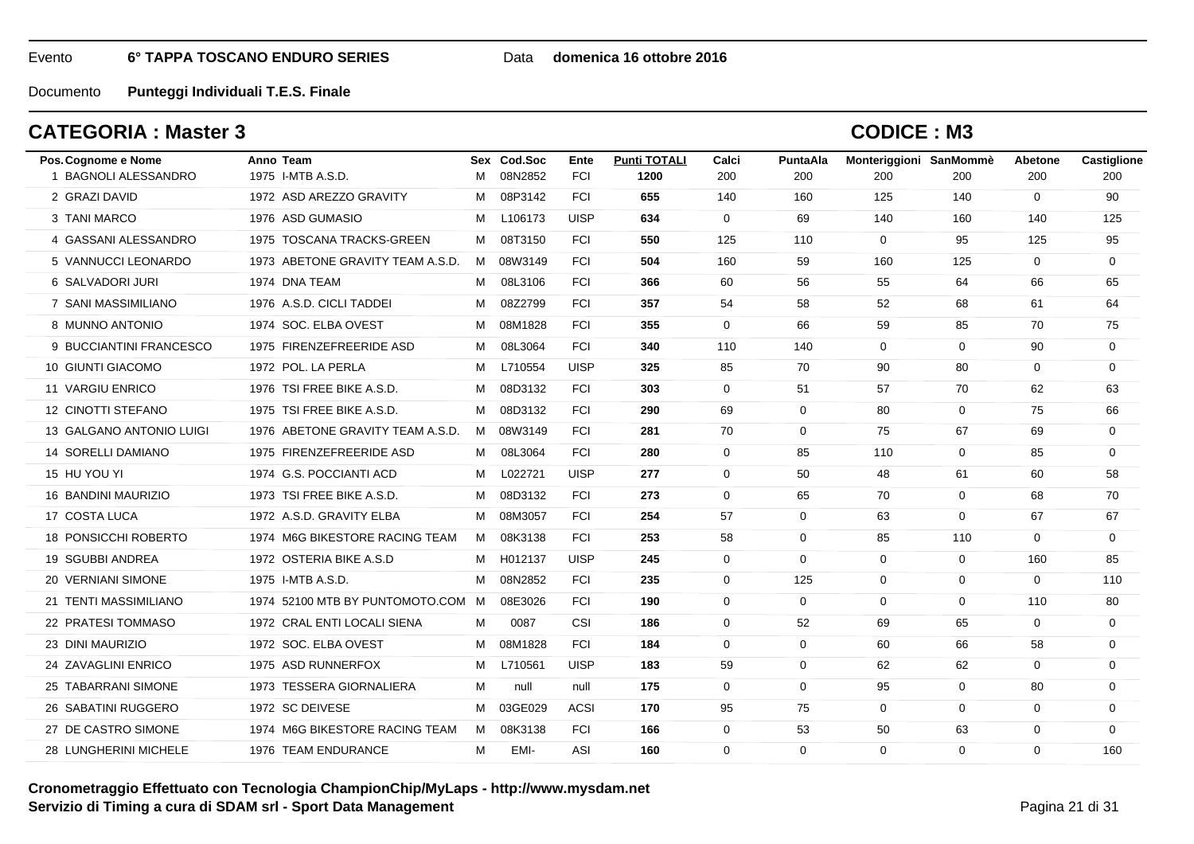### Data **domenica 16 ottobre 2016**

Documento**Punteggi Individuali T.E.S. Finale**

### **CATEGORIA : Master 3**

| Pos. Cognome e Nome       | Anno Team                         |   | Sex Cod.Soc | Ente        | <b>Punti TOTALI</b> | Calci        | PuntaAla    | Monteriggioni SanMommè |             | <b>Abetone</b> | Castiglione |
|---------------------------|-----------------------------------|---|-------------|-------------|---------------------|--------------|-------------|------------------------|-------------|----------------|-------------|
| 1 BAGNOLI ALESSANDRO      | 1975 I-MTB A.S.D.                 | M | 08N2852     | <b>FCI</b>  | 1200                | 200          | 200         | 200                    | 200         | 200            | 200         |
| 2 GRAZI DAVID             | 1972 ASD AREZZO GRAVITY           | M | 08P3142     | <b>FCI</b>  | 655                 | 140          | 160         | 125                    | 140         | $\Omega$       | 90          |
| 3 TANI MARCO              | 1976 ASD GUMASIO                  | M | L106173     | <b>UISP</b> | 634                 | $\mathbf{0}$ | 69          | 140                    | 160         | 140            | 125         |
| 4 GASSANI ALESSANDRO      | 1975 TOSCANA TRACKS-GREEN         | M | 08T3150     | <b>FCI</b>  | 550                 | 125          | 110         | $\mathbf{0}$           | 95          | 125            | 95          |
| 5 VANNUCCI LEONARDO       | 1973 ABETONE GRAVITY TEAM A.S.D.  | M | 08W3149     | <b>FCI</b>  | 504                 | 160          | 59          | 160                    | 125         | $\Omega$       | $\mathbf 0$ |
| 6 SALVADORI JURI          | 1974 DNA TEAM                     | М | 08L3106     | <b>FCI</b>  | 366                 | 60           | 56          | 55                     | 64          | 66             | 65          |
| 7 SANI MASSIMILIANO       | 1976 A.S.D. CICLI TADDEI          | M | 08Z2799     | <b>FCI</b>  | 357                 | 54           | 58          | 52                     | 68          | 61             | 64          |
| 8 MUNNO ANTONIO           | 1974 SOC. ELBA OVEST              | М | 08M1828     | <b>FCI</b>  | 355                 | $\mathbf{0}$ | 66          | 59                     | 85          | 70             | 75          |
| 9 BUCCIANTINI FRANCESCO   | 1975 FIRENZEFREERIDE ASD          | М | 08L3064     | <b>FCI</b>  | 340                 | 110          | 140         | $\mathbf 0$            | $\mathbf 0$ | 90             | $\mathbf 0$ |
| 10 GIUNTI GIACOMO         | 1972 POL. LA PERLA                | М | L710554     | <b>UISP</b> | 325                 | 85           | 70          | 90                     | 80          | 0              | $\mathbf 0$ |
| 11 VARGIU ENRICO          | 1976 TSI FREE BIKE A.S.D.         | M | 08D3132     | <b>FCI</b>  | 303                 | $\mathbf 0$  | 51          | 57                     | 70          | 62             | 63          |
| <b>12 CINOTTI STEFANO</b> | 1975 TSI FREE BIKE A.S.D.         | M | 08D3132     | <b>FCI</b>  | 290                 | 69           | $\mathbf 0$ | 80                     | $\mathbf 0$ | 75             | 66          |
| 13 GALGANO ANTONIO LUIGI  | 1976 ABETONE GRAVITY TEAM A.S.D.  | M | 08W3149     | <b>FCI</b>  | 281                 | 70           | $\mathbf 0$ | 75                     | 67          | 69             | $\mathbf 0$ |
| 14 SORELLI DAMIANO        | 1975 FIRENZEFREERIDE ASD          | М | 08L3064     | <b>FCI</b>  | 280                 | $\mathbf 0$  | 85          | 110                    | $\mathbf 0$ | 85             | $\mathbf 0$ |
| 15 HU YOU YI              | 1974 G.S. POCCIANTI ACD           | M | L022721     | <b>UISP</b> | 277                 | $\mathbf 0$  | 50          | 48                     | 61          | 60             | 58          |
| 16 BANDINI MAURIZIO       | 1973 TSI FREE BIKE A.S.D.         | M | 08D3132     | <b>FCI</b>  | 273                 | $\mathbf 0$  | 65          | 70                     | $\mathbf 0$ | 68             | 70          |
| 17 COSTA LUCA             | 1972 A.S.D. GRAVITY ELBA          | M | 08M3057     | <b>FCI</b>  | 254                 | 57           | $\mathbf 0$ | 63                     | $\mathbf 0$ | 67             | 67          |
| 18 PONSICCHI ROBERTO      | 1974 M6G BIKESTORE RACING TEAM    | M | 08K3138     | <b>FCI</b>  | 253                 | 58           | $\Omega$    | 85                     | 110         | $\Omega$       | $\Omega$    |
| 19 SGUBBI ANDREA          | 1972 OSTERIA BIKE A.S.D           | м | H012137     | <b>UISP</b> | 245                 | $\mathbf 0$  | $\mathbf 0$ | $\mathbf 0$            | $\mathbf 0$ | 160            | 85          |
| 20 VERNIANI SIMONE        | 1975 I-MTB A.S.D.                 | M | 08N2852     | <b>FCI</b>  | 235                 | 0            | 125         | 0                      | 0           | 0              | 110         |
| 21 TENTI MASSIMILIANO     | 1974 52100 MTB BY PUNTOMOTO.COM M |   | 08E3026     | <b>FCI</b>  | 190                 | $\mathbf 0$  | $\mathbf 0$ | $\Omega$               | $\mathbf 0$ | 110            | 80          |
| 22 PRATESI TOMMASO        | 1972 CRAL ENTI LOCALI SIENA       | M | 0087        | CSI         | 186                 | $\Omega$     | 52          | 69                     | 65          | $\Omega$       | $\mathbf 0$ |
| 23 DINI MAURIZIO          | 1972 SOC, ELBA OVEST              | М | 08M1828     | <b>FCI</b>  | 184                 | $\Omega$     | $\mathbf 0$ | 60                     | 66          | 58             | $\mathbf 0$ |
| 24 ZAVAGLINI ENRICO       | 1975 ASD RUNNERFOX                | М | L710561     | <b>UISP</b> | 183                 | 59           | $\mathbf 0$ | 62                     | 62          | $\mathbf 0$    | $\mathbf 0$ |
| 25 TABARRANI SIMONE       | 1973 TESSERA GIORNALIERA          | М | null        | null        | 175                 | $\mathbf 0$  | $\mathbf 0$ | 95                     | 0           | 80             | 0           |
| 26 SABATINI RUGGERO       | 1972 SC DEIVESE                   | M | 03GE029     | <b>ACSI</b> | 170                 | 95           | 75          | $\mathbf 0$            | $\mathbf 0$ | $\mathbf 0$    | $\mathbf 0$ |
| 27 DE CASTRO SIMONE       | 1974 M6G BIKESTORE RACING TEAM    | M | 08K3138     | <b>FCI</b>  | 166                 | 0            | 53          | 50                     | 63          | 0              | $\mathbf 0$ |
| 28 LUNGHERINI MICHELE     | 1976 TEAM ENDURANCE               | M | EMI-        | ASI         | 160                 | $\Omega$     | $\Omega$    | $\Omega$               | $\Omega$    | $\Omega$       | 160         |
|                           |                                   |   |             |             |                     |              |             |                        |             |                |             |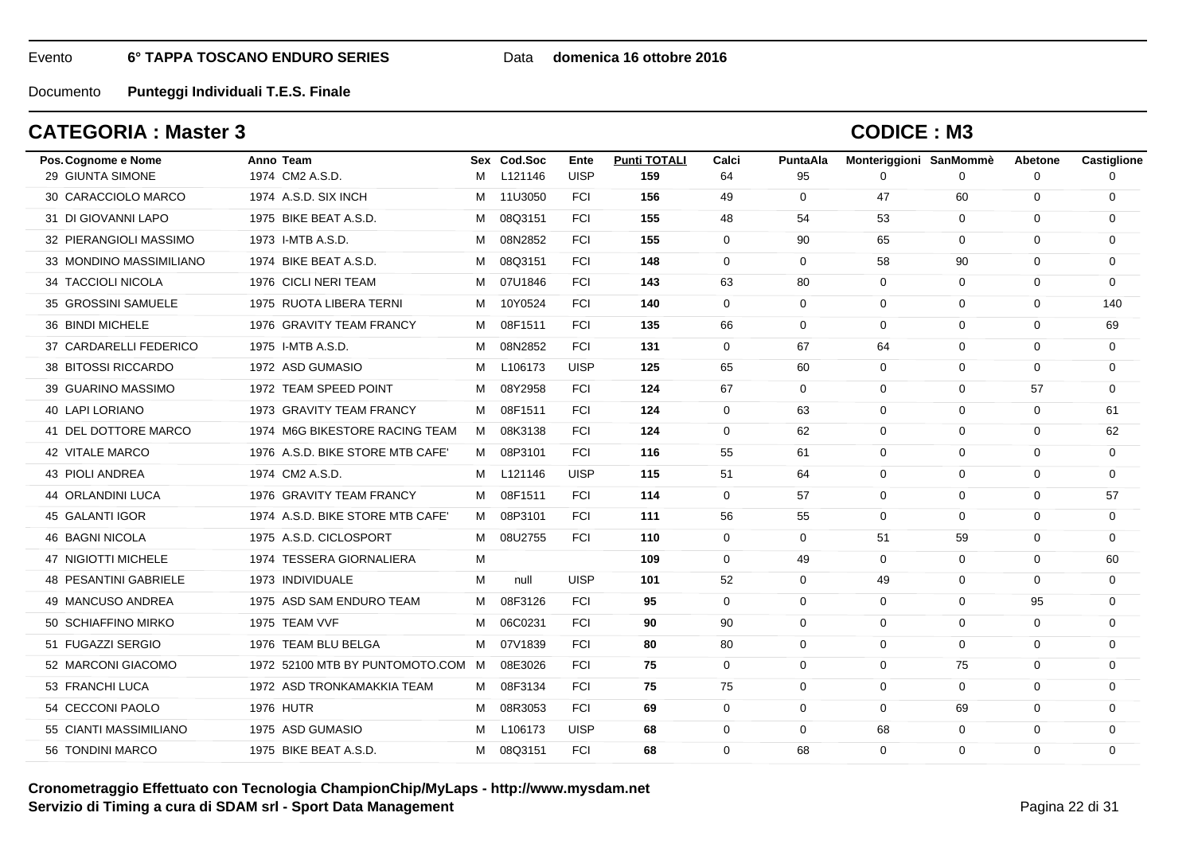### Data **domenica 16 ottobre 2016**

Documento**Punteggi Individuali T.E.S. Finale**

## **CATEGORIA : Master 3**

| Pos. Cognome e Nome<br>29 GIUNTA SIMONE | Anno Team<br>1974 CM2 A.S.D.      | M | Sex Cod.Soc<br>L121146 | Ente<br><b>UISP</b> | <b>Punti TOTALI</b><br>159 | Calci<br>64  | PuntaAla<br>95 | Monteriggioni SanMommè<br>0 | $\Omega$     | Abetone<br>$\Omega$ | Castiglione<br>$\Omega$ |
|-----------------------------------------|-----------------------------------|---|------------------------|---------------------|----------------------------|--------------|----------------|-----------------------------|--------------|---------------------|-------------------------|
| 30 CARACCIOLO MARCO                     | 1974 A.S.D. SIX INCH              | M | 11U3050                | <b>FCI</b>          | 156                        | 49           | 0              | 47                          | 60           | 0                   | 0                       |
| 31 DI GIOVANNI LAPO                     | 1975 BIKE BEAT A.S.D.             | м | 08Q3151                | <b>FCI</b>          | 155                        | 48           | 54             | 53                          | $\mathbf 0$  | 0                   | $\mathbf 0$             |
| 32 PIERANGIOLI MASSIMO                  | 1973 I-MTB A.S.D.                 | м | 08N2852                | <b>FCI</b>          | 155                        | $\mathbf 0$  | 90             | 65                          | $\mathbf 0$  | $\Omega$            | $\Omega$                |
| 33 MONDINO MASSIMILIANO                 | 1974 BIKE BEAT A.S.D.             | M | 08Q3151                | <b>FCI</b>          | 148                        | $\Omega$     | $\Omega$       | 58                          | 90           | $\Omega$            | $\Omega$                |
| 34 TACCIOLI NICOLA                      | 1976 CICLI NERI TEAM              | м | 07U1846                | <b>FCI</b>          | 143                        | 63           | 80             | $\mathbf 0$                 | $\mathbf 0$  | $\mathbf 0$         | $\mathbf 0$             |
| 35 GROSSINI SAMUELE                     | 1975 RUOTA LIBERA TERNI           | M | 10Y0524                | <b>FCI</b>          | 140                        | $\mathbf{0}$ | 0              | $\mathbf 0$                 | 0            | 0                   | 140                     |
| 36 BINDI MICHELE                        | 1976 GRAVITY TEAM FRANCY          | м | 08F1511                | <b>FCI</b>          | 135                        | 66           | $\Omega$       | $\Omega$                    | $\mathbf 0$  | $\Omega$            | 69                      |
| 37 CARDARELLI FEDERICO                  | 1975 I-MTB A.S.D.                 | М | 08N2852                | <b>FCI</b>          | 131                        | $\mathbf 0$  | 67             | 64                          | $\mathbf 0$  | $\Omega$            | $\mathbf 0$             |
| 38 BITOSSI RICCARDO                     | 1972 ASD GUMASIO                  | M | L106173                | <b>UISP</b>         | 125                        | 65           | 60             | $\mathbf 0$                 | $\mathbf 0$  | 0                   | 0                       |
| 39 GUARINO MASSIMO                      | 1972 TEAM SPEED POINT             | M | 08Y2958                | <b>FCI</b>          | 124                        | 67           | $\mathbf{0}$   | $\mathbf 0$                 | $\mathbf 0$  | 57                  | $\Omega$                |
| 40 LAPI LORIANO                         | 1973 GRAVITY TEAM FRANCY          | м | 08F1511                | <b>FCI</b>          | 124                        | $\mathbf{0}$ | 63             | 0                           | $\mathbf 0$  | 0                   | 61                      |
| 41 DEL DOTTORE MARCO                    | 1974 M6G BIKESTORE RACING TEAM    | M | 08K3138                | <b>FCI</b>          | 124                        | $\mathbf 0$  | 62             | $\mathbf 0$                 | $\mathbf 0$  | $\mathbf 0$         | 62                      |
| 42 VITALE MARCO                         | 1976 A.S.D. BIKE STORE MTB CAFE'  | M | 08P3101                | <b>FCI</b>          | 116                        | 55           | 61             | $\Omega$                    | $\mathbf 0$  | $\Omega$            | $\Omega$                |
| 43 PIOLI ANDREA                         | 1974 CM2 A.S.D.                   | M | L121146                | <b>UISP</b>         | 115                        | 51           | 64             | $\Omega$                    | $\mathbf{0}$ | $\Omega$            | $\Omega$                |
| 44 ORLANDINI LUCA                       | 1976 GRAVITY TEAM FRANCY          | м | 08F1511                | <b>FCI</b>          | 114                        | $\mathbf 0$  | 57             | $\mathbf 0$                 | $\mathbf 0$  | $\mathbf 0$         | 57                      |
| 45 GALANTI IGOR                         | 1974 A.S.D. BIKE STORE MTB CAFE'  | M | 08P3101                | <b>FCI</b>          | 111                        | 56           | 55             | $\Omega$                    | $\mathbf 0$  | $\Omega$            | $\mathbf 0$             |
| <b>46 BAGNI NICOLA</b>                  | 1975 A.S.D. CICLOSPORT            | M | 08U2755                | <b>FCI</b>          | 110                        | $\Omega$     | $\mathbf 0$    | 51                          | 59           | 0                   | $\Omega$                |
| 47 NIGIOTTI MICHELE                     | 1974 TESSERA GIORNALIERA          | M |                        |                     | 109                        | $\mathbf 0$  | 49             | $\mathbf 0$                 | $\mathbf 0$  | $\Omega$            | 60                      |
| <b>48 PESANTINI GABRIELE</b>            | 1973 INDIVIDUALE                  | м | null                   | <b>UISP</b>         | 101                        | 52           | 0              | 49                          | $\mathbf 0$  | $\Omega$            | 0                       |
| 49 MANCUSO ANDREA                       | 1975 ASD SAM ENDURO TEAM          | M | 08F3126                | <b>FCI</b>          | 95                         | $\Omega$     | $\Omega$       | $\Omega$                    | $\mathbf 0$  | 95                  | $\Omega$                |
| 50 SCHIAFFINO MIRKO                     | 1975 TEAM VVF                     | м | 06C0231                | <b>FCI</b>          | 90                         | 90           | $\Omega$       | $\Omega$                    | $\Omega$     | $\Omega$            | $\Omega$                |
| 51 FUGAZZI SERGIO                       | 1976 TEAM BLU BELGA               | м | 07V1839                | <b>FCI</b>          | 80                         | 80           | $\mathbf 0$    | $\mathbf 0$                 | $\mathbf 0$  | $\mathbf 0$         | $\mathbf 0$             |
| 52 MARCONI GIACOMO                      | 1972 52100 MTB BY PUNTOMOTO.COM M |   | 08E3026                | <b>FCI</b>          | 75                         | $\Omega$     | $\Omega$       | $\Omega$                    | 75           | $\Omega$            | $\Omega$                |
| 53 FRANCHI LUCA                         | 1972 ASD TRONKAMAKKIA TEAM        | M | 08F3134                | <b>FCI</b>          | 75                         | 75           | $\Omega$       | $\Omega$                    | $\Omega$     | $\Omega$            | 0                       |
| 54 CECCONI PAOLO                        | <b>1976 HUTR</b>                  | м | 08R3053                | <b>FCI</b>          | 69                         | $\mathbf 0$  | $\mathbf 0$    | $\mathbf 0$                 | 69           | $\mathbf 0$         | $\mathbf 0$             |
| 55 CIANTI MASSIMILIANO                  | 1975 ASD GUMASIO                  | м | L106173                | <b>UISP</b>         | 68                         | $\mathbf 0$  | 0              | 68                          | $\mathbf 0$  | 0                   | 0                       |
| 56 TONDINI MARCO                        | 1975 BIKE BEAT A.S.D.             | M | 08Q3151                | <b>FCI</b>          | 68                         | $\Omega$     | 68             | $\Omega$                    | $\Omega$     | $\Omega$            | $\Omega$                |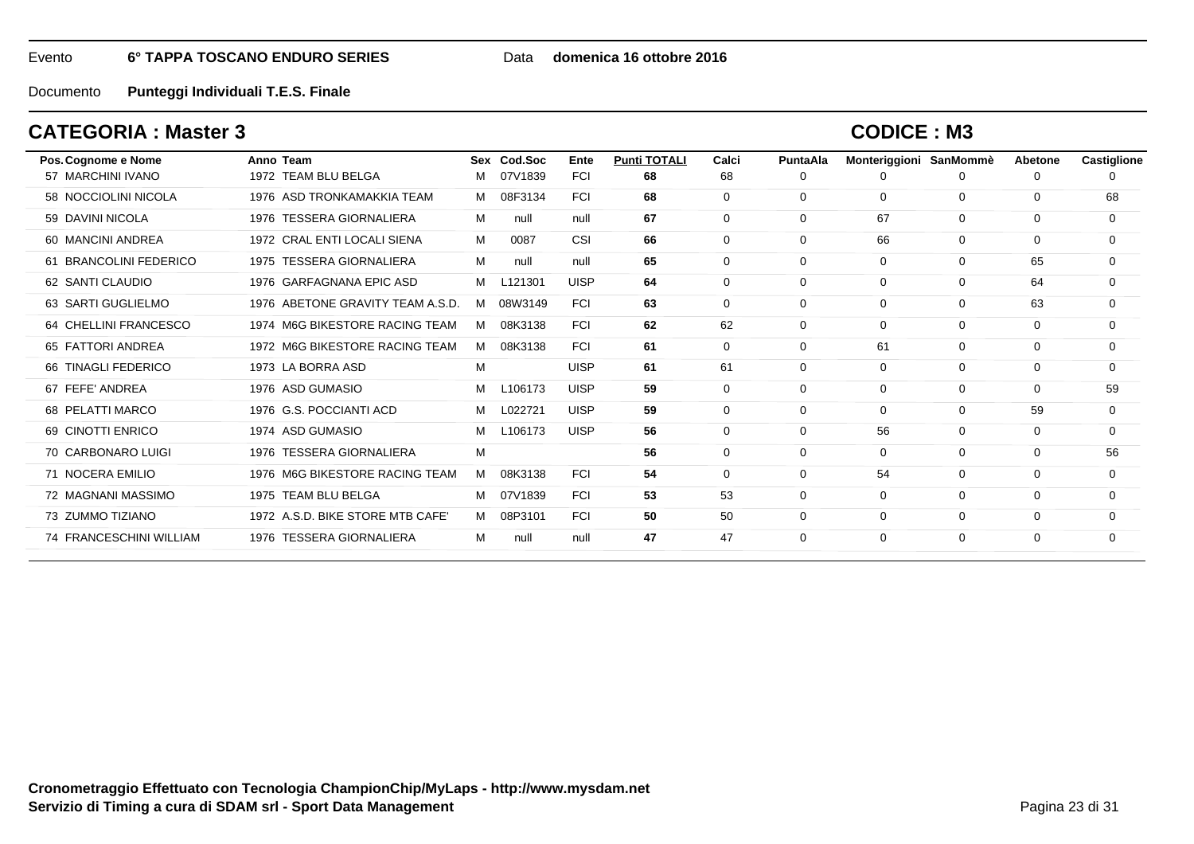#### Data **domenica 16 ottobre 2016**

Documento**Punteggi Individuali T.E.S. Finale**

### **CATEGORIA : Master 3**

| Pos. Cognome e Nome     | Anno Team                          | Sex | Cod.Soc | Ente        | <b>Punti TOTALI</b> | Calci       | <b>PuntaAla</b> | Monteriggioni SanMommè |              | Abetone     | <b>Castiglione</b> |
|-------------------------|------------------------------------|-----|---------|-------------|---------------------|-------------|-----------------|------------------------|--------------|-------------|--------------------|
| 57 MARCHINI IVANO       | 1972 TEAM BLU BELGA                | м   | 07V1839 | <b>FCI</b>  | 68                  | 68          | 0               | O                      | <sup>0</sup> | 0           |                    |
| 58 NOCCIOLINI NICOLA    | 1976 ASD TRONKAMAKKIA TEAM         | м   | 08F3134 | <b>FCI</b>  | 68                  | $\mathbf 0$ | 0               | $\mathbf 0$            | $\mathbf 0$  | $\mathbf 0$ | 68                 |
| 59 DAVINI NICOLA        | 1976 TESSERA GIORNALIERA           | м   | null    | null        | 67                  | $\mathbf 0$ | $\Omega$        | 67                     | $\mathbf 0$  | 0           | 0                  |
| 60 MANCINI ANDREA       | 1972 CRAL ENTI LOCALI SIENA        | м   | 0087    | CSI         | 66                  | 0           | 0               | 66                     | $\mathbf 0$  | 0           | 0                  |
| 61 BRANCOLINI FEDERICO  | 1975 TESSERA GIORNALIERA           | м   | null    | null        | 65                  | 0           | 0               | $\mathbf 0$            | $\mathbf 0$  | 65          | 0                  |
| 62 SANTI CLAUDIO        | 1976 GARFAGNANA EPIC ASD           | м   | L121301 | <b>UISP</b> | 64                  | 0           | 0               | $\mathbf 0$            | $\mathbf 0$  | 64          | $\Omega$           |
| 63 SARTI GUGLIELMO      | 1976 ABETONE GRAVITY TEAM A.S.D.   | м   | 08W3149 | <b>FCI</b>  | 63                  | 0           | 0               | $\mathbf 0$            | $\mathbf 0$  | 63          | 0                  |
| 64 CHELLINI FRANCESCO   | 1974 M6G BIKESTORE RACING TEAM     | м   | 08K3138 | <b>FCI</b>  | 62                  | 62          | 0               | $\mathbf 0$            | $\mathbf 0$  | 0           | 0                  |
| 65 FATTORI ANDREA       | 1972 M6G BIKESTORE RACING TEAM     | м   | 08K3138 | <b>FCI</b>  | 61                  | 0           | 0               | 61                     | $\mathbf 0$  | 0           | $\mathbf 0$        |
| 66 TINAGLI FEDERICO     | 1973 LA BORRA ASD                  | М   |         | <b>UISP</b> | 61                  | 61          | 0               | $\mathbf 0$            | $\mathbf 0$  | 0           | $\mathbf 0$        |
| 67 FEFE' ANDREA         | 1976 ASD GUMASIO                   | м   | L106173 | <b>UISP</b> | 59                  | 0           | 0               | $\mathbf 0$            | $\mathbf 0$  | 0           | 59                 |
| 68 PELATTI MARCO        | 1976 G.S. POCCIANTI ACD            | м   | L022721 | <b>UISP</b> | 59                  | $\mathbf 0$ | $\Omega$        | $\mathbf 0$            | $\mathbf 0$  | 59          | $\mathbf 0$        |
| 69 CINOTTI ENRICO       | 1974 ASD GUMASIO                   | м   | L106173 | <b>UISP</b> | 56                  | $\mathbf 0$ | $\mathbf 0$     | 56                     | $\mathbf 0$  | $\mathbf 0$ | $\mathbf 0$        |
| 70 CARBONARO LUIGI      | 1976 TESSERA GIORNALIERA           | M   |         |             | 56                  | $\mathbf 0$ | 0               | $\mathbf 0$            | $\mathbf 0$  | $\mathbf 0$ | 56                 |
| 71 NOCERA EMILIO        | 1976 M6G BIKESTORE RACING TEAM     | м   | 08K3138 | <b>FCI</b>  | 54                  | $\mathbf 0$ | $\Omega$        | 54                     | 0            | 0           | $\mathbf 0$        |
| 72 MAGNANI MASSIMO      | 1975 TEAM BLU BELGA                | м   | 07V1839 | <b>FCI</b>  | 53                  | 53          | 0               | $\mathbf 0$            | $\mathbf 0$  | 0           | 0                  |
| 73 ZUMMO TIZIANO        | 1972 A.S.D. BIKE STORE MTB CAFE'   | м   | 08P3101 | <b>FCI</b>  | 50                  | 50          | 0               | $\mathbf 0$            | $\mathbf 0$  | 0           | 0                  |
| 74 FRANCESCHINI WILLIAM | <b>TESSERA GIORNALIERA</b><br>1976 | м   | null    | null        | 47                  | 47          | $\Omega$        | $\mathbf 0$            | $\mathbf 0$  | 0           | $\Omega$           |
|                         |                                    |     |         |             |                     |             |                 |                        |              |             |                    |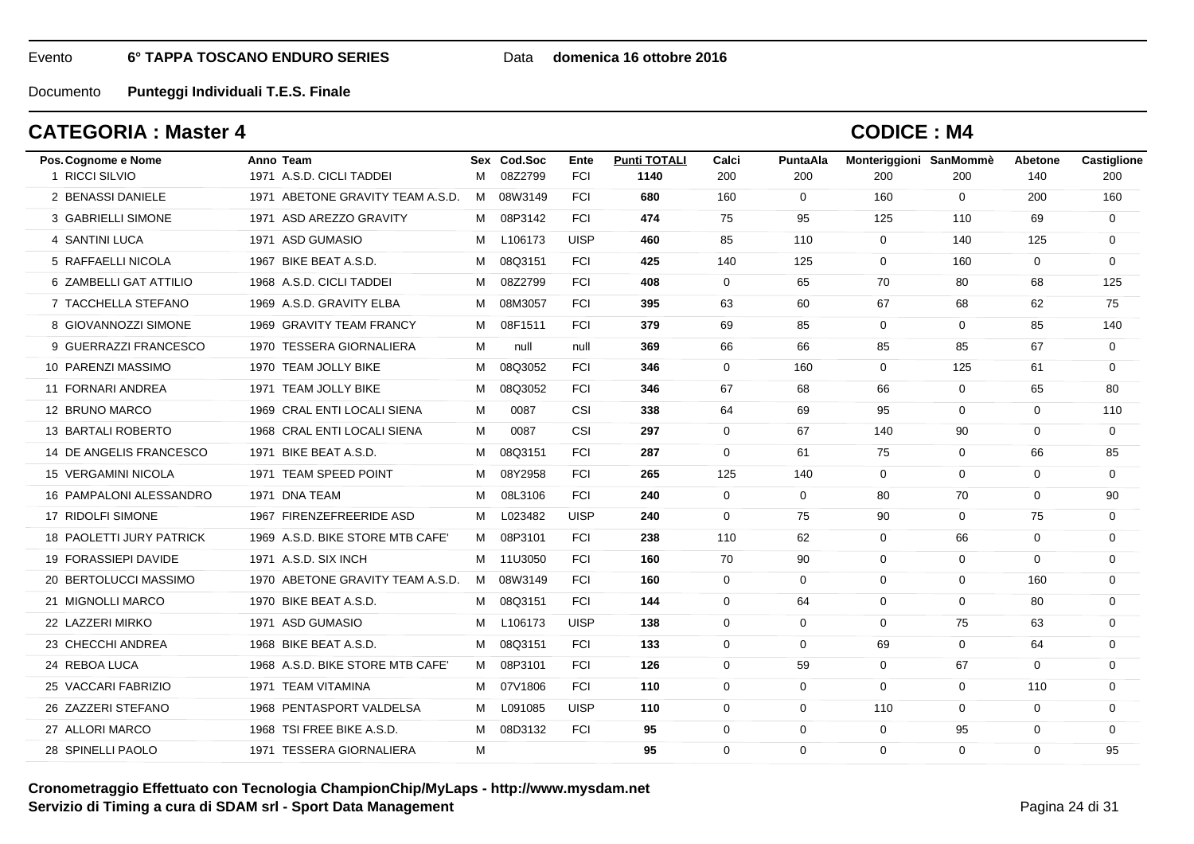#### Data **domenica 16 ottobre 2016**

Documento**Punteggi Individuali T.E.S. Finale**

## **CATEGORIA : Master 4**

| Pos. Cognome e Nome        | Anno Team                        |   | Sex Cod.Soc | Ente        | <b>Punti TOTALI</b> | Calci        | PuntaAla     | Monteriggioni SanMommè |                | <b>Abetone</b> | Castiglione |
|----------------------------|----------------------------------|---|-------------|-------------|---------------------|--------------|--------------|------------------------|----------------|----------------|-------------|
| 1 RICCI SILVIO             | 1971 A.S.D. CICLI TADDEI         | M | 08Z2799     | <b>FCI</b>  | 1140                | 200          | 200          | 200                    | 200            | 140            | 200         |
| 2 BENASSI DANIELE          | 1971 ABETONE GRAVITY TEAM A.S.D. |   | M 08W3149   | <b>FCI</b>  | 680                 | 160          | $\mathbf 0$  | 160                    | $\overline{0}$ | 200            | 160         |
| 3 GABRIELLI SIMONE         | 1971 ASD AREZZO GRAVITY          |   | M 08P3142   | <b>FCI</b>  | 474                 | 75           | 95           | 125                    | 110            | 69             | $\mathbf 0$ |
| 4 SANTINI LUCA             | 1971 ASD GUMASIO                 | M | L106173     | <b>UISP</b> | 460                 | 85           | 110          | $\mathbf 0$            | 140            | 125            | $\mathbf 0$ |
| 5 RAFFAELLI NICOLA         | 1967 BIKE BEAT A.S.D.            | M | 08Q3151     | <b>FCI</b>  | 425                 | 140          | 125          | $\mathbf{0}$           | 160            | $\Omega$       | $\Omega$    |
| 6 ZAMBELLI GAT ATTILIO     | 1968 A.S.D. CICLI TADDEI         | M | 08Z2799     | <b>FCI</b>  | 408                 | $\mathbf 0$  | 65           | 70                     | 80             | 68             | 125         |
| 7 TACCHELLA STEFANO        | 1969 A.S.D. GRAVITY ELBA         | м | 08M3057     | <b>FCI</b>  | 395                 | 63           | 60           | 67                     | 68             | 62             | 75          |
| 8 GIOVANNOZZI SIMONE       | 1969 GRAVITY TEAM FRANCY         | M | 08F1511     | <b>FCI</b>  | 379                 | 69           | 85           | $\Omega$               | $\overline{0}$ | 85             | 140         |
| 9 GUERRAZZI FRANCESCO      | 1970 TESSERA GIORNALIERA         | M | null        | null        | 369                 | 66           | 66           | 85                     | 85             | 67             | $\mathbf 0$ |
| 10 PARENZI MASSIMO         | 1970 TEAM JOLLY BIKE             | м | 08Q3052     | <b>FCI</b>  | 346                 | $\mathbf 0$  | 160          | $\mathbf 0$            | 125            | 61             | $\mathbf 0$ |
| 11 FORNARI ANDREA          | 1971 TEAM JOLLY BIKE             | M | 08Q3052     | <b>FCI</b>  | 346                 | 67           | 68           | 66                     | $\overline{0}$ | 65             | 80          |
| 12 BRUNO MARCO             | 1969 CRAL ENTI LOCALI SIENA      | M | 0087        | <b>CSI</b>  | 338                 | 64           | 69           | 95                     | $\Omega$       | $\Omega$       | 110         |
| 13 BARTALI ROBERTO         | 1968 CRAL ENTI LOCALI SIENA      | M | 0087        | CSI         | 297                 | $\mathbf{0}$ | 67           | 140                    | 90             | 0              | $\mathbf 0$ |
| 14 DE ANGELIS FRANCESCO    | 1971 BIKE BEAT A.S.D.            | М | 08Q3151     | <b>FCI</b>  | 287                 | $\mathbf 0$  | 61           | 75                     | $\mathbf 0$    | 66             | 85          |
| <b>15 VERGAMINI NICOLA</b> | 1971 TEAM SPEED POINT            |   | M 08Y2958   | <b>FCI</b>  | 265                 | 125          | 140          | 0                      | $\Omega$       | $\Omega$       | $\Omega$    |
| 16 PAMPALONI ALESSANDRO    | 1971 DNA TEAM                    | M | 08L3106     | <b>FCI</b>  | 240                 | $\mathbf 0$  | $\mathbf{0}$ | 80                     | 70             | $\Omega$       | 90          |
| 17 RIDOLFI SIMONE          | 1967 FIRENZEFREERIDE ASD         | M | L023482     | <b>UISP</b> | 240                 | $\Omega$     | 75           | 90                     | $\Omega$       | 75             | $\Omega$    |
| 18 PAOLETTI JURY PATRICK   | 1969 A.S.D. BIKE STORE MTB CAFE' | M | 08P3101     | <b>FCI</b>  | 238                 | 110          | 62           | $\mathbf 0$            | 66             | $\mathbf 0$    | $\mathbf 0$ |
| 19 FORASSIEPI DAVIDE       | 1971 A.S.D. SIX INCH             |   | M 11U3050   | <b>FCI</b>  | 160                 | 70           | 90           | $\mathbf 0$            | $\mathbf 0$    | $\Omega$       | 0           |
| 20 BERTOLUCCI MASSIMO      | 1970 ABETONE GRAVITY TEAM A.S.D. |   | M 08W3149   | <b>FCI</b>  | 160                 | $\mathbf 0$  | $\mathbf 0$  | 0                      | $\mathbf 0$    | 160            | 0           |
| 21 MIGNOLLI MARCO          | 1970 BIKE BEAT A.S.D.            |   | M 08Q3151   | <b>FCI</b>  | 144                 | $\Omega$     | 64           | $\Omega$               | $\Omega$       | 80             | $\Omega$    |
| 22 LAZZERI MIRKO           | 1971 ASD GUMASIO                 | М | L106173     | <b>UISP</b> | 138                 | $\Omega$     | $\mathbf 0$  | $\mathbf 0$            | 75             | 63             | $\mathbf 0$ |
| 23 CHECCHI ANDREA          | 1968 BIKE BEAT A.S.D.            | M | 08Q3151     | <b>FCI</b>  | 133                 | $\mathbf 0$  | $\mathbf 0$  | 69                     | $\mathbf 0$    | 64             | $\mathbf 0$ |
| 24 REBOA LUCA              | 1968 A.S.D. BIKE STORE MTB CAFE' | M | 08P3101     | <b>FCI</b>  | 126                 | $\Omega$     | 59           | $\mathbf 0$            | 67             | $\Omega$       | $\Omega$    |
| 25 VACCARI FABRIZIO        | 1971 TEAM VITAMINA               |   | M 07V1806   | <b>FCI</b>  | 110                 | 0            | $\mathbf 0$  | $\mathbf 0$            | $\mathbf 0$    | 110            | $\mathbf 0$ |
| 26 ZAZZERI STEFANO         | 1968 PENTASPORT VALDELSA         | М | L091085     | <b>UISP</b> | 110                 | $\mathbf 0$  | $\mathbf 0$  | 110                    | $\mathbf 0$    | $\mathbf 0$    | $\mathbf 0$ |
| 27 ALLORI MARCO            | 1968 TSI FREE BIKE A.S.D.        | M | 08D3132     | <b>FCI</b>  | 95                  | 0            | $\mathbf 0$  | $\mathbf 0$            | 95             | 0              | $\Omega$    |
| 28 SPINELLI PAOLO          | 1971 TESSERA GIORNALIERA         | M |             |             | 95                  | $\Omega$     | $\mathbf 0$  | $\Omega$               | $\Omega$       | $\Omega$       | 95          |
|                            |                                  |   |             |             |                     |              |              |                        |                |                |             |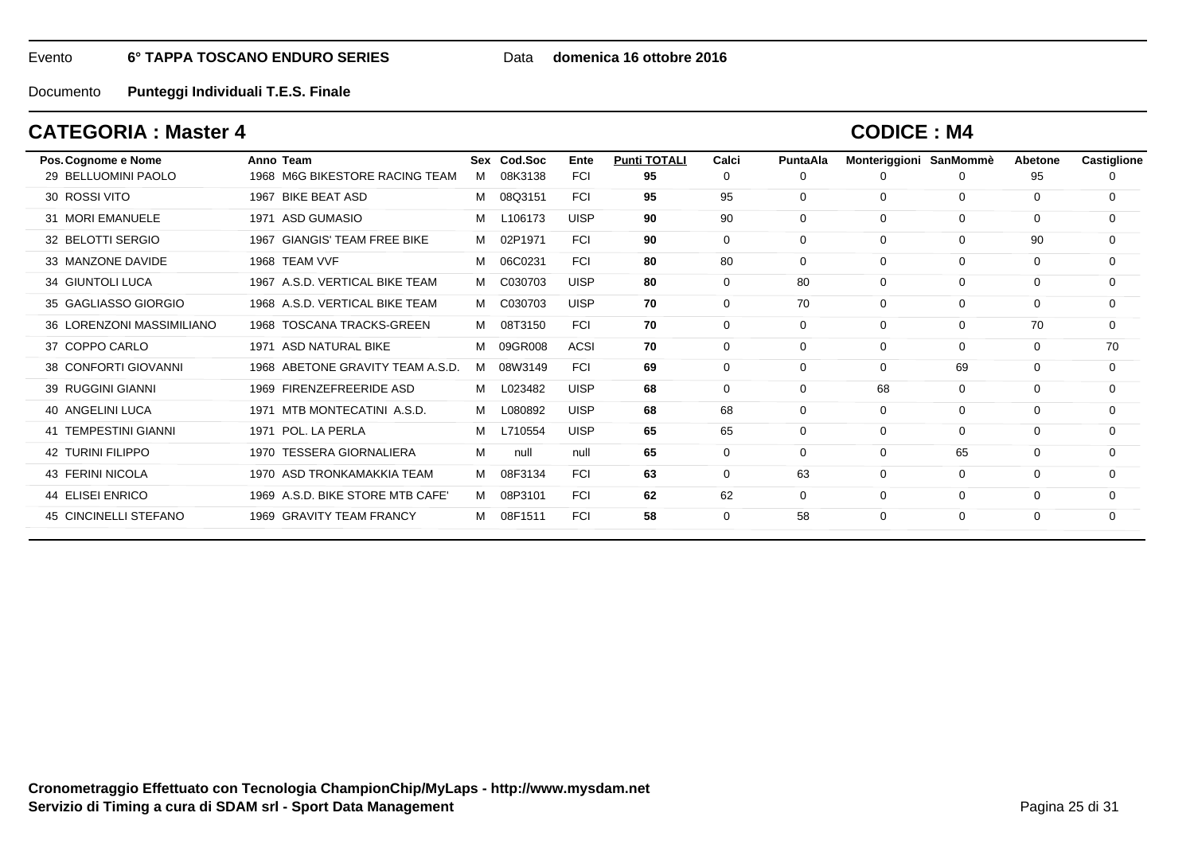Data **domenica 16 ottobre 2016**

Documento**Punteggi Individuali T.E.S. Finale**

## **CATEGORIA : Master 4**

| Pos. Cognome e Nome         | Anno Team                              |   | Sex Cod.Soc | Ente        | <b>Punti TOTALI</b> | Calci       | <b>PuntaAla</b> | Monteriggioni SanMommè |             | Abetone     | Castiglione |
|-----------------------------|----------------------------------------|---|-------------|-------------|---------------------|-------------|-----------------|------------------------|-------------|-------------|-------------|
| 29 BELLUOMINI PAOLO         | 1968 M6G BIKESTORE RACING TEAM         | м | 08K3138     | <b>FCI</b>  | 95                  | 0           | 0               | O                      |             | 95          |             |
| 30 ROSSI VITO               | 1967 BIKE BEAT ASD                     | м | 08Q3151     | <b>FCI</b>  | 95                  | 95          | 0               | $\mathbf 0$            | $\mathbf 0$ | 0           | $\Omega$    |
| 31 MORI EMANUELE            | 1971 ASD GUMASIO                       | м | L106173     | <b>UISP</b> | 90                  | 90          | $\Omega$        | $\mathbf 0$            | $\mathbf 0$ | 0           | $\mathbf 0$ |
| 32 BELOTTI SERGIO           | <b>GIANGIS' TEAM FREE BIKE</b><br>1967 | м | 02P1971     | <b>FCI</b>  | 90                  | $\mathbf 0$ | $\mathbf 0$     | $\mathbf 0$            | $\mathbf 0$ | 90          | 0           |
| 33 MANZONE DAVIDE           | 1968 TEAM VVF                          | м | 06C0231     | <b>FCI</b>  | 80                  | 80          | 0               | $\mathbf 0$            | $\mathbf 0$ | 0           | 0           |
| 34 GIUNTOLI LUCA            | 1967 A.S.D. VERTICAL BIKE TEAM         | м | C030703     | <b>UISP</b> | 80                  | $\mathbf 0$ | 80              | $\mathbf 0$            | $\mathbf 0$ | $\mathbf 0$ | $\mathbf 0$ |
| 35 GAGLIASSO GIORGIO        | 1968 A.S.D. VERTICAL BIKE TEAM         | м | C030703     | <b>UISP</b> | 70                  | $\mathbf 0$ | 70              | $\mathbf 0$            | $\mathbf 0$ | $\mathbf 0$ | $\mathbf 0$ |
| 36 LORENZONI MASSIMILIANO   | 1968 TOSCANA TRACKS-GREEN              | м | 08T3150     | <b>FCI</b>  | 70                  | $\mathbf 0$ | $\Omega$        | $\mathbf 0$            | $\mathbf 0$ | 70          | $\mathbf 0$ |
| 37 COPPO CARLO              | 1971 ASD NATURAL BIKE                  | м | 09GR008     | <b>ACSI</b> | 70                  | 0           | $\Omega$        | $\mathbf 0$            | $\mathbf 0$ | 0           | 70          |
| 38 CONFORTI GIOVANNI        | 1968 ABETONE GRAVITY TEAM A.S.D.       | м | 08W3149     | <b>FCI</b>  | 69                  | 0           | 0               | 0                      | 69          | 0           | 0           |
| 39 RUGGINI GIANNI           | 1969 FIRENZEFREERIDE ASD               | м | L023482     | <b>UISP</b> | 68                  | 0           | $\Omega$        | 68                     | $\Omega$    | $\Omega$    | $\Omega$    |
| 40 ANGELINI LUCA            | MTB MONTECATINI A.S.D.<br>1971         | м | L080892     | <b>UISP</b> | 68                  | 68          | $\Omega$        | $\mathbf 0$            | $\Omega$    | $\Omega$    | $\Omega$    |
| <b>41 TEMPESTINI GIANNI</b> | 1971 POL. LA PERLA                     | м | L710554     | <b>UISP</b> | 65                  | 65          | $\Omega$        | $\Omega$               | $\Omega$    | 0           | $\Omega$    |
| <b>42 TURINI FILIPPO</b>    | 1970 TESSERA GIORNALIERA               | м | null        | null        | 65                  | 0           | $\Omega$        | $\mathbf 0$            | 65          | 0           | 0           |
| 43 FERINI NICOLA            | 1970 ASD TRONKAMAKKIA TEAM             | м | 08F3134     | <b>FCI</b>  | 63                  | 0           | 63              | $\mathbf 0$            | $\mathbf 0$ | 0           | 0           |
| 44 ELISEI ENRICO            | 1969 A.S.D. BIKE STORE MTB CAFE'       | м | 08P3101     | <b>FCI</b>  | 62                  | 62          | 0               | $\mathbf 0$            | $\mathbf 0$ | 0           | 0           |
| 45 CINCINELLI STEFANO       | 1969 GRAVITY TEAM FRANCY               | м | 08F1511     | <b>FCI</b>  | 58                  | $\mathbf 0$ | 58              | $\mathbf 0$            | $\mathbf 0$ | 0           | 0           |
|                             |                                        |   |             |             |                     |             |                 |                        |             |             |             |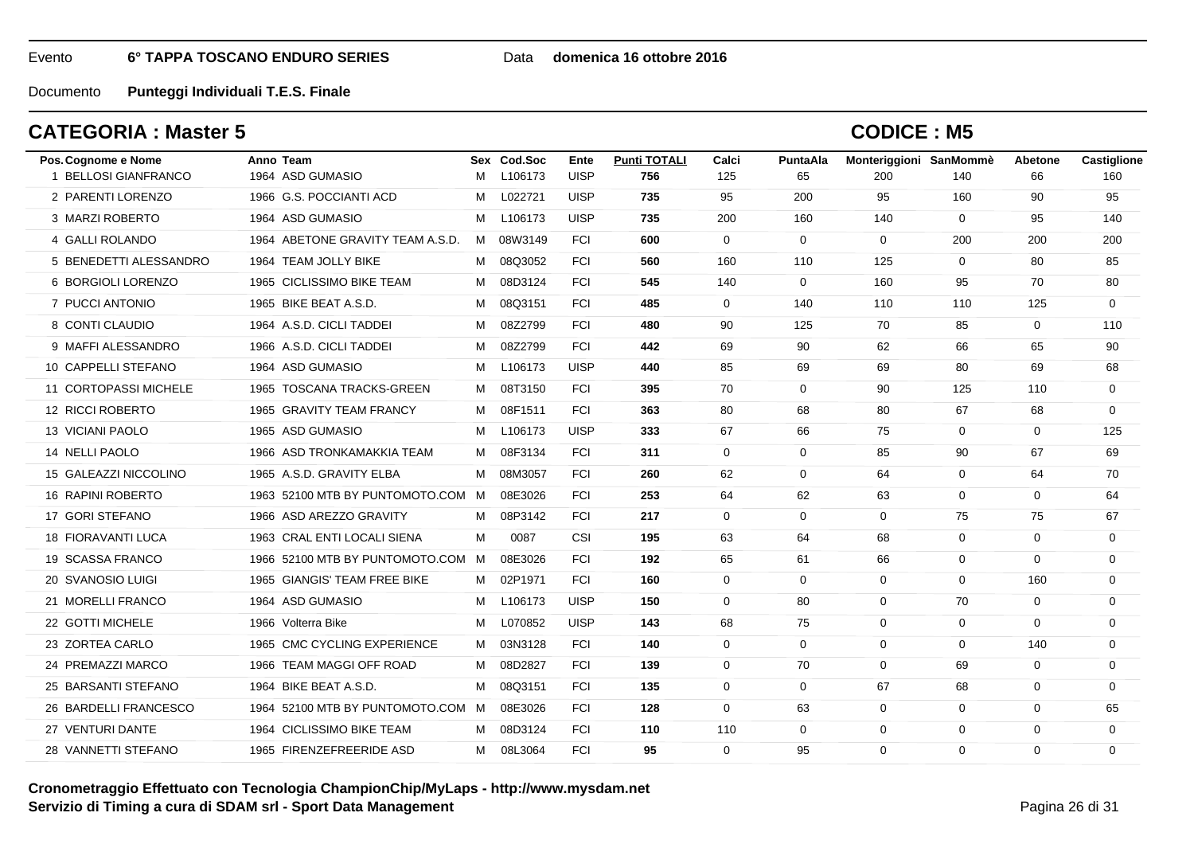### Data **domenica 16 ottobre 2016**

Documento**Punteggi Individuali T.E.S. Finale**

## **CATEGORIA : Master 5**

| Pos. Cognome e Nome       | Anno Team                         |   | Sex Cod.Soc | Ente        | <b>Punti TOTALI</b> | Calci       | PuntaAla    | Monteriggioni SanMommè |                | <b>Abetone</b> | Castiglione |
|---------------------------|-----------------------------------|---|-------------|-------------|---------------------|-------------|-------------|------------------------|----------------|----------------|-------------|
| 1 BELLOSI GIANFRANCO      | 1964 ASD GUMASIO                  | м | L106173     | <b>UISP</b> | 756                 | 125         | 65          | 200                    | 140            | 66             | 160         |
| 2 PARENTI LORENZO         | 1966 G.S. POCCIANTI ACD           | M | L022721     | <b>UISP</b> | 735                 | 95          | 200         | 95                     | 160            | 90             | 95          |
| 3 MARZI ROBERTO           | 1964 ASD GUMASIO                  | м | L106173     | <b>UISP</b> | 735                 | 200         | 160         | 140                    | $\mathbf 0$    | 95             | 140         |
| 4 GALLI ROLANDO           | 1964 ABETONE GRAVITY TEAM A.S.D.  | M | 08W3149     | <b>FCI</b>  | 600                 | $\mathbf 0$ | 0           | $\overline{0}$         | 200            | 200            | 200         |
| 5 BENEDETTI ALESSANDRO    | 1964 TEAM JOLLY BIKE              | M | 08Q3052     | <b>FCI</b>  | 560                 | 160         | 110         | 125                    | $\overline{0}$ | 80             | 85          |
| 6 BORGIOLI LORENZO        | 1965 CICLISSIMO BIKE TEAM         | M | 08D3124     | <b>FCI</b>  | 545                 | 140         | $\mathbf 0$ | 160                    | 95             | 70             | 80          |
| 7 PUCCI ANTONIO           | 1965 BIKE BEAT A.S.D.             | M | 08Q3151     | <b>FCI</b>  | 485                 | $\mathbf 0$ | 140         | 110                    | 110            | 125            | $\mathbf 0$ |
| 8 CONTI CLAUDIO           | 1964 A.S.D. CICLI TADDEI          | M | 08Z2799     | <b>FCI</b>  | 480                 | 90          | 125         | 70                     | 85             | $\mathbf 0$    | 110         |
| 9 MAFFI ALESSANDRO        | 1966 A.S.D. CICLI TADDEI          | М | 08Z2799     | <b>FCI</b>  | 442                 | 69          | 90          | 62                     | 66             | 65             | 90          |
| 10 CAPPELLI STEFANO       | 1964 ASD GUMASIO                  | M | L106173     | <b>UISP</b> | 440                 | 85          | 69          | 69                     | 80             | 69             | 68          |
| 11 CORTOPASSI MICHELE     | 1965 TOSCANA TRACKS-GREEN         | M | 08T3150     | <b>FCI</b>  | 395                 | 70          | $\mathbf 0$ | 90                     | 125            | 110            | $\mathbf 0$ |
| 12 RICCI ROBERTO          | 1965 GRAVITY TEAM FRANCY          | M | 08F1511     | <b>FCI</b>  | 363                 | 80          | 68          | 80                     | 67             | 68             | $\mathbf 0$ |
| 13 VICIANI PAOLO          | 1965 ASD GUMASIO                  | M | L106173     | <b>UISP</b> | 333                 | 67          | 66          | 75                     | $\mathbf{0}$   | $\mathbf 0$    | 125         |
| 14 NELLI PAOLO            | 1966 ASD TRONKAMAKKIA TEAM        | м | 08F3134     | <b>FCI</b>  | 311                 | $\mathbf 0$ | $\mathbf 0$ | 85                     | 90             | 67             | 69          |
| 15 GALEAZZI NICCOLINO     | 1965 A.S.D. GRAVITY ELBA          |   | M 08M3057   | <b>FCI</b>  | 260                 | 62          | 0           | 64                     | $\mathbf{0}$   | 64             | 70          |
| 16 RAPINI ROBERTO         | 1963 52100 MTB BY PUNTOMOTO.COM M |   | 08E3026     | <b>FCI</b>  | 253                 | 64          | 62          | 63                     | $\mathbf 0$    | 0              | 64          |
| 17 GORI STEFANO           | 1966 ASD AREZZO GRAVITY           | M | 08P3142     | <b>FCI</b>  | 217                 | $\Omega$    | 0           | $\mathbf 0$            | 75             | 75             | 67          |
| <b>18 FIORAVANTI LUCA</b> | 1963 CRAL ENTI LOCALI SIENA       | м | 0087        | CSI         | 195                 | 63          | 64          | 68                     | $\mathbf 0$    | $\Omega$       | $\mathbf 0$ |
| 19 SCASSA FRANCO          | 1966 52100 MTB BY PUNTOMOTO.COM M |   | 08E3026     | <b>FCI</b>  | 192                 | 65          | 61          | 66                     | $\mathbf 0$    | $\mathbf 0$    | $\mathbf 0$ |
| 20 SVANOSIO LUIGI         | 1965 GIANGIS' TEAM FREE BIKE      |   | M 02P1971   | <b>FCI</b>  | 160                 | $\mathbf 0$ | 0           | 0                      | 0              | 160            | 0           |
| 21 MORELLI FRANCO         | 1964 ASD GUMASIO                  | M | L106173     | <b>UISP</b> | 150                 | $\mathbf 0$ | 80          | $\mathbf 0$            | 70             | 0              | $\mathbf 0$ |
| 22 GOTTI MICHELE          | 1966 Volterra Bike                | м | L070852     | <b>UISP</b> | 143                 | 68          | 75          | $\mathbf 0$            | $\mathbf{0}$   | $\Omega$       | $\mathbf 0$ |
| 23 ZORTEA CARLO           | 1965 CMC CYCLING EXPERIENCE       | M | 03N3128     | <b>FCI</b>  | 140                 | $\mathbf 0$ | $\mathbf 0$ | $\mathbf 0$            | $\mathbf 0$    | 140            | $\mathbf 0$ |
| 24 PREMAZZI MARCO         | 1966 TEAM MAGGI OFF ROAD          | M | 08D2827     | <b>FCI</b>  | 139                 | $\mathbf 0$ | 70          | $\mathbf 0$            | 69             | $\mathbf 0$    | $\mathbf 0$ |
| 25 BARSANTI STEFANO       | 1964 BIKE BEAT A.S.D.             | M | 08Q3151     | <b>FCI</b>  | 135                 | $\mathbf 0$ | $\mathbf 0$ | 67                     | 68             | 0              | $\mathbf 0$ |
| 26 BARDELLI FRANCESCO     | 1964 52100 MTB BY PUNTOMOTO.COM M |   | 08E3026     | <b>FCI</b>  | 128                 | $\mathbf 0$ | 63          | $\overline{0}$         | $\mathbf 0$    | 0              | 65          |
| 27 VENTURI DANTE          | 1964 CICLISSIMO BIKE TEAM         | M | 08D3124     | <b>FCI</b>  | 110                 | 110         | 0           | $\mathbf 0$            | $\mathbf 0$    | 0              | $\mathbf 0$ |
| 28 VANNETTI STEFANO       | 1965 FIRENZEFREERIDE ASD          |   | M 08L3064   | <b>FCI</b>  | 95                  | $\Omega$    | 95          | $\mathbf{0}$           | $\Omega$       | $\Omega$       | $\Omega$    |
|                           |                                   |   |             |             |                     |             |             |                        |                |                |             |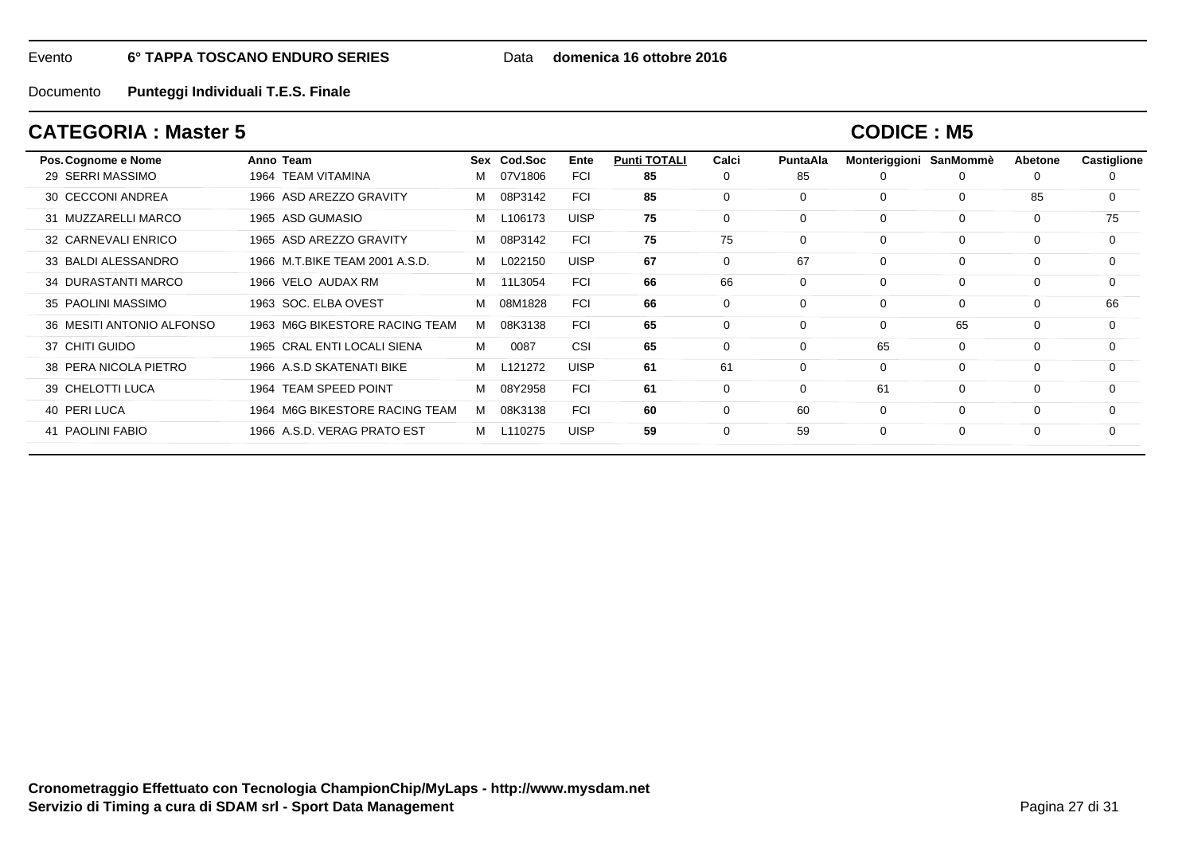Data **domenica 16 ottobre 2016**

Documento**Punteggi Individuali T.E.S. Finale**

## **CATEGORIA : Master 5**

| Pos. Cognome e Nome       | Anno Team                      |   | Sex Cod.Soc | Ente        | <b>Punti TOTALI</b> | Calci    | PuntaAla | Monteriggioni | SanMommè    | Abetone     | Castiglione |
|---------------------------|--------------------------------|---|-------------|-------------|---------------------|----------|----------|---------------|-------------|-------------|-------------|
| 29 SERRI MASSIMO          | 1964 TEAM VITAMINA             | м | 07V1806     | <b>FCI</b>  | 85                  | 0        | 85       |               | 0           | O           |             |
| 30 CECCONI ANDREA         | 1966 ASD AREZZO GRAVITY        | м | 08P3142     | <b>FCI</b>  | 85                  | 0        | $\Omega$ | $\Omega$      | $\mathbf 0$ | 85          | 0           |
| 31 MUZZARELLI MARCO       | 1965 ASD GUMASIO               | м | L106173     | <b>UISP</b> | 75                  | 0        | 0        | $\Omega$      | 0           | 0           | 75          |
| 32 CARNEVALI ENRICO       | 1965 ASD AREZZO GRAVITY        | М | 08P3142     | <b>FCI</b>  | 75                  | 75       | $\Omega$ | $\Omega$      | $\mathbf 0$ | 0           | 0           |
| 33 BALDI ALESSANDRO       | 1966 M.T.BIKE TEAM 2001 A.S.D. | M | L022150     | <b>UISP</b> | 67                  | $\Omega$ | 67       | $\Omega$      | $\mathbf 0$ | $\Omega$    | 0           |
| 34 DURASTANTI MARCO       | 1966 VELO AUDAX RM             | М | 11L3054     | <b>FCI</b>  | 66                  | 66       | 0        | $\Omega$      | 0           | 0           | 0           |
| 35 PAOLINI MASSIMO        | 1963 SOC, ELBA OVEST           | м | 08M1828     | <b>FCI</b>  | 66                  | $\Omega$ | $\Omega$ | $\Omega$      | $\Omega$    | $\Omega$    | 66          |
| 36 MESITI ANTONIO ALFONSO | 1963 M6G BIKESTORE RACING TEAM | м | 08K3138     | <b>FCI</b>  | 65                  | $\Omega$ | $\Omega$ | $\Omega$      | 65          | $\Omega$    | 0           |
| 37 CHITI GUIDO            | 1965 CRAL ENTI LOCALI SIENA    | м | 0087        | CSI         | 65                  | 0        | $\Omega$ | 65            | $\mathbf 0$ | $\mathbf 0$ | 0           |
| 38 PERA NICOLA PIETRO     | 1966 A.S.D SKATENATI BIKE      | м | L121272     | <b>UISP</b> | 61                  | 61       | $\Omega$ | $\Omega$      | $\mathbf 0$ | $\Omega$    | $\Omega$    |
| 39 CHELOTTI LUCA          | 1964 TEAM SPEED POINT          | м | 08Y2958     | <b>FCI</b>  | 61                  | $\Omega$ | 0        | 61            | $\mathbf 0$ | $\Omega$    | 0           |
| 40 PERI LUCA              | 1964 M6G BIKESTORE RACING TEAM | м | 08K3138     | <b>FCI</b>  | 60                  | 0        | 60       | $\Omega$      | $\mathbf 0$ | $\Omega$    | 0           |
| 41 PAOLINI FABIO          | 1966 A.S.D. VERAG PRATO EST    | M | L110275     | <b>UISP</b> | 59                  | $\Omega$ | 59       | $\Omega$      | $\mathbf 0$ | $\Omega$    | $\Omega$    |
|                           |                                |   |             |             |                     |          |          |               |             |             |             |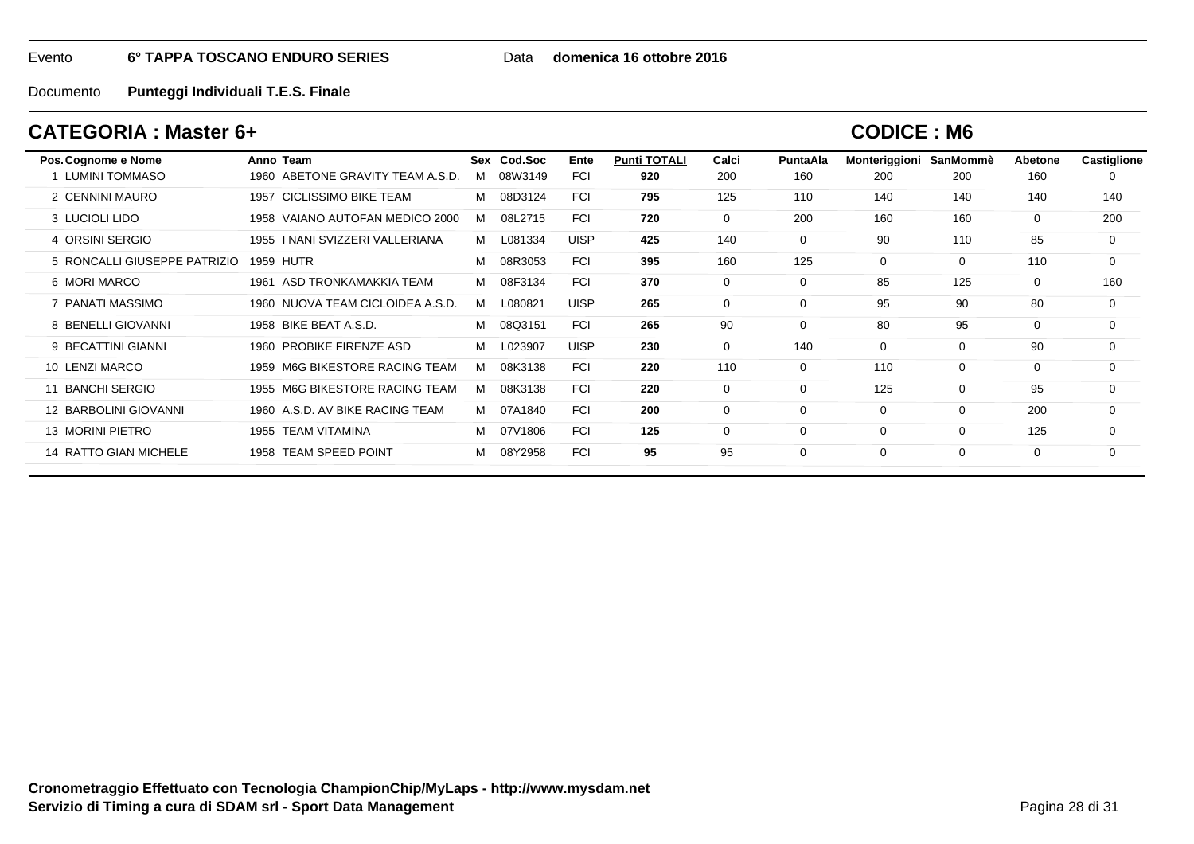Data **domenica 16 ottobre 2016**

Documento**Punteggi Individuali T.E.S. Finale**

## **CATEGORIA : Master 6+**

| Pos. Cognome e Nome          | Anno Team                          |   | Sex Cod.Soc | Ente        | <b>Punti TOTALI</b> | Calci       | <b>PuntaAla</b> | Monteriggioni | SanMommè | Abetone  | Castiglione |
|------------------------------|------------------------------------|---|-------------|-------------|---------------------|-------------|-----------------|---------------|----------|----------|-------------|
| <b>LUMINI TOMMASO</b>        | 1960 ABETONE GRAVITY TEAM A.S.D.   | M | 08W3149     | FCI         | 920                 | 200         | 160             | 200           | 200      | 160      |             |
| 2 CENNINI MAURO              | 1957 CICLISSIMO BIKE TEAM          | М | 08D3124     | <b>FCI</b>  | 795                 | 125         | 110             | 140           | 140      | 140      | 140         |
| 3 LUCIOLI LIDO               | 1958 VAIANO AUTOFAN MEDICO 2000    | M | 08L2715     | <b>FCI</b>  | 720                 | $\mathbf 0$ | 200             | 160           | 160      | $\Omega$ | 200         |
| 4 ORSINI SERGIO              | I NANI SVIZZERI VALLERIANA<br>1955 | M | L081334     | <b>UISP</b> | 425                 | 140         | 0               | 90            | 110      | 85       | 0           |
| 5 RONCALLI GIUSEPPE PATRIZIO | 1959 HUTR                          | м | 08R3053     | <b>FCI</b>  | 395                 | 160         | 125             | $\mathbf 0$   | $\Omega$ | 110      | $\Omega$    |
| 6 MORI MARCO                 | ASD TRONKAMAKKIA TEAM<br>1961      | м | 08F3134     | <b>FCI</b>  | 370                 | $\mathbf 0$ | $\Omega$        | 85            | 125      | $\Omega$ | 160         |
| PANATI MASSIMO               | 1960 NUOVA TEAM CICLOIDEA A.S.D.   | M | L080821     | <b>UISP</b> | 265                 | $\mathbf 0$ | $\Omega$        | 95            | 90       | 80       | 0           |
| 8 BENELLI GIOVANNI           | 1958 BIKE BEAT A.S.D.              | м | 08Q3151     | <b>FCI</b>  | 265                 | 90          | $\Omega$        | 80            | 95       | $\Omega$ | $\Omega$    |
| 9 BECATTINI GIANNI           | 1960 PROBIKE FIRENZE ASD           | М | L023907     | <b>UISP</b> | 230                 | $\mathbf 0$ | 140             | $\mathbf 0$   | 0        | 90       | $\Omega$    |
| 10 LENZI MARCO               | 1959 M6G BIKESTORE RACING TEAM     | M | 08K3138     | <b>FCI</b>  | 220                 | 110         | $\Omega$        | 110           | $\Omega$ | $\Omega$ | $\Omega$    |
| <b>BANCHI SERGIO</b><br>11   | 1955 M6G BIKESTORE RACING TEAM     | M | 08K3138     | <b>FCI</b>  | 220                 | $\mathbf 0$ | $\Omega$        | 125           | $\Omega$ | 95       | $\Omega$    |
| 12 BARBOLINI GIOVANNI        | 1960 A.S.D. AV BIKE RACING TEAM    | M | 07A1840     | <b>FCI</b>  | 200                 | 0           | $\Omega$        | 0             | 0        | 200      | 0           |
| 13 MORINI PIETRO             | <b>TEAM VITAMINA</b><br>1955       | M | 07V1806     | <b>FCI</b>  | 125                 | 0           | $\Omega$        | 0             | 0        | 125      | $\Omega$    |
| 14 RATTO GIAN MICHELE        | <b>TEAM SPEED POINT</b><br>1958    | м | 08Y2958     | <b>FCI</b>  | 95                  | 95          |                 | 0             | 0        | $\Omega$ | $\Omega$    |
|                              |                                    |   |             |             |                     |             |                 |               |          |          |             |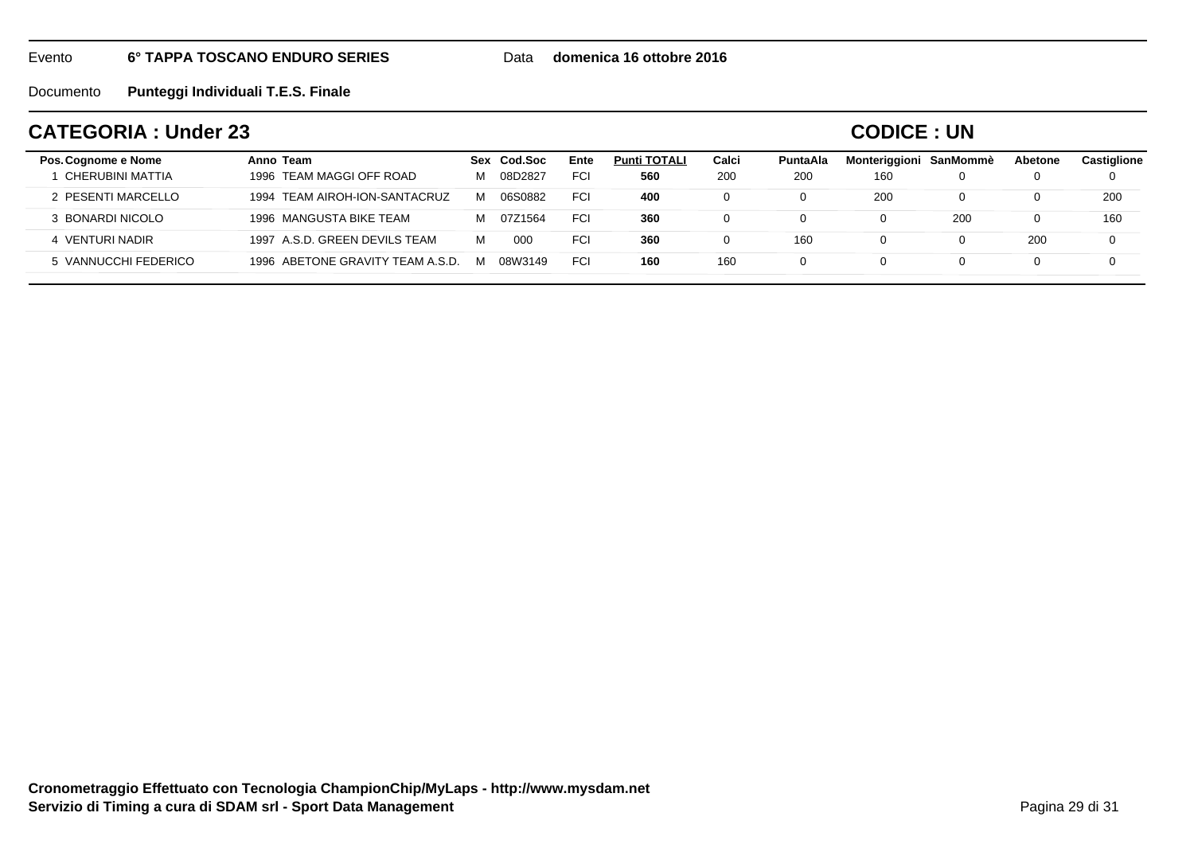Data **domenica 16 ottobre 2016**

Documento**Punteggi Individuali T.E.S. Finale**

## **CATEGORIA : Under 23**

### **CODICE : UN**

| Pos. Cognome e Nome<br>CHERUBINI MATTIA | Anno Team<br>1996 TEAM MAGGI OFF ROAD | Sex<br>M | Cod.Soc<br>08D2827 | Ente<br><b>FCI</b> | <b>Punti TOTALI</b><br>560 | Calci<br>200 | PuntaAla<br>200 | Monteriggioni SanMommè<br>160 |     | Abetone | <b>Castiglione</b><br>0 |
|-----------------------------------------|---------------------------------------|----------|--------------------|--------------------|----------------------------|--------------|-----------------|-------------------------------|-----|---------|-------------------------|
| 2 PESENTI MARCELLO                      | 1994 TEAM AIROH-ION-SANTACRUZ         | м        | 06S0882            | <b>FCI</b>         | 400                        |              |                 | 200                           |     |         | 200                     |
| 3 BONARDI NICOLO                        | 1996 MANGUSTA BIKE TEAM               | M        | 07Z1564            | <b>FCI</b>         | 360                        |              |                 |                               | 200 |         | 160                     |
| 4 VENTURI NADIR                         | 1997 A.S.D. GREEN DEVILS TEAM         | м        | 00C                | <b>FCI</b>         | 360                        |              | 160             |                               |     | 200     | 0                       |
| 5 VANNUCCHI FEDERICO                    | 1996 ABETONE GRAVITY TEAM A.S.D.      | M        | 08W3149            | <b>FCI</b>         | 160                        | 160          |                 |                               |     |         | $\Omega$                |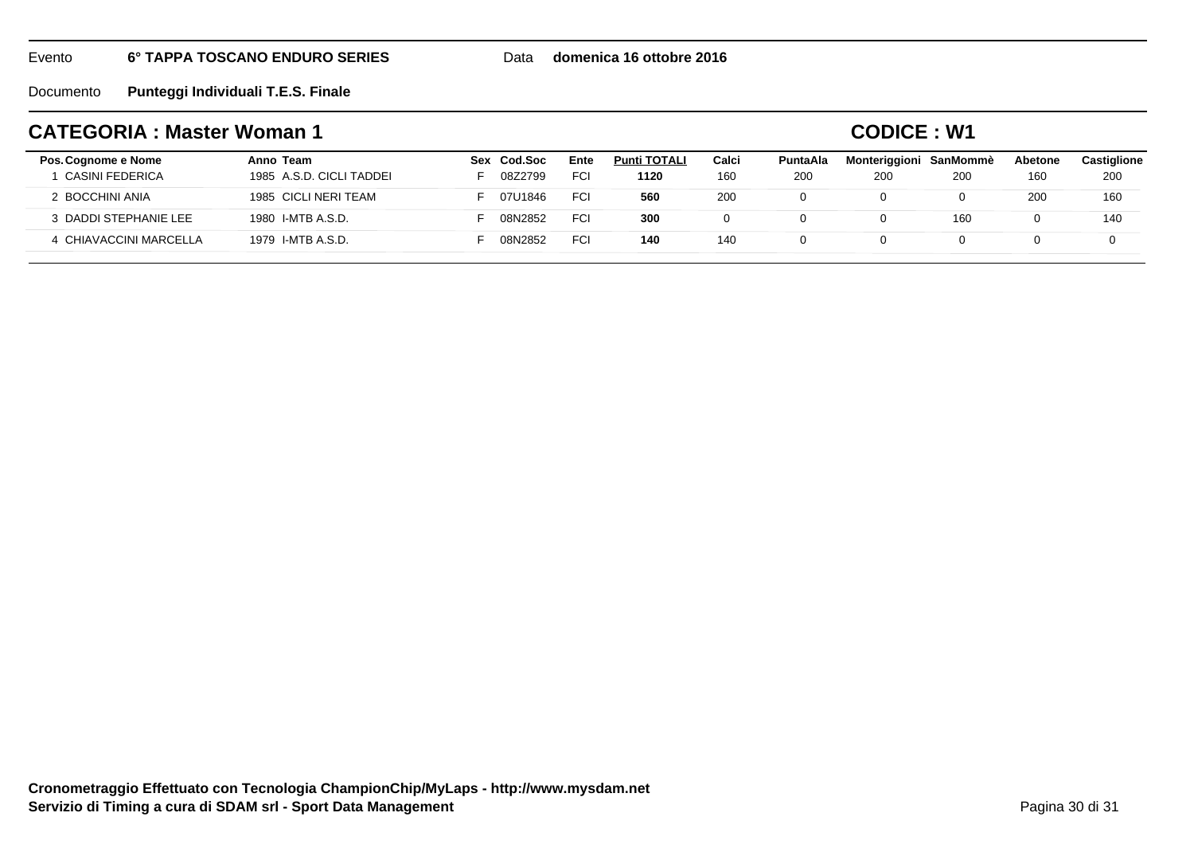Data **domenica 16 ottobre 2016**

Documento**Punteggi Individuali T.E.S. Finale**

## **CATEGORIA : Master Woman 1**

**CODICE : W1**

| Pos. Cognome e Nome<br>CASINI FEDERICA | Anno Team<br>1985 A.S.D. CICLI TADDEI | Sex Cod.Soc<br>08Z2799 | Ente<br><b>FCI</b> | <b>Punti TOTALI</b><br>1120 | Calci<br>160 | <b>PuntaAla</b><br>200 | Monteriggioni<br>200 | SanMommè<br>200 | Abetone<br>160 | <b>Castiglione</b><br>200 |
|----------------------------------------|---------------------------------------|------------------------|--------------------|-----------------------------|--------------|------------------------|----------------------|-----------------|----------------|---------------------------|
| 2 BOCCHINI ANIA                        | 1985 CICLI NERI TEAM                  | 07U1846                | <b>FCI</b>         | 560                         | 200          |                        |                      | 0               | 200            | 160                       |
| 3 DADDI STEPHANIE LEE                  | 1980 I-MTB A.S.D.                     | 08N2852                | <b>FCI</b>         | 300                         |              |                        |                      | 160             |                | 140                       |
| 4 CHIAVACCINI MARCELLA                 | 1979 I-MTB A.S.D.                     | 08N2852                | <b>FCI</b>         | 140                         | 140          |                        |                      |                 |                |                           |